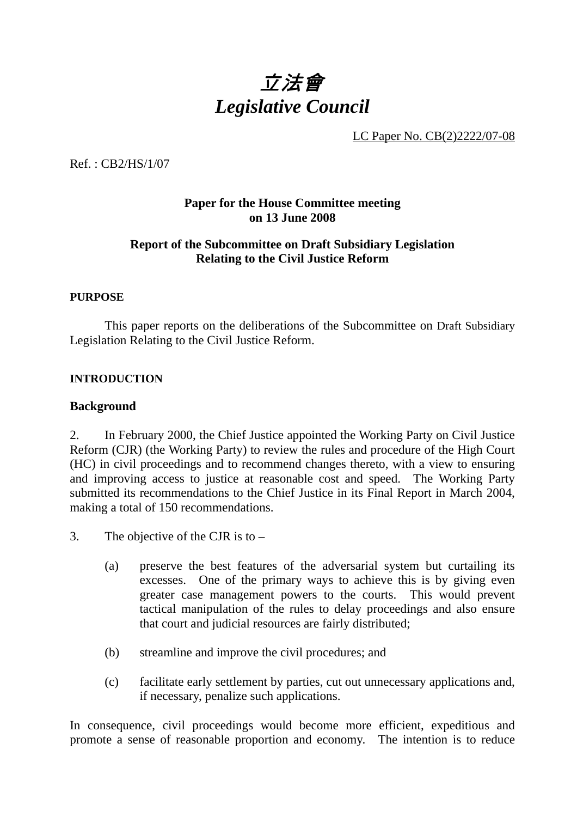# 立法會 *Legislative Council*

LC Paper No. CB(2)2222/07-08

Ref. : CB2/HS/1/07

# **Paper for the House Committee meeting on 13 June 2008**

# **Report of the Subcommittee on Draft Subsidiary Legislation Relating to the Civil Justice Reform**

#### **PURPOSE**

 This paper reports on the deliberations of the Subcommittee on Draft Subsidiary Legislation Relating to the Civil Justice Reform.

#### **INTRODUCTION**

#### **Background**

2. In February 2000, the Chief Justice appointed the Working Party on Civil Justice Reform (CJR) (the Working Party) to review the rules and procedure of the High Court (HC) in civil proceedings and to recommend changes thereto, with a view to ensuring and improving access to justice at reasonable cost and speed. The Working Party submitted its recommendations to the Chief Justice in its Final Report in March 2004, making a total of 150 recommendations.

- 3. The objective of the CJR is to
	- (a) preserve the best features of the adversarial system but curtailing its excesses. One of the primary ways to achieve this is by giving even greater case management powers to the courts. This would prevent tactical manipulation of the rules to delay proceedings and also ensure that court and judicial resources are fairly distributed;
	- (b) streamline and improve the civil procedures; and
	- (c) facilitate early settlement by parties, cut out unnecessary applications and, if necessary, penalize such applications.

In consequence, civil proceedings would become more efficient, expeditious and promote a sense of reasonable proportion and economy. The intention is to reduce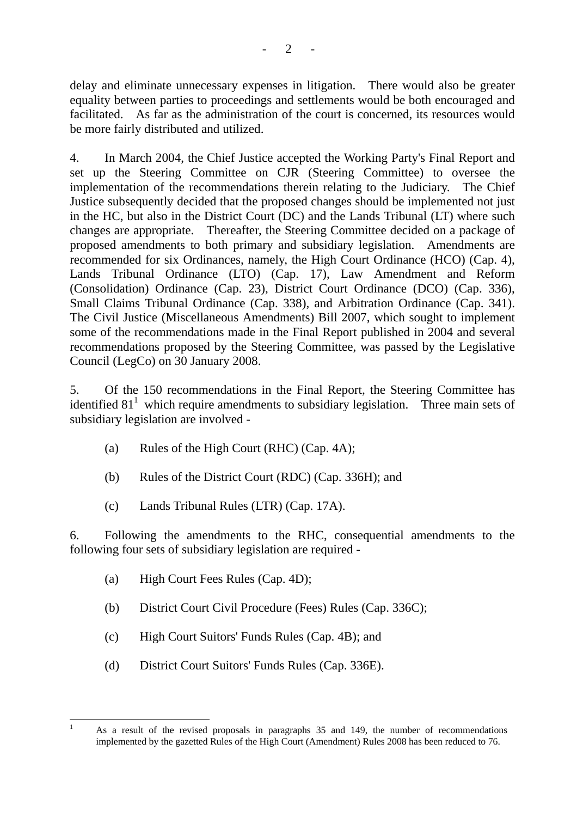delay and eliminate unnecessary expenses in litigation. There would also be greater equality between parties to proceedings and settlements would be both encouraged and facilitated. As far as the administration of the court is concerned, its resources would be more fairly distributed and utilized.

4. In March 2004, the Chief Justice accepted the Working Party's Final Report and set up the Steering Committee on CJR (Steering Committee) to oversee the implementation of the recommendations therein relating to the Judiciary. The Chief Justice subsequently decided that the proposed changes should be implemented not just in the HC, but also in the District Court (DC) and the Lands Tribunal (LT) where such changes are appropriate. Thereafter, the Steering Committee decided on a package of proposed amendments to both primary and subsidiary legislation. Amendments are recommended for six Ordinances, namely, the High Court Ordinance (HCO) (Cap. 4), Lands Tribunal Ordinance (LTO) (Cap. 17), Law Amendment and Reform (Consolidation) Ordinance (Cap. 23), District Court Ordinance (DCO) (Cap. 336), Small Claims Tribunal Ordinance (Cap. 338), and Arbitration Ordinance (Cap. 341). The Civil Justice (Miscellaneous Amendments) Bill 2007, which sought to implement some of the recommendations made in the Final Report published in 2004 and several recommendations proposed by the Steering Committee, was passed by the Legislative Council (LegCo) on 30 January 2008.

5. Of the 150 recommendations in the Final Report, the Steering Committee has identified  $81<sup>1</sup>$  which require amendments to subsidiary legislation. Three main sets of subsidiary legislation are involved -

- (a) Rules of the High Court (RHC) (Cap. 4A);
- (b) Rules of the District Court (RDC) (Cap. 336H); and
- (c) Lands Tribunal Rules (LTR) (Cap. 17A).

6. Following the amendments to the RHC, consequential amendments to the following four sets of subsidiary legislation are required -

- (a) High Court Fees Rules (Cap. 4D);
- (b) District Court Civil Procedure (Fees) Rules (Cap. 336C);
- (c) High Court Suitors' Funds Rules (Cap. 4B); and
- (d) District Court Suitors' Funds Rules (Cap. 336E).

 $\frac{1}{1}$  As a result of the revised proposals in paragraphs 35 and 149, the number of recommendations implemented by the gazetted Rules of the High Court (Amendment) Rules 2008 has been reduced to 76.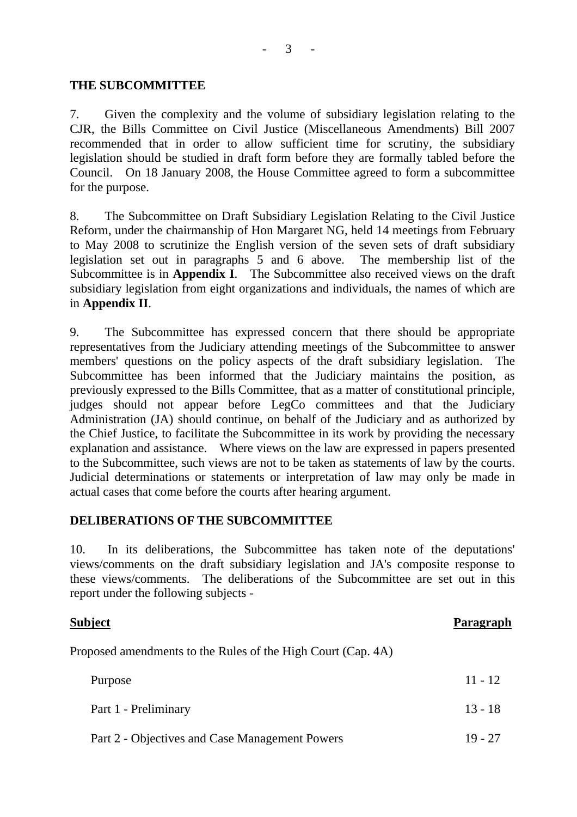$\mathfrak{Z}$ 

#### **THE SUBCOMMITTEE**

7. Given the complexity and the volume of subsidiary legislation relating to the CJR, the Bills Committee on Civil Justice (Miscellaneous Amendments) Bill 2007 recommended that in order to allow sufficient time for scrutiny, the subsidiary legislation should be studied in draft form before they are formally tabled before the Council. On 18 January 2008, the House Committee agreed to form a subcommittee for the purpose.

8. The Subcommittee on Draft Subsidiary Legislation Relating to the Civil Justice Reform, under the chairmanship of Hon Margaret NG, held 14 meetings from February to May 2008 to scrutinize the English version of the seven sets of draft subsidiary legislation set out in paragraphs 5 and 6 above. The membership list of the Subcommittee is in **Appendix I**. The Subcommittee also received views on the draft subsidiary legislation from eight organizations and individuals, the names of which are in **Appendix II**.

9. The Subcommittee has expressed concern that there should be appropriate representatives from the Judiciary attending meetings of the Subcommittee to answer members' questions on the policy aspects of the draft subsidiary legislation. The Subcommittee has been informed that the Judiciary maintains the position, as previously expressed to the Bills Committee, that as a matter of constitutional principle, judges should not appear before LegCo committees and that the Judiciary Administration (JA) should continue, on behalf of the Judiciary and as authorized by the Chief Justice, to facilitate the Subcommittee in its work by providing the necessary explanation and assistance. Where views on the law are expressed in papers presented to the Subcommittee, such views are not to be taken as statements of law by the courts. Judicial determinations or statements or interpretation of law may only be made in actual cases that come before the courts after hearing argument.

# **DELIBERATIONS OF THE SUBCOMMITTEE**

10. In its deliberations, the Subcommittee has taken note of the deputations' views/comments on the draft subsidiary legislation and JA's composite response to these views/comments. The deliberations of the Subcommittee are set out in this report under the following subjects -

#### **Subject** Paragraph

Proposed amendments to the Rules of the High Court (Cap. 4A)

| Purpose                                        | $11 - 12$ |
|------------------------------------------------|-----------|
| Part 1 - Preliminary                           | $13 - 18$ |
| Part 2 - Objectives and Case Management Powers | $19 - 27$ |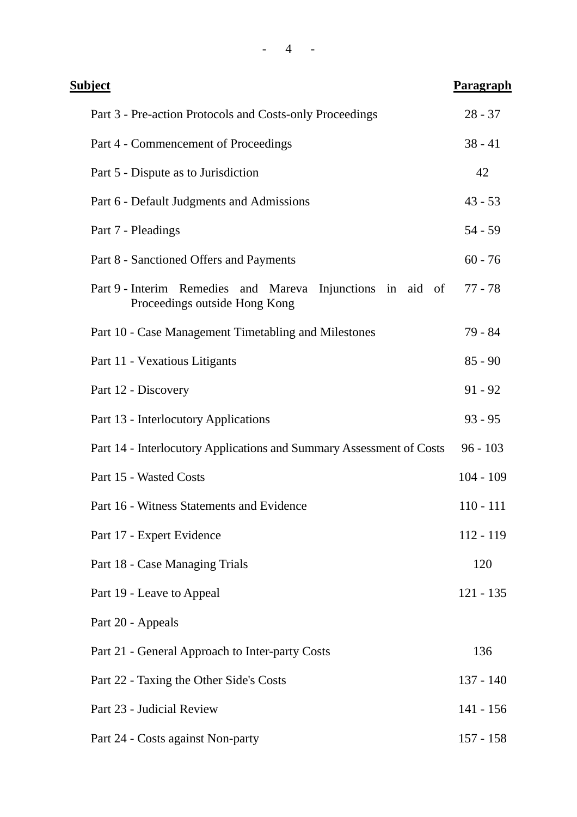| <u>Subject</u>                                                                              | <b>Paragraph</b> |
|---------------------------------------------------------------------------------------------|------------------|
| Part 3 - Pre-action Protocols and Costs-only Proceedings                                    | $28 - 37$        |
| Part 4 - Commencement of Proceedings                                                        | $38 - 41$        |
| Part 5 - Dispute as to Jurisdiction                                                         | 42               |
| Part 6 - Default Judgments and Admissions                                                   | $43 - 53$        |
| Part 7 - Pleadings                                                                          | $54 - 59$        |
| Part 8 - Sanctioned Offers and Payments                                                     | $60 - 76$        |
| Part 9 - Interim Remedies and Mareva Injunctions in aid of<br>Proceedings outside Hong Kong | 77 - 78          |
| Part 10 - Case Management Timetabling and Milestones                                        | 79 - 84          |
| Part 11 - Vexatious Litigants                                                               | $85 - 90$        |
| Part 12 - Discovery                                                                         | $91 - 92$        |
| Part 13 - Interlocutory Applications                                                        | $93 - 95$        |
| Part 14 - Interlocutory Applications and Summary Assessment of Costs                        | $96 - 103$       |
| Part 15 - Wasted Costs                                                                      | $104 - 109$      |
| Part 16 - Witness Statements and Evidence                                                   | $110 - 111$      |
| Part 17 - Expert Evidence                                                                   | 112 - 119        |
| Part 18 - Case Managing Trials                                                              | 120              |
| Part 19 - Leave to Appeal                                                                   | $121 - 135$      |
| Part 20 - Appeals                                                                           |                  |
| Part 21 - General Approach to Inter-party Costs                                             | 136              |
| Part 22 - Taxing the Other Side's Costs                                                     | $137 - 140$      |
| Part 23 - Judicial Review                                                                   | $141 - 156$      |
| Part 24 - Costs against Non-party                                                           | $157 - 158$      |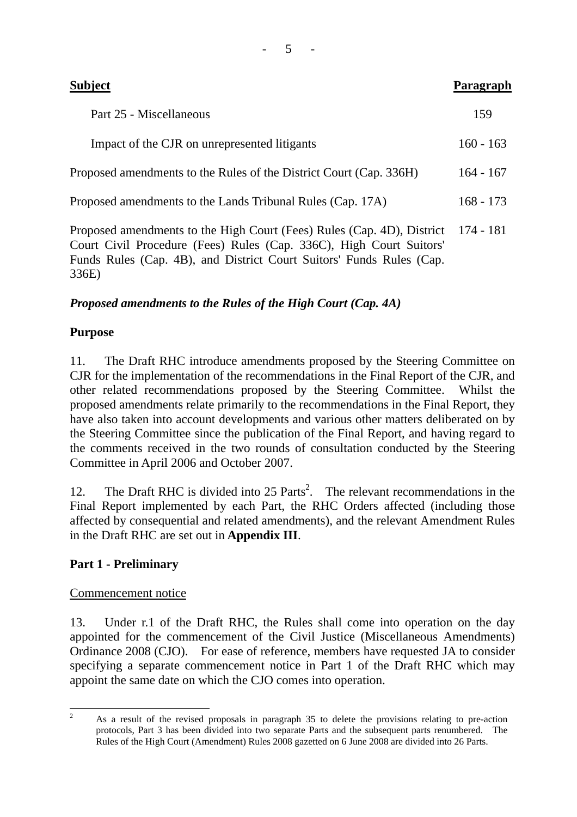| <b>Subject</b>                                                                                                                                                    | Paragraph   |
|-------------------------------------------------------------------------------------------------------------------------------------------------------------------|-------------|
| Part 25 - Miscellaneous                                                                                                                                           | 159         |
| Impact of the CJR on unrepresented litigants                                                                                                                      | $160 - 163$ |
| Proposed amendments to the Rules of the District Court (Cap. 336H)                                                                                                | $164 - 167$ |
| Proposed amendments to the Lands Tribunal Rules (Cap. 17A)                                                                                                        | $168 - 173$ |
| Proposed amendments to the High Court (Fees) Rules (Cap. 4D), District 174 - 181<br>$\alpha$ is the contract of $\alpha$ and $\alpha$ is the contract of $\alpha$ |             |

Court Civil Procedure (Fees) Rules (Cap. 336C), High Court Suitors' Funds Rules (Cap. 4B), and District Court Suitors' Funds Rules (Cap. 336E)

# *Proposed amendments to the Rules of the High Court (Cap. 4A)*

# **Purpose**

11. The Draft RHC introduce amendments proposed by the Steering Committee on CJR for the implementation of the recommendations in the Final Report of the CJR, and other related recommendations proposed by the Steering Committee. Whilst the proposed amendments relate primarily to the recommendations in the Final Report, they have also taken into account developments and various other matters deliberated on by the Steering Committee since the publication of the Final Report, and having regard to the comments received in the two rounds of consultation conducted by the Steering Committee in April 2006 and October 2007.

12. The Draft RHC is divided into 25 Parts<sup>2</sup>. The relevant recommendations in the Final Report implemented by each Part, the RHC Orders affected (including those affected by consequential and related amendments), and the relevant Amendment Rules in the Draft RHC are set out in **Appendix III**.

# **Part 1 - Preliminary**

# Commencement notice

13. Under r.1 of the Draft RHC, the Rules shall come into operation on the day appointed for the commencement of the Civil Justice (Miscellaneous Amendments) Ordinance 2008 (CJO). For ease of reference, members have requested JA to consider specifying a separate commencement notice in Part 1 of the Draft RHC which may appoint the same date on which the CJO comes into operation.

- 5 -

 $\frac{1}{2}$  As a result of the revised proposals in paragraph 35 to delete the provisions relating to pre-action protocols, Part 3 has been divided into two separate Parts and the subsequent parts renumbered. The Rules of the High Court (Amendment) Rules 2008 gazetted on 6 June 2008 are divided into 26 Parts.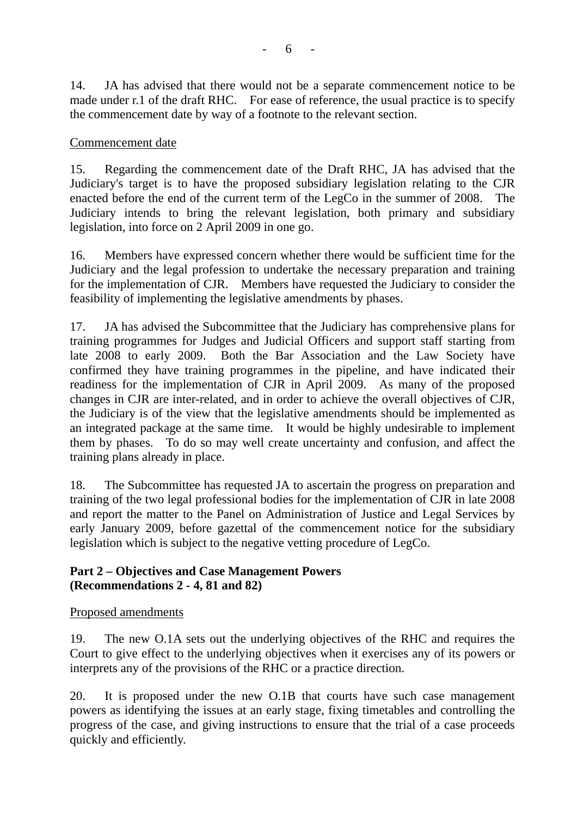14. JA has advised that there would not be a separate commencement notice to be made under r.1 of the draft RHC. For ease of reference, the usual practice is to specify the commencement date by way of a footnote to the relevant section.

#### Commencement date

15. Regarding the commencement date of the Draft RHC, JA has advised that the Judiciary's target is to have the proposed subsidiary legislation relating to the CJR enacted before the end of the current term of the LegCo in the summer of 2008. The Judiciary intends to bring the relevant legislation, both primary and subsidiary legislation, into force on 2 April 2009 in one go.

16. Members have expressed concern whether there would be sufficient time for the Judiciary and the legal profession to undertake the necessary preparation and training for the implementation of CJR. Members have requested the Judiciary to consider the feasibility of implementing the legislative amendments by phases.

17. JA has advised the Subcommittee that the Judiciary has comprehensive plans for training programmes for Judges and Judicial Officers and support staff starting from late 2008 to early 2009. Both the Bar Association and the Law Society have confirmed they have training programmes in the pipeline, and have indicated their readiness for the implementation of CJR in April 2009. As many of the proposed changes in CJR are inter-related, and in order to achieve the overall objectives of CJR, the Judiciary is of the view that the legislative amendments should be implemented as an integrated package at the same time. It would be highly undesirable to implement them by phases. To do so may well create uncertainty and confusion, and affect the training plans already in place.

18. The Subcommittee has requested JA to ascertain the progress on preparation and training of the two legal professional bodies for the implementation of CJR in late 2008 and report the matter to the Panel on Administration of Justice and Legal Services by early January 2009, before gazettal of the commencement notice for the subsidiary legislation which is subject to the negative vetting procedure of LegCo.

# **Part 2 – Objectives and Case Management Powers (Recommendations 2 - 4, 81 and 82)**

#### Proposed amendments

19. The new O.1A sets out the underlying objectives of the RHC and requires the Court to give effect to the underlying objectives when it exercises any of its powers or interprets any of the provisions of the RHC or a practice direction.

20. It is proposed under the new O.1B that courts have such case management powers as identifying the issues at an early stage, fixing timetables and controlling the progress of the case, and giving instructions to ensure that the trial of a case proceeds quickly and efficiently.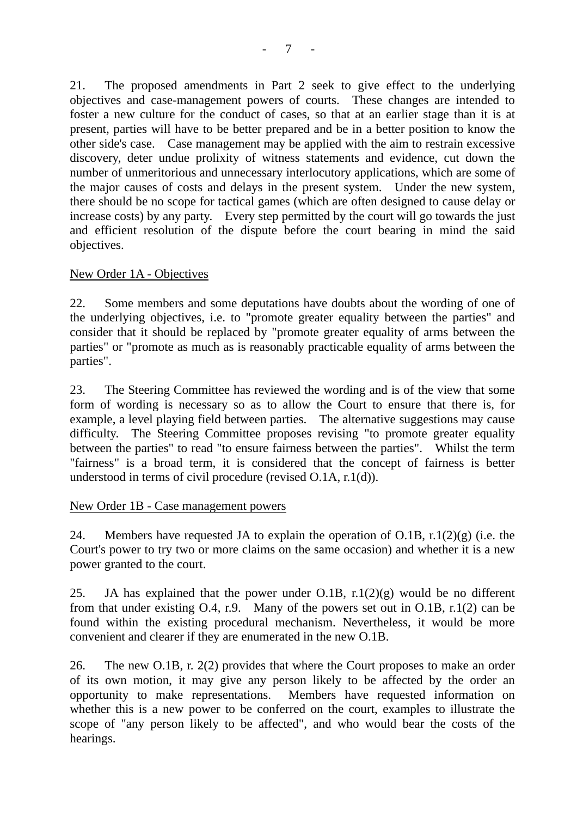21. The proposed amendments in Part 2 seek to give effect to the underlying objectives and case-management powers of courts. These changes are intended to foster a new culture for the conduct of cases, so that at an earlier stage than it is at present, parties will have to be better prepared and be in a better position to know the other side's case. Case management may be applied with the aim to restrain excessive discovery, deter undue prolixity of witness statements and evidence, cut down the number of unmeritorious and unnecessary interlocutory applications, which are some of the major causes of costs and delays in the present system. Under the new system, there should be no scope for tactical games (which are often designed to cause delay or increase costs) by any party. Every step permitted by the court will go towards the just and efficient resolution of the dispute before the court bearing in mind the said objectives.

#### New Order 1A - Objectives

22. Some members and some deputations have doubts about the wording of one of the underlying objectives, i.e. to "promote greater equality between the parties" and consider that it should be replaced by "promote greater equality of arms between the parties" or "promote as much as is reasonably practicable equality of arms between the parties".

23. The Steering Committee has reviewed the wording and is of the view that some form of wording is necessary so as to allow the Court to ensure that there is, for example, a level playing field between parties. The alternative suggestions may cause difficulty. The Steering Committee proposes revising "to promote greater equality between the parties" to read "to ensure fairness between the parties". Whilst the term "fairness" is a broad term, it is considered that the concept of fairness is better understood in terms of civil procedure (revised O.1A, r.1(d)).

#### New Order 1B - Case management powers

24. Members have requested JA to explain the operation of O.1B, r.1(2)(g) (i.e. the Court's power to try two or more claims on the same occasion) and whether it is a new power granted to the court.

25. JA has explained that the power under O.1B,  $r \cdot 1(2)(g)$  would be no different from that under existing O.4, r.9. Many of the powers set out in O.1B, r.1(2) can be found within the existing procedural mechanism. Nevertheless, it would be more convenient and clearer if they are enumerated in the new O.1B.

26. The new O.1B, r. 2(2) provides that where the Court proposes to make an order of its own motion, it may give any person likely to be affected by the order an opportunity to make representations. Members have requested information on whether this is a new power to be conferred on the court, examples to illustrate the scope of "any person likely to be affected", and who would bear the costs of the hearings.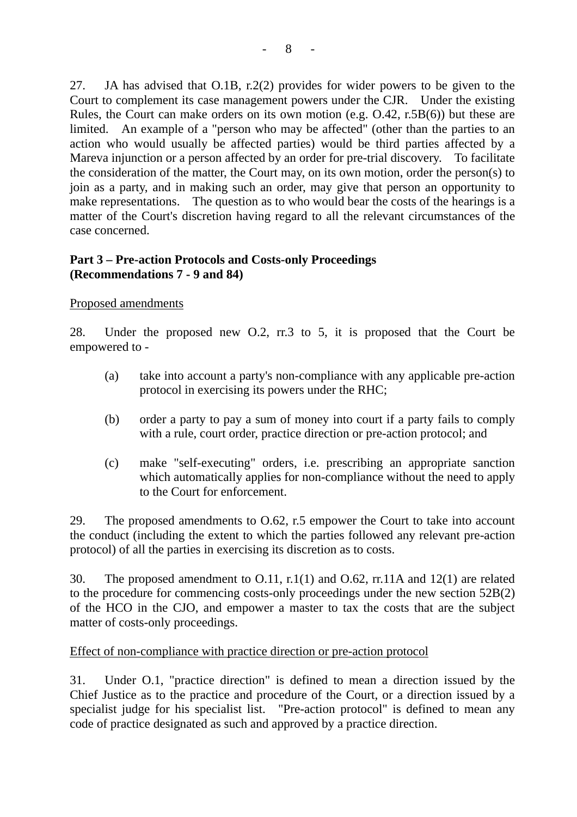27. JA has advised that O.1B, r.2(2) provides for wider powers to be given to the Court to complement its case management powers under the CJR. Under the existing Rules, the Court can make orders on its own motion (e.g. O.42, r.5B(6)) but these are limited. An example of a "person who may be affected" (other than the parties to an action who would usually be affected parties) would be third parties affected by a Mareva injunction or a person affected by an order for pre-trial discovery. To facilitate the consideration of the matter, the Court may, on its own motion, order the person(s) to join as a party, and in making such an order, may give that person an opportunity to make representations. The question as to who would bear the costs of the hearings is a matter of the Court's discretion having regard to all the relevant circumstances of the case concerned.

# **Part 3 – Pre-action Protocols and Costs-only Proceedings (Recommendations 7 - 9 and 84)**

# Proposed amendments

28. Under the proposed new O.2, rr.3 to 5, it is proposed that the Court be empowered to -

- (a) take into account a party's non-compliance with any applicable pre-action protocol in exercising its powers under the RHC;
- (b) order a party to pay a sum of money into court if a party fails to comply with a rule, court order, practice direction or pre-action protocol; and
- (c) make "self-executing" orders, i.e. prescribing an appropriate sanction which automatically applies for non-compliance without the need to apply to the Court for enforcement.

29. The proposed amendments to O.62, r.5 empower the Court to take into account the conduct (including the extent to which the parties followed any relevant pre-action protocol) of all the parties in exercising its discretion as to costs.

30. The proposed amendment to O.11, r.1(1) and O.62, rr.11A and 12(1) are related to the procedure for commencing costs-only proceedings under the new section 52B(2) of the HCO in the CJO, and empower a master to tax the costs that are the subject matter of costs-only proceedings.

#### Effect of non-compliance with practice direction or pre-action protocol

31. Under O.1, "practice direction" is defined to mean a direction issued by the Chief Justice as to the practice and procedure of the Court, or a direction issued by a specialist judge for his specialist list. "Pre-action protocol" is defined to mean any code of practice designated as such and approved by a practice direction.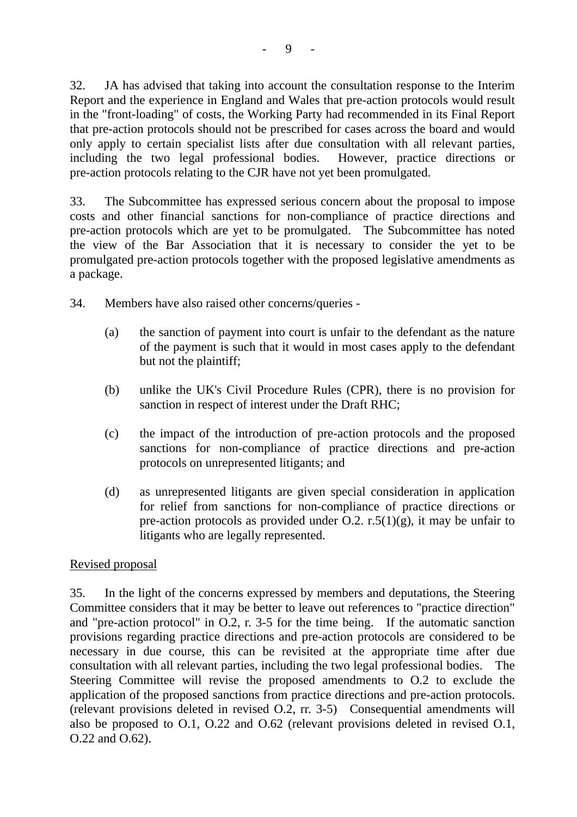32. JA has advised that taking into account the consultation response to the Interim Report and the experience in England and Wales that pre-action protocols would result in the "front-loading" of costs, the Working Party had recommended in its Final Report that pre-action protocols should not be prescribed for cases across the board and would only apply to certain specialist lists after due consultation with all relevant parties, including the two legal professional bodies. However, practice directions or pre-action protocols relating to the CJR have not yet been promulgated.

33. The Subcommittee has expressed serious concern about the proposal to impose costs and other financial sanctions for non-compliance of practice directions and pre-action protocols which are yet to be promulgated. The Subcommittee has noted the view of the Bar Association that it is necessary to consider the yet to be promulgated pre-action protocols together with the proposed legislative amendments as a package.

34. Members have also raised other concerns/queries -

- (a) the sanction of payment into court is unfair to the defendant as the nature of the payment is such that it would in most cases apply to the defendant but not the plaintiff;
- (b) unlike the UK's Civil Procedure Rules (CPR), there is no provision for sanction in respect of interest under the Draft RHC;
- (c) the impact of the introduction of pre-action protocols and the proposed sanctions for non-compliance of practice directions and pre-action protocols on unrepresented litigants; and
- (d) as unrepresented litigants are given special consideration in application for relief from sanctions for non-compliance of practice directions or pre-action protocols as provided under O.2. r.5(1)(g), it may be unfair to litigants who are legally represented.

# Revised proposal

35. In the light of the concerns expressed by members and deputations, the Steering Committee considers that it may be better to leave out references to "practice direction" and "pre-action protocol" in O.2, r. 3-5 for the time being. If the automatic sanction provisions regarding practice directions and pre-action protocols are considered to be necessary in due course, this can be revisited at the appropriate time after due consultation with all relevant parties, including the two legal professional bodies. The Steering Committee will revise the proposed amendments to O.2 to exclude the application of the proposed sanctions from practice directions and pre-action protocols. (relevant provisions deleted in revised O.2, rr. 3-5) Consequential amendments will also be proposed to O.1, O.22 and O.62 (relevant provisions deleted in revised O.1, O.22 and O.62).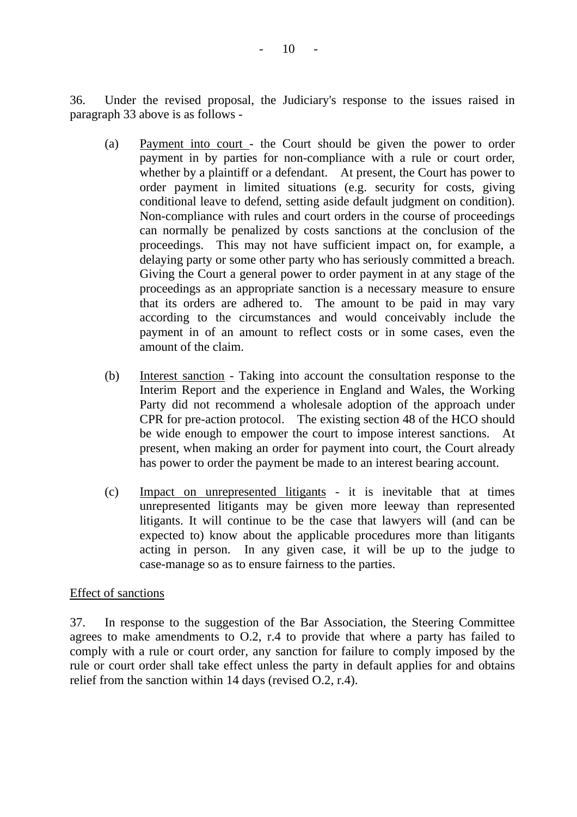36. Under the revised proposal, the Judiciary's response to the issues raised in paragraph 33 above is as follows -

- (a) Payment into court the Court should be given the power to order payment in by parties for non-compliance with a rule or court order, whether by a plaintiff or a defendant. At present, the Court has power to order payment in limited situations (e.g. security for costs, giving conditional leave to defend, setting aside default judgment on condition). Non-compliance with rules and court orders in the course of proceedings can normally be penalized by costs sanctions at the conclusion of the proceedings. This may not have sufficient impact on, for example, a delaying party or some other party who has seriously committed a breach. Giving the Court a general power to order payment in at any stage of the proceedings as an appropriate sanction is a necessary measure to ensure that its orders are adhered to. The amount to be paid in may vary according to the circumstances and would conceivably include the payment in of an amount to reflect costs or in some cases, even the amount of the claim.
- (b) Interest sanction Taking into account the consultation response to the Interim Report and the experience in England and Wales, the Working Party did not recommend a wholesale adoption of the approach under CPR for pre-action protocol. The existing section 48 of the HCO should be wide enough to empower the court to impose interest sanctions. At present, when making an order for payment into court, the Court already has power to order the payment be made to an interest bearing account.
- (c) Impact on unrepresented litigants it is inevitable that at times unrepresented litigants may be given more leeway than represented litigants. It will continue to be the case that lawyers will (and can be expected to) know about the applicable procedures more than litigants acting in person. In any given case, it will be up to the judge to case-manage so as to ensure fairness to the parties.

# Effect of sanctions

37. In response to the suggestion of the Bar Association, the Steering Committee agrees to make amendments to O.2, r.4 to provide that where a party has failed to comply with a rule or court order, any sanction for failure to comply imposed by the rule or court order shall take effect unless the party in default applies for and obtains relief from the sanction within 14 days (revised O.2, r.4).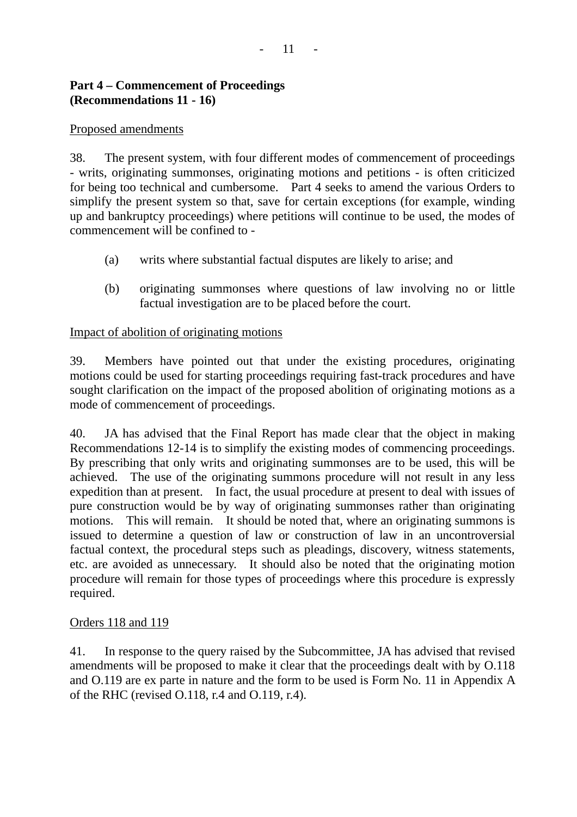# **Part 4 – Commencement of Proceedings (Recommendations 11 - 16)**

# Proposed amendments

38. The present system, with four different modes of commencement of proceedings - writs, originating summonses, originating motions and petitions - is often criticized for being too technical and cumbersome. Part 4 seeks to amend the various Orders to simplify the present system so that, save for certain exceptions (for example, winding up and bankruptcy proceedings) where petitions will continue to be used, the modes of commencement will be confined to -

- (a) writs where substantial factual disputes are likely to arise; and
- (b) originating summonses where questions of law involving no or little factual investigation are to be placed before the court.

# Impact of abolition of originating motions

39. Members have pointed out that under the existing procedures, originating motions could be used for starting proceedings requiring fast-track procedures and have sought clarification on the impact of the proposed abolition of originating motions as a mode of commencement of proceedings.

40. JA has advised that the Final Report has made clear that the object in making Recommendations 12-14 is to simplify the existing modes of commencing proceedings. By prescribing that only writs and originating summonses are to be used, this will be achieved. The use of the originating summons procedure will not result in any less expedition than at present. In fact, the usual procedure at present to deal with issues of pure construction would be by way of originating summonses rather than originating motions. This will remain. It should be noted that, where an originating summons is issued to determine a question of law or construction of law in an uncontroversial factual context, the procedural steps such as pleadings, discovery, witness statements, etc. are avoided as unnecessary. It should also be noted that the originating motion procedure will remain for those types of proceedings where this procedure is expressly required.

# Orders 118 and 119

41. In response to the query raised by the Subcommittee, JA has advised that revised amendments will be proposed to make it clear that the proceedings dealt with by O.118 and O.119 are ex parte in nature and the form to be used is Form No. 11 in Appendix A of the RHC (revised O.118, r.4 and O.119, r.4).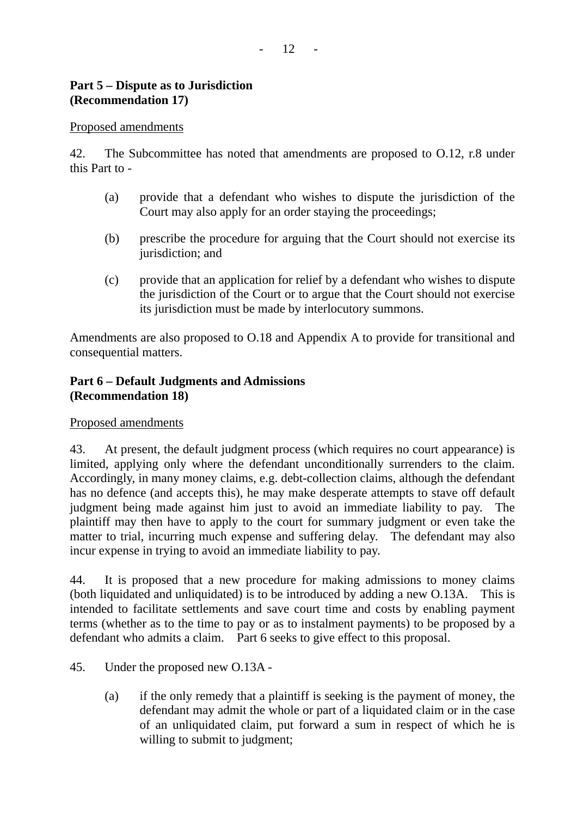### **Part 5 – Dispute as to Jurisdiction (Recommendation 17)**

#### Proposed amendments

42. The Subcommittee has noted that amendments are proposed to O.12, r.8 under this Part to -

- (a) provide that a defendant who wishes to dispute the jurisdiction of the Court may also apply for an order staying the proceedings;
- (b) prescribe the procedure for arguing that the Court should not exercise its jurisdiction; and
- (c) provide that an application for relief by a defendant who wishes to dispute the jurisdiction of the Court or to argue that the Court should not exercise its jurisdiction must be made by interlocutory summons.

Amendments are also proposed to O.18 and Appendix A to provide for transitional and consequential matters.

#### **Part 6 – Default Judgments and Admissions (Recommendation 18)**

#### Proposed amendments

43. At present, the default judgment process (which requires no court appearance) is limited, applying only where the defendant unconditionally surrenders to the claim. Accordingly, in many money claims, e.g. debt-collection claims, although the defendant has no defence (and accepts this), he may make desperate attempts to stave off default judgment being made against him just to avoid an immediate liability to pay. The plaintiff may then have to apply to the court for summary judgment or even take the matter to trial, incurring much expense and suffering delay. The defendant may also incur expense in trying to avoid an immediate liability to pay.

44. It is proposed that a new procedure for making admissions to money claims (both liquidated and unliquidated) is to be introduced by adding a new O.13A. This is intended to facilitate settlements and save court time and costs by enabling payment terms (whether as to the time to pay or as to instalment payments) to be proposed by a defendant who admits a claim. Part 6 seeks to give effect to this proposal.

- 45. Under the proposed new O.13A
	- (a) if the only remedy that a plaintiff is seeking is the payment of money, the defendant may admit the whole or part of a liquidated claim or in the case of an unliquidated claim, put forward a sum in respect of which he is willing to submit to judgment;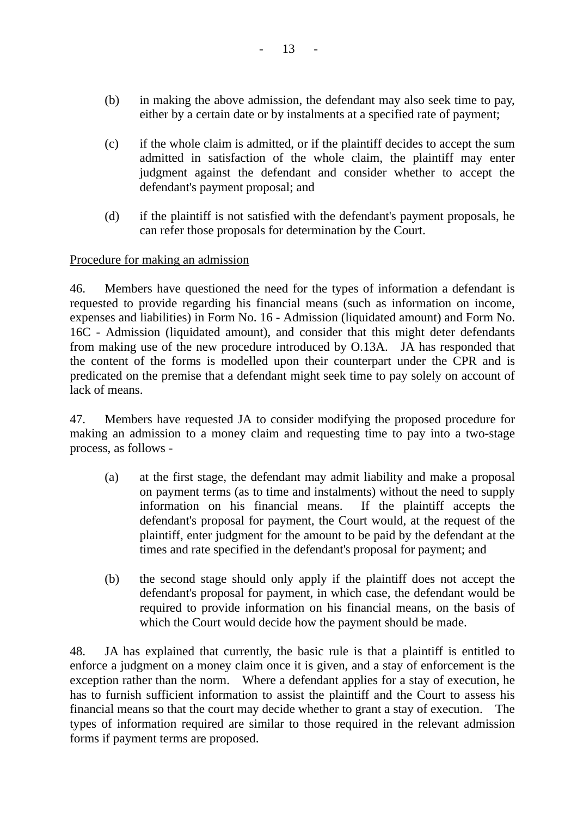- (b) in making the above admission, the defendant may also seek time to pay, either by a certain date or by instalments at a specified rate of payment;
- (c) if the whole claim is admitted, or if the plaintiff decides to accept the sum admitted in satisfaction of the whole claim, the plaintiff may enter judgment against the defendant and consider whether to accept the defendant's payment proposal; and
- (d) if the plaintiff is not satisfied with the defendant's payment proposals, he can refer those proposals for determination by the Court.

#### Procedure for making an admission

46. Members have questioned the need for the types of information a defendant is requested to provide regarding his financial means (such as information on income, expenses and liabilities) in Form No. 16 - Admission (liquidated amount) and Form No. 16C - Admission (liquidated amount), and consider that this might deter defendants from making use of the new procedure introduced by O.13A. JA has responded that the content of the forms is modelled upon their counterpart under the CPR and is predicated on the premise that a defendant might seek time to pay solely on account of lack of means.

47. Members have requested JA to consider modifying the proposed procedure for making an admission to a money claim and requesting time to pay into a two-stage process, as follows -

- (a) at the first stage, the defendant may admit liability and make a proposal on payment terms (as to time and instalments) without the need to supply information on his financial means. If the plaintiff accepts the defendant's proposal for payment, the Court would, at the request of the plaintiff, enter judgment for the amount to be paid by the defendant at the times and rate specified in the defendant's proposal for payment; and
- (b) the second stage should only apply if the plaintiff does not accept the defendant's proposal for payment, in which case, the defendant would be required to provide information on his financial means, on the basis of which the Court would decide how the payment should be made.

48. JA has explained that currently, the basic rule is that a plaintiff is entitled to enforce a judgment on a money claim once it is given, and a stay of enforcement is the exception rather than the norm. Where a defendant applies for a stay of execution, he has to furnish sufficient information to assist the plaintiff and the Court to assess his financial means so that the court may decide whether to grant a stay of execution. The types of information required are similar to those required in the relevant admission forms if payment terms are proposed.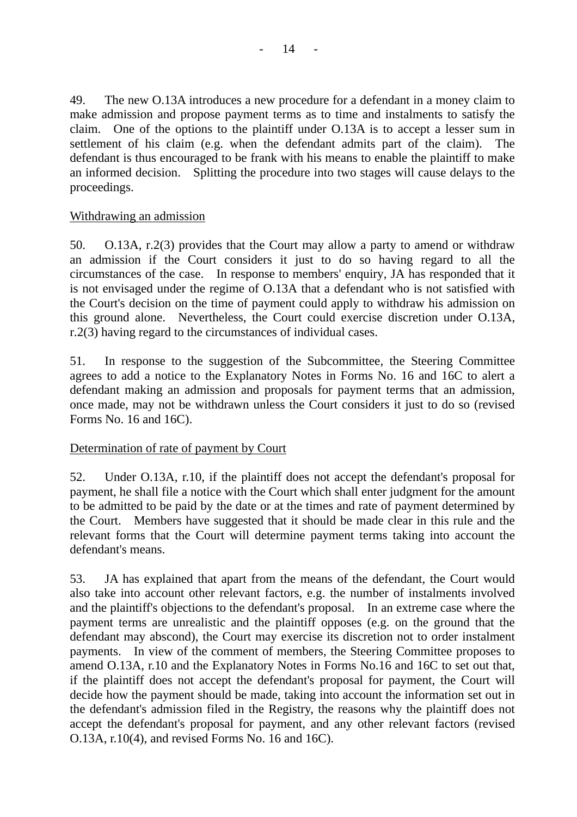49. The new O.13A introduces a new procedure for a defendant in a money claim to make admission and propose payment terms as to time and instalments to satisfy the claim. One of the options to the plaintiff under O.13A is to accept a lesser sum in settlement of his claim (e.g. when the defendant admits part of the claim). The defendant is thus encouraged to be frank with his means to enable the plaintiff to make an informed decision. Splitting the procedure into two stages will cause delays to the proceedings.

#### Withdrawing an admission

50. O.13A, r.2(3) provides that the Court may allow a party to amend or withdraw an admission if the Court considers it just to do so having regard to all the circumstances of the case. In response to members' enquiry, JA has responded that it is not envisaged under the regime of O.13A that a defendant who is not satisfied with the Court's decision on the time of payment could apply to withdraw his admission on this ground alone. Nevertheless, the Court could exercise discretion under O.13A, r.2(3) having regard to the circumstances of individual cases.

51. In response to the suggestion of the Subcommittee, the Steering Committee agrees to add a notice to the Explanatory Notes in Forms No. 16 and 16C to alert a defendant making an admission and proposals for payment terms that an admission, once made, may not be withdrawn unless the Court considers it just to do so (revised Forms No. 16 and 16C).

# Determination of rate of payment by Court

52. Under O.13A, r.10, if the plaintiff does not accept the defendant's proposal for payment, he shall file a notice with the Court which shall enter judgment for the amount to be admitted to be paid by the date or at the times and rate of payment determined by the Court. Members have suggested that it should be made clear in this rule and the relevant forms that the Court will determine payment terms taking into account the defendant's means.

53. JA has explained that apart from the means of the defendant, the Court would also take into account other relevant factors, e.g. the number of instalments involved and the plaintiff's objections to the defendant's proposal. In an extreme case where the payment terms are unrealistic and the plaintiff opposes (e.g. on the ground that the defendant may abscond), the Court may exercise its discretion not to order instalment payments. In view of the comment of members, the Steering Committee proposes to amend O.13A, r.10 and the Explanatory Notes in Forms No.16 and 16C to set out that, if the plaintiff does not accept the defendant's proposal for payment, the Court will decide how the payment should be made, taking into account the information set out in the defendant's admission filed in the Registry, the reasons why the plaintiff does not accept the defendant's proposal for payment, and any other relevant factors (revised O.13A, r.10(4), and revised Forms No. 16 and 16C).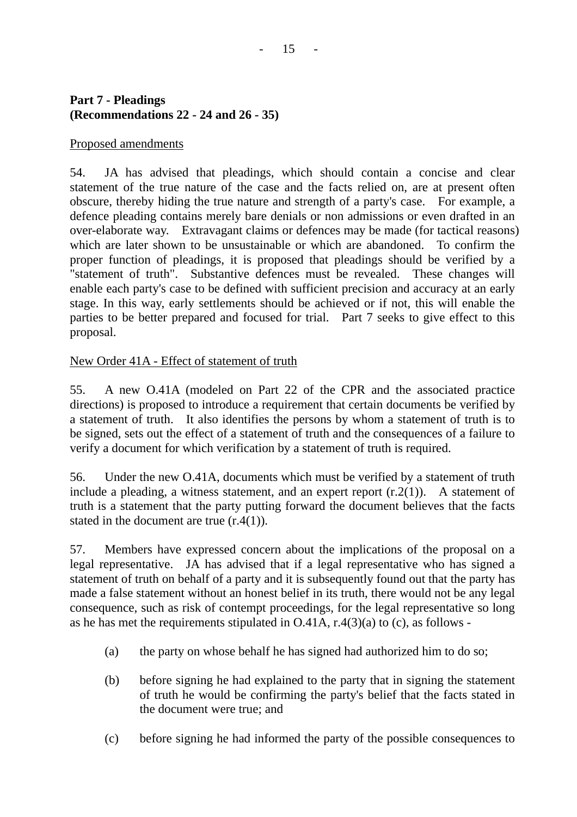# **Part 7 - Pleadings (Recommendations 22 - 24 and 26 - 35)**

### Proposed amendments

54. JA has advised that pleadings, which should contain a concise and clear statement of the true nature of the case and the facts relied on, are at present often obscure, thereby hiding the true nature and strength of a party's case. For example, a defence pleading contains merely bare denials or non admissions or even drafted in an over-elaborate way. Extravagant claims or defences may be made (for tactical reasons) which are later shown to be unsustainable or which are abandoned. To confirm the proper function of pleadings, it is proposed that pleadings should be verified by a "statement of truth". Substantive defences must be revealed. These changes will enable each party's case to be defined with sufficient precision and accuracy at an early stage. In this way, early settlements should be achieved or if not, this will enable the parties to be better prepared and focused for trial. Part 7 seeks to give effect to this proposal.

New Order 41A - Effect of statement of truth

55. A new O.41A (modeled on Part 22 of the CPR and the associated practice directions) is proposed to introduce a requirement that certain documents be verified by a statement of truth. It also identifies the persons by whom a statement of truth is to be signed, sets out the effect of a statement of truth and the consequences of a failure to verify a document for which verification by a statement of truth is required.

56. Under the new O.41A, documents which must be verified by a statement of truth include a pleading, a witness statement, and an expert report  $(r.2(1))$ . A statement of truth is a statement that the party putting forward the document believes that the facts stated in the document are true  $(r.4(1))$ .

57. Members have expressed concern about the implications of the proposal on a legal representative. JA has advised that if a legal representative who has signed a statement of truth on behalf of a party and it is subsequently found out that the party has made a false statement without an honest belief in its truth, there would not be any legal consequence, such as risk of contempt proceedings, for the legal representative so long as he has met the requirements stipulated in O.41A, r.4(3)(a) to (c), as follows -

- (a) the party on whose behalf he has signed had authorized him to do so;
- (b) before signing he had explained to the party that in signing the statement of truth he would be confirming the party's belief that the facts stated in the document were true; and
- (c) before signing he had informed the party of the possible consequences to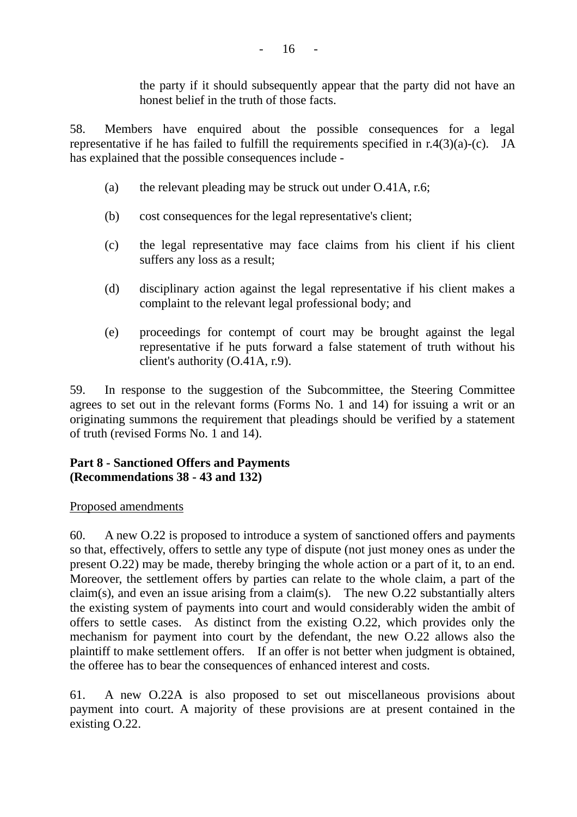the party if it should subsequently appear that the party did not have an honest belief in the truth of those facts.

58. Members have enquired about the possible consequences for a legal representative if he has failed to fulfill the requirements specified in r.4(3)(a)-(c). JA has explained that the possible consequences include -

- (a) the relevant pleading may be struck out under O.41A, r.6;
- (b) cost consequences for the legal representative's client;
- (c) the legal representative may face claims from his client if his client suffers any loss as a result;
- (d) disciplinary action against the legal representative if his client makes a complaint to the relevant legal professional body; and
- (e) proceedings for contempt of court may be brought against the legal representative if he puts forward a false statement of truth without his client's authority (O.41A, r.9).

59. In response to the suggestion of the Subcommittee, the Steering Committee agrees to set out in the relevant forms (Forms No. 1 and 14) for issuing a writ or an originating summons the requirement that pleadings should be verified by a statement of truth (revised Forms No. 1 and 14).

#### **Part 8 - Sanctioned Offers and Payments (Recommendations 38 - 43 and 132)**

#### Proposed amendments

60. A new O.22 is proposed to introduce a system of sanctioned offers and payments so that, effectively, offers to settle any type of dispute (not just money ones as under the present O.22) may be made, thereby bringing the whole action or a part of it, to an end. Moreover, the settlement offers by parties can relate to the whole claim, a part of the claim(s), and even an issue arising from a claim(s). The new O.22 substantially alters the existing system of payments into court and would considerably widen the ambit of offers to settle cases. As distinct from the existing O.22, which provides only the mechanism for payment into court by the defendant, the new O.22 allows also the plaintiff to make settlement offers. If an offer is not better when judgment is obtained, the offeree has to bear the consequences of enhanced interest and costs.

61. A new O.22A is also proposed to set out miscellaneous provisions about payment into court. A majority of these provisions are at present contained in the existing O.22.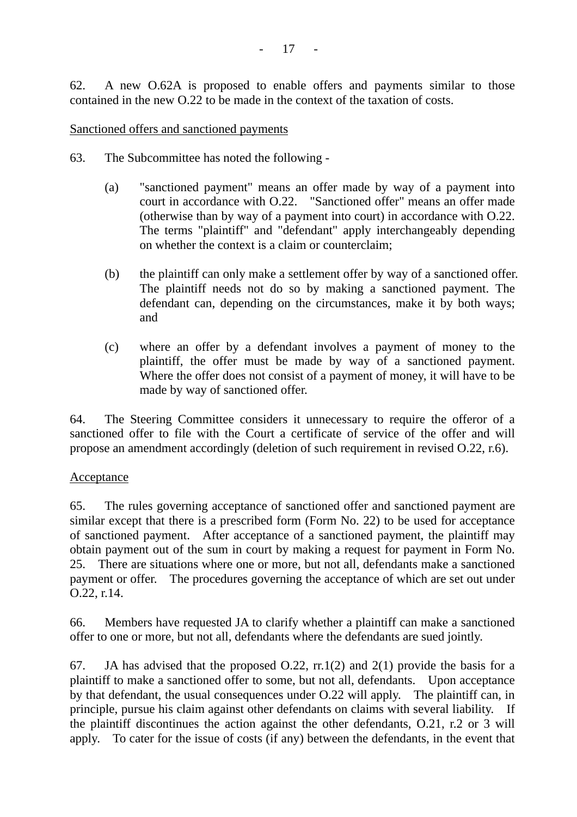62. A new O.62A is proposed to enable offers and payments similar to those contained in the new O.22 to be made in the context of the taxation of costs.

Sanctioned offers and sanctioned payments

- 63. The Subcommittee has noted the following
	- (a) "sanctioned payment" means an offer made by way of a payment into court in accordance with O.22. "Sanctioned offer" means an offer made (otherwise than by way of a payment into court) in accordance with O.22. The terms "plaintiff" and "defendant" apply interchangeably depending on whether the context is a claim or counterclaim;
	- (b) the plaintiff can only make a settlement offer by way of a sanctioned offer. The plaintiff needs not do so by making a sanctioned payment. The defendant can, depending on the circumstances, make it by both ways; and
	- (c) where an offer by a defendant involves a payment of money to the plaintiff, the offer must be made by way of a sanctioned payment. Where the offer does not consist of a payment of money, it will have to be made by way of sanctioned offer.

64. The Steering Committee considers it unnecessary to require the offeror of a sanctioned offer to file with the Court a certificate of service of the offer and will propose an amendment accordingly (deletion of such requirement in revised O.22, r.6).

# **Acceptance**

65. The rules governing acceptance of sanctioned offer and sanctioned payment are similar except that there is a prescribed form (Form No. 22) to be used for acceptance of sanctioned payment. After acceptance of a sanctioned payment, the plaintiff may obtain payment out of the sum in court by making a request for payment in Form No. 25. There are situations where one or more, but not all, defendants make a sanctioned payment or offer. The procedures governing the acceptance of which are set out under O.22, r.14.

66. Members have requested JA to clarify whether a plaintiff can make a sanctioned offer to one or more, but not all, defendants where the defendants are sued jointly.

67. JA has advised that the proposed O.22, rr.1(2) and 2(1) provide the basis for a plaintiff to make a sanctioned offer to some, but not all, defendants. Upon acceptance by that defendant, the usual consequences under O.22 will apply. The plaintiff can, in principle, pursue his claim against other defendants on claims with several liability. If the plaintiff discontinues the action against the other defendants, O.21, r.2 or 3 will apply. To cater for the issue of costs (if any) between the defendants, in the event that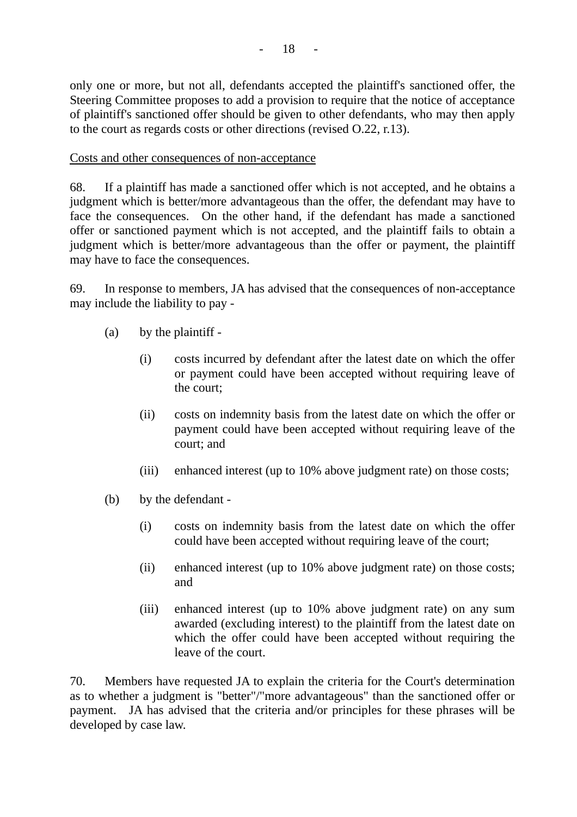only one or more, but not all, defendants accepted the plaintiff's sanctioned offer, the Steering Committee proposes to add a provision to require that the notice of acceptance of plaintiff's sanctioned offer should be given to other defendants, who may then apply to the court as regards costs or other directions (revised O.22, r.13).

#### Costs and other consequences of non-acceptance

68. If a plaintiff has made a sanctioned offer which is not accepted, and he obtains a judgment which is better/more advantageous than the offer, the defendant may have to face the consequences. On the other hand, if the defendant has made a sanctioned offer or sanctioned payment which is not accepted, and the plaintiff fails to obtain a judgment which is better/more advantageous than the offer or payment, the plaintiff may have to face the consequences.

69. In response to members, JA has advised that the consequences of non-acceptance may include the liability to pay -

- (a) by the plaintiff
	- (i) costs incurred by defendant after the latest date on which the offer or payment could have been accepted without requiring leave of the court;
	- (ii) costs on indemnity basis from the latest date on which the offer or payment could have been accepted without requiring leave of the court; and
	- (iii) enhanced interest (up to 10% above judgment rate) on those costs;
- (b) by the defendant
	- (i) costs on indemnity basis from the latest date on which the offer could have been accepted without requiring leave of the court;
	- (ii) enhanced interest (up to 10% above judgment rate) on those costs; and
	- (iii) enhanced interest (up to 10% above judgment rate) on any sum awarded (excluding interest) to the plaintiff from the latest date on which the offer could have been accepted without requiring the leave of the court.

70. Members have requested JA to explain the criteria for the Court's determination as to whether a judgment is "better"/"more advantageous" than the sanctioned offer or payment. JA has advised that the criteria and/or principles for these phrases will be developed by case law.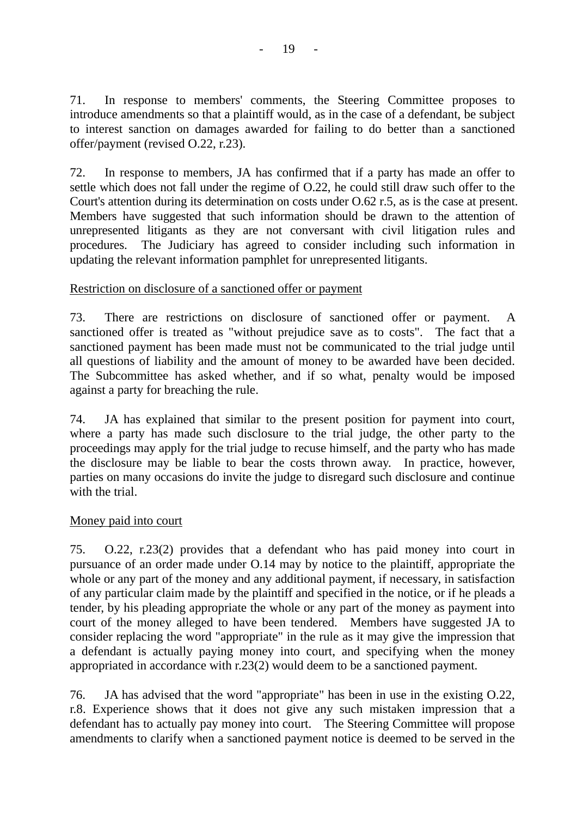71. In response to members' comments, the Steering Committee proposes to introduce amendments so that a plaintiff would, as in the case of a defendant, be subject to interest sanction on damages awarded for failing to do better than a sanctioned offer/payment (revised O.22, r.23).

72. In response to members, JA has confirmed that if a party has made an offer to settle which does not fall under the regime of O.22, he could still draw such offer to the Court's attention during its determination on costs under O.62 r.5, as is the case at present. Members have suggested that such information should be drawn to the attention of unrepresented litigants as they are not conversant with civil litigation rules and procedures. The Judiciary has agreed to consider including such information in updating the relevant information pamphlet for unrepresented litigants.

# Restriction on disclosure of a sanctioned offer or payment

73. There are restrictions on disclosure of sanctioned offer or payment. A sanctioned offer is treated as "without prejudice save as to costs". The fact that a sanctioned payment has been made must not be communicated to the trial judge until all questions of liability and the amount of money to be awarded have been decided. The Subcommittee has asked whether, and if so what, penalty would be imposed against a party for breaching the rule.

74. JA has explained that similar to the present position for payment into court, where a party has made such disclosure to the trial judge, the other party to the proceedings may apply for the trial judge to recuse himself, and the party who has made the disclosure may be liable to bear the costs thrown away. In practice, however, parties on many occasions do invite the judge to disregard such disclosure and continue with the trial.

# Money paid into court

75. O.22, r.23(2) provides that a defendant who has paid money into court in pursuance of an order made under O.14 may by notice to the plaintiff, appropriate the whole or any part of the money and any additional payment, if necessary, in satisfaction of any particular claim made by the plaintiff and specified in the notice, or if he pleads a tender, by his pleading appropriate the whole or any part of the money as payment into court of the money alleged to have been tendered. Members have suggested JA to consider replacing the word "appropriate" in the rule as it may give the impression that a defendant is actually paying money into court, and specifying when the money appropriated in accordance with r.23(2) would deem to be a sanctioned payment.

76. JA has advised that the word "appropriate" has been in use in the existing O.22, r.8. Experience shows that it does not give any such mistaken impression that a defendant has to actually pay money into court. The Steering Committee will propose amendments to clarify when a sanctioned payment notice is deemed to be served in the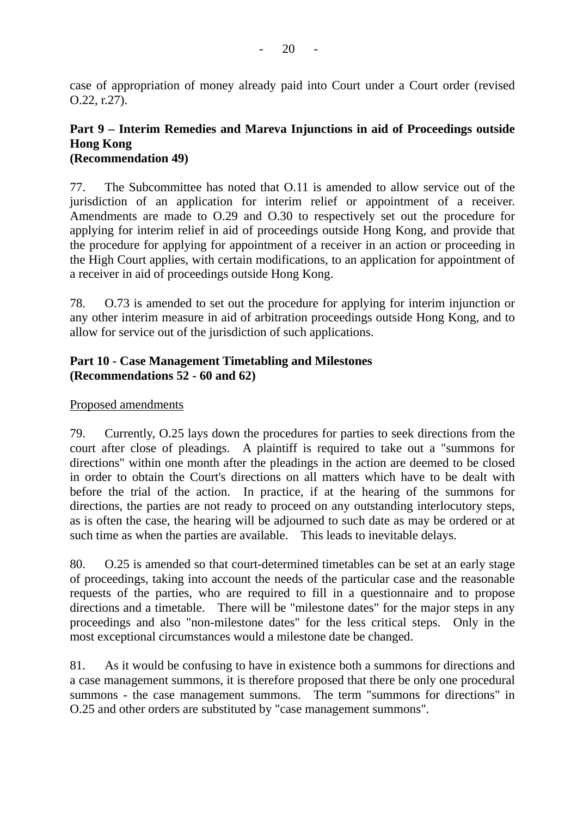case of appropriation of money already paid into Court under a Court order (revised O.22, r.27).

#### **Part 9 – Interim Remedies and Mareva Injunctions in aid of Proceedings outside Hong Kong (Recommendation 49)**

77. The Subcommittee has noted that O.11 is amended to allow service out of the jurisdiction of an application for interim relief or appointment of a receiver. Amendments are made to O.29 and O.30 to respectively set out the procedure for applying for interim relief in aid of proceedings outside Hong Kong, and provide that the procedure for applying for appointment of a receiver in an action or proceeding in the High Court applies, with certain modifications, to an application for appointment of a receiver in aid of proceedings outside Hong Kong.

78. O.73 is amended to set out the procedure for applying for interim injunction or any other interim measure in aid of arbitration proceedings outside Hong Kong, and to allow for service out of the jurisdiction of such applications.

# **Part 10 - Case Management Timetabling and Milestones (Recommendations 52 - 60 and 62)**

# Proposed amendments

79. Currently, O.25 lays down the procedures for parties to seek directions from the court after close of pleadings. A plaintiff is required to take out a "summons for directions" within one month after the pleadings in the action are deemed to be closed in order to obtain the Court's directions on all matters which have to be dealt with before the trial of the action. In practice, if at the hearing of the summons for directions, the parties are not ready to proceed on any outstanding interlocutory steps, as is often the case, the hearing will be adjourned to such date as may be ordered or at such time as when the parties are available. This leads to inevitable delays.

80. O.25 is amended so that court-determined timetables can be set at an early stage of proceedings, taking into account the needs of the particular case and the reasonable requests of the parties, who are required to fill in a questionnaire and to propose directions and a timetable. There will be "milestone dates" for the major steps in any proceedings and also "non-milestone dates" for the less critical steps. Only in the most exceptional circumstances would a milestone date be changed.

81. As it would be confusing to have in existence both a summons for directions and a case management summons, it is therefore proposed that there be only one procedural summons - the case management summons. The term "summons for directions" in O.25 and other orders are substituted by "case management summons".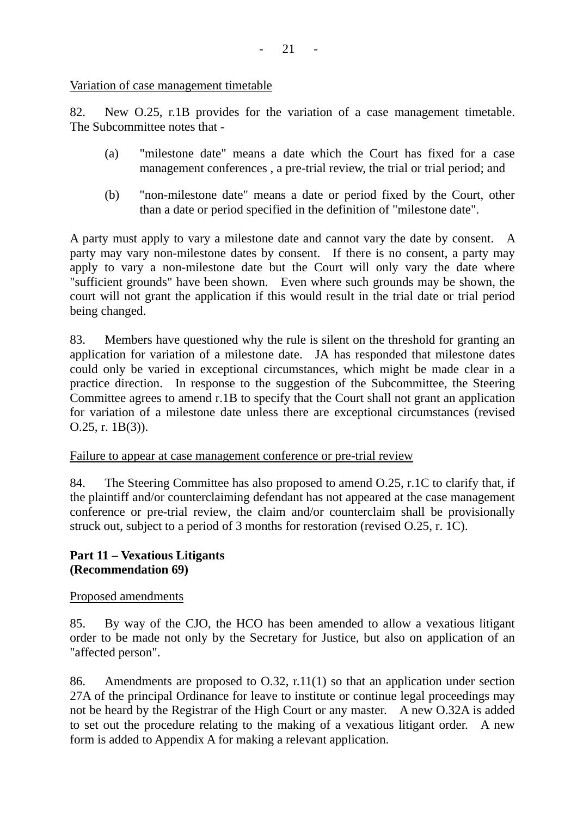Variation of case management timetable

82. New O.25, r.1B provides for the variation of a case management timetable. The Subcommittee notes that -

- (a) "milestone date" means a date which the Court has fixed for a case management conferences , a pre-trial review, the trial or trial period; and
- (b) "non-milestone date" means a date or period fixed by the Court, other than a date or period specified in the definition of "milestone date".

A party must apply to vary a milestone date and cannot vary the date by consent. A party may vary non-milestone dates by consent. If there is no consent, a party may apply to vary a non-milestone date but the Court will only vary the date where "sufficient grounds" have been shown. Even where such grounds may be shown, the court will not grant the application if this would result in the trial date or trial period being changed.

83. Members have questioned why the rule is silent on the threshold for granting an application for variation of a milestone date. JA has responded that milestone dates could only be varied in exceptional circumstances, which might be made clear in a practice direction. In response to the suggestion of the Subcommittee, the Steering Committee agrees to amend r.1B to specify that the Court shall not grant an application for variation of a milestone date unless there are exceptional circumstances (revised O.25, r. 1B(3)).

Failure to appear at case management conference or pre-trial review

84. The Steering Committee has also proposed to amend O.25, r.1C to clarify that, if the plaintiff and/or counterclaiming defendant has not appeared at the case management conference or pre-trial review, the claim and/or counterclaim shall be provisionally struck out, subject to a period of 3 months for restoration (revised O.25, r. 1C).

# **Part 11 – Vexatious Litigants (Recommendation 69)**

# Proposed amendments

85. By way of the CJO, the HCO has been amended to allow a vexatious litigant order to be made not only by the Secretary for Justice, but also on application of an "affected person".

86. Amendments are proposed to O.32, r.11(1) so that an application under section 27A of the principal Ordinance for leave to institute or continue legal proceedings may not be heard by the Registrar of the High Court or any master. A new O.32A is added to set out the procedure relating to the making of a vexatious litigant order. A new form is added to Appendix A for making a relevant application.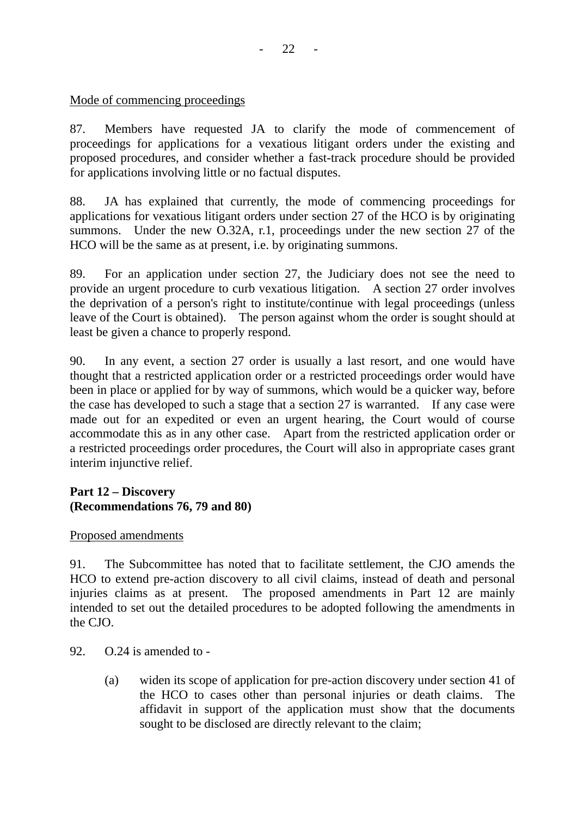# Mode of commencing proceedings

87. Members have requested JA to clarify the mode of commencement of proceedings for applications for a vexatious litigant orders under the existing and proposed procedures, and consider whether a fast-track procedure should be provided for applications involving little or no factual disputes.

88. JA has explained that currently, the mode of commencing proceedings for applications for vexatious litigant orders under section 27 of the HCO is by originating summons. Under the new O.32A, r.1, proceedings under the new section 27 of the HCO will be the same as at present, i.e. by originating summons.

89. For an application under section 27, the Judiciary does not see the need to provide an urgent procedure to curb vexatious litigation. A section 27 order involves the deprivation of a person's right to institute/continue with legal proceedings (unless leave of the Court is obtained). The person against whom the order is sought should at least be given a chance to properly respond.

90. In any event, a section 27 order is usually a last resort, and one would have thought that a restricted application order or a restricted proceedings order would have been in place or applied for by way of summons, which would be a quicker way, before the case has developed to such a stage that a section 27 is warranted. If any case were made out for an expedited or even an urgent hearing, the Court would of course accommodate this as in any other case. Apart from the restricted application order or a restricted proceedings order procedures, the Court will also in appropriate cases grant interim injunctive relief.

# **Part 12 – Discovery (Recommendations 76, 79 and 80)**

# Proposed amendments

91. The Subcommittee has noted that to facilitate settlement, the CJO amends the HCO to extend pre-action discovery to all civil claims, instead of death and personal injuries claims as at present. The proposed amendments in Part 12 are mainly intended to set out the detailed procedures to be adopted following the amendments in the CJO.

92. O.24 is amended to -

(a) widen its scope of application for pre-action discovery under section 41 of the HCO to cases other than personal injuries or death claims. The affidavit in support of the application must show that the documents sought to be disclosed are directly relevant to the claim;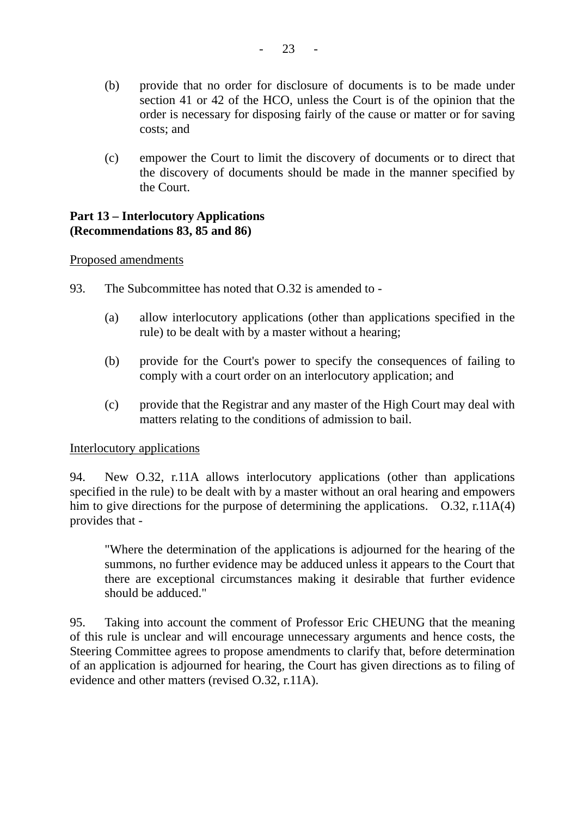- (b) provide that no order for disclosure of documents is to be made under section 41 or 42 of the HCO, unless the Court is of the opinion that the order is necessary for disposing fairly of the cause or matter or for saving costs; and
- (c) empower the Court to limit the discovery of documents or to direct that the discovery of documents should be made in the manner specified by the Court.

#### **Part 13 – Interlocutory Applications (Recommendations 83, 85 and 86)**

#### Proposed amendments

- 93. The Subcommittee has noted that O.32 is amended to
	- (a) allow interlocutory applications (other than applications specified in the rule) to be dealt with by a master without a hearing;
	- (b) provide for the Court's power to specify the consequences of failing to comply with a court order on an interlocutory application; and
	- (c) provide that the Registrar and any master of the High Court may deal with matters relating to the conditions of admission to bail.

#### Interlocutory applications

94. New O.32, r.11A allows interlocutory applications (other than applications specified in the rule) to be dealt with by a master without an oral hearing and empowers him to give directions for the purpose of determining the applications. O.32, r.11A(4) provides that -

"Where the determination of the applications is adjourned for the hearing of the summons, no further evidence may be adduced unless it appears to the Court that there are exceptional circumstances making it desirable that further evidence should be adduced."

95. Taking into account the comment of Professor Eric CHEUNG that the meaning of this rule is unclear and will encourage unnecessary arguments and hence costs, the Steering Committee agrees to propose amendments to clarify that, before determination of an application is adjourned for hearing, the Court has given directions as to filing of evidence and other matters (revised O.32, r.11A).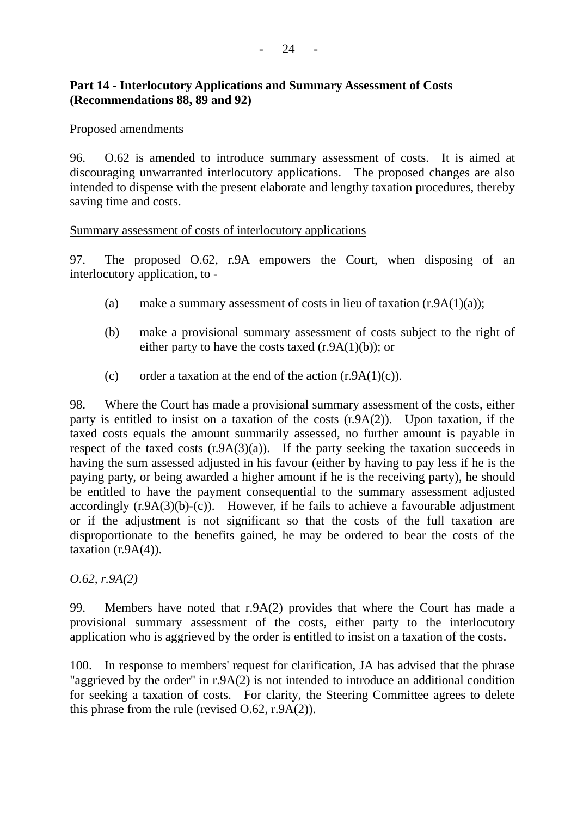### **Part 14 - Interlocutory Applications and Summary Assessment of Costs (Recommendations 88, 89 and 92)**

#### Proposed amendments

96. O.62 is amended to introduce summary assessment of costs. It is aimed at discouraging unwarranted interlocutory applications. The proposed changes are also intended to dispense with the present elaborate and lengthy taxation procedures, thereby saving time and costs.

#### Summary assessment of costs of interlocutory applications

97. The proposed O.62, r.9A empowers the Court, when disposing of an interlocutory application, to -

- (a) make a summary assessment of costs in lieu of taxation  $(r.9A(1)(a))$ ;
- (b) make a provisional summary assessment of costs subject to the right of either party to have the costs taxed  $(r.9A(1)(b))$ ; or
- (c) order a taxation at the end of the action  $(r.9A(1)(c))$ .

98. Where the Court has made a provisional summary assessment of the costs, either party is entitled to insist on a taxation of the costs (r.9A(2)). Upon taxation, if the taxed costs equals the amount summarily assessed, no further amount is payable in respect of the taxed costs  $(r.9A(3)(a))$ . If the party seeking the taxation succeeds in having the sum assessed adjusted in his favour (either by having to pay less if he is the paying party, or being awarded a higher amount if he is the receiving party), he should be entitled to have the payment consequential to the summary assessment adjusted accordingly  $(r.9A(3)(b)-(c))$ . However, if he fails to achieve a favourable adjustment or if the adjustment is not significant so that the costs of the full taxation are disproportionate to the benefits gained, he may be ordered to bear the costs of the taxation  $(r.9A(4))$ .

*O.62, r.9A(2)* 

99. Members have noted that r.9A(2) provides that where the Court has made a provisional summary assessment of the costs, either party to the interlocutory application who is aggrieved by the order is entitled to insist on a taxation of the costs.

100. In response to members' request for clarification, JA has advised that the phrase "aggrieved by the order" in r.9A(2) is not intended to introduce an additional condition for seeking a taxation of costs. For clarity, the Steering Committee agrees to delete this phrase from the rule (revised O.62, r.9A(2)).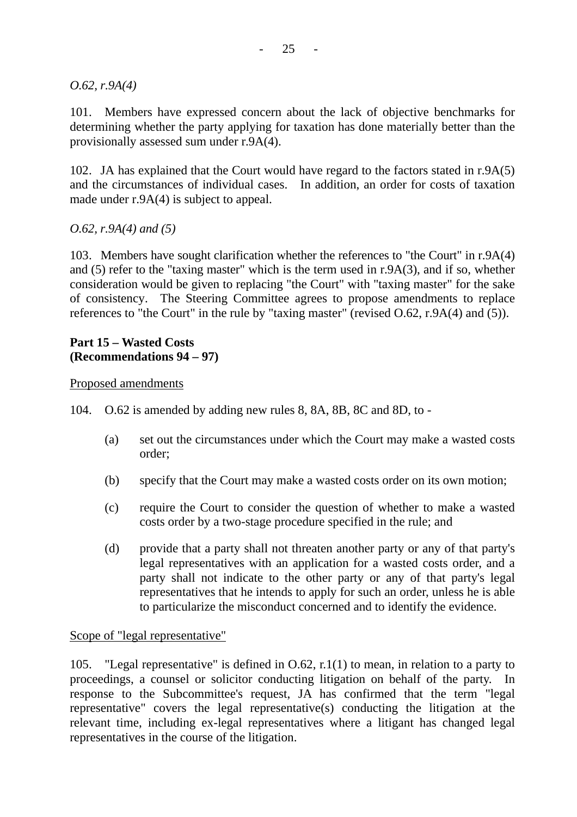*O.62, r.9A(4)* 

101. Members have expressed concern about the lack of objective benchmarks for determining whether the party applying for taxation has done materially better than the provisionally assessed sum under r.9A(4).

102. JA has explained that the Court would have regard to the factors stated in r.9A(5) and the circumstances of individual cases. In addition, an order for costs of taxation made under r.9A(4) is subject to appeal.

#### *O.62, r.9A(4) and (5)*

103. Members have sought clarification whether the references to "the Court" in r.9A(4) and (5) refer to the "taxing master" which is the term used in r.9A(3), and if so, whether consideration would be given to replacing "the Court" with "taxing master" for the sake of consistency. The Steering Committee agrees to propose amendments to replace references to "the Court" in the rule by "taxing master" (revised O.62, r.9A(4) and (5)).

# **Part 15 – Wasted Costs (Recommendations 94 – 97)**

#### Proposed amendments

104. O.62 is amended by adding new rules 8, 8A, 8B, 8C and 8D, to -

- (a) set out the circumstances under which the Court may make a wasted costs order;
- (b) specify that the Court may make a wasted costs order on its own motion;
- (c) require the Court to consider the question of whether to make a wasted costs order by a two-stage procedure specified in the rule; and
- (d) provide that a party shall not threaten another party or any of that party's legal representatives with an application for a wasted costs order, and a party shall not indicate to the other party or any of that party's legal representatives that he intends to apply for such an order, unless he is able to particularize the misconduct concerned and to identify the evidence.

#### Scope of "legal representative"

105. "Legal representative" is defined in O.62, r.1(1) to mean, in relation to a party to proceedings, a counsel or solicitor conducting litigation on behalf of the party. In response to the Subcommittee's request, JA has confirmed that the term "legal representative" covers the legal representative(s) conducting the litigation at the relevant time, including ex-legal representatives where a litigant has changed legal representatives in the course of the litigation.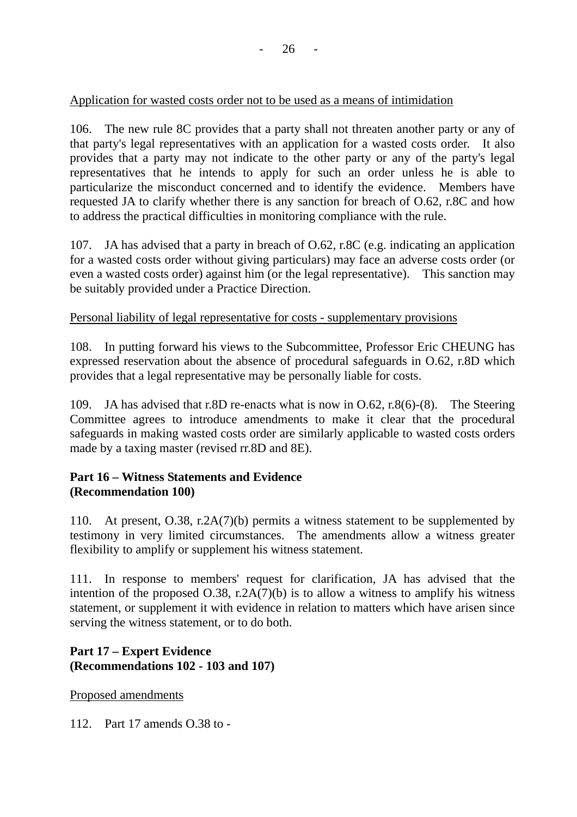# Application for wasted costs order not to be used as a means of intimidation

106. The new rule 8C provides that a party shall not threaten another party or any of that party's legal representatives with an application for a wasted costs order. It also provides that a party may not indicate to the other party or any of the party's legal representatives that he intends to apply for such an order unless he is able to particularize the misconduct concerned and to identify the evidence. Members have requested JA to clarify whether there is any sanction for breach of O.62, r.8C and how to address the practical difficulties in monitoring compliance with the rule.

107. JA has advised that a party in breach of O.62, r.8C (e.g. indicating an application for a wasted costs order without giving particulars) may face an adverse costs order (or even a wasted costs order) against him (or the legal representative). This sanction may be suitably provided under a Practice Direction.

#### Personal liability of legal representative for costs - supplementary provisions

108. In putting forward his views to the Subcommittee, Professor Eric CHEUNG has expressed reservation about the absence of procedural safeguards in O.62, r.8D which provides that a legal representative may be personally liable for costs.

109. JA has advised that r.8D re-enacts what is now in O.62, r.8(6)-(8). The Steering Committee agrees to introduce amendments to make it clear that the procedural safeguards in making wasted costs order are similarly applicable to wasted costs orders made by a taxing master (revised rr.8D and 8E).

# **Part 16 – Witness Statements and Evidence (Recommendation 100)**

110. At present, O.38, r.2A(7)(b) permits a witness statement to be supplemented by testimony in very limited circumstances. The amendments allow a witness greater flexibility to amplify or supplement his witness statement.

111. In response to members' request for clarification, JA has advised that the intention of the proposed O.38, r.2A(7)(b) is to allow a witness to amplify his witness statement, or supplement it with evidence in relation to matters which have arisen since serving the witness statement, or to do both.

# **Part 17 – Expert Evidence (Recommendations 102 - 103 and 107)**

Proposed amendments

112. Part 17 amends O.38 to -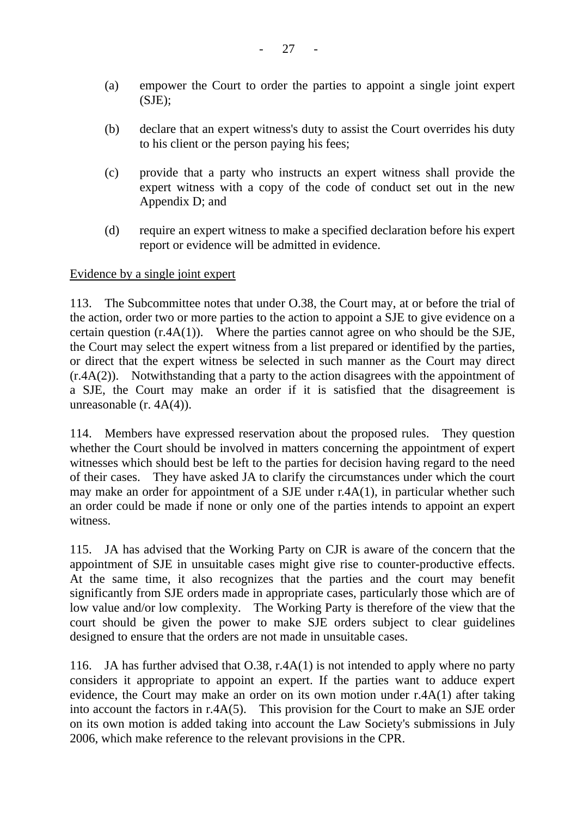- (a) empower the Court to order the parties to appoint a single joint expert  $(SJE)$ ;
- (b) declare that an expert witness's duty to assist the Court overrides his duty to his client or the person paying his fees;
- (c) provide that a party who instructs an expert witness shall provide the expert witness with a copy of the code of conduct set out in the new Appendix D; and
- (d) require an expert witness to make a specified declaration before his expert report or evidence will be admitted in evidence.

# Evidence by a single joint expert

113. The Subcommittee notes that under O.38, the Court may, at or before the trial of the action, order two or more parties to the action to appoint a SJE to give evidence on a certain question (r.4A(1)). Where the parties cannot agree on who should be the SJE, the Court may select the expert witness from a list prepared or identified by the parties, or direct that the expert witness be selected in such manner as the Court may direct (r.4A(2)). Notwithstanding that a party to the action disagrees with the appointment of a SJE, the Court may make an order if it is satisfied that the disagreement is unreasonable (r. 4A(4)).

114. Members have expressed reservation about the proposed rules. They question whether the Court should be involved in matters concerning the appointment of expert witnesses which should best be left to the parties for decision having regard to the need of their cases. They have asked JA to clarify the circumstances under which the court may make an order for appointment of a SJE under r.4A(1), in particular whether such an order could be made if none or only one of the parties intends to appoint an expert witness.

115. JA has advised that the Working Party on CJR is aware of the concern that the appointment of SJE in unsuitable cases might give rise to counter-productive effects. At the same time, it also recognizes that the parties and the court may benefit significantly from SJE orders made in appropriate cases, particularly those which are of low value and/or low complexity. The Working Party is therefore of the view that the court should be given the power to make SJE orders subject to clear guidelines designed to ensure that the orders are not made in unsuitable cases.

116. JA has further advised that O.38, r.4A(1) is not intended to apply where no party considers it appropriate to appoint an expert. If the parties want to adduce expert evidence, the Court may make an order on its own motion under r.4A(1) after taking into account the factors in r.4A(5). This provision for the Court to make an SJE order on its own motion is added taking into account the Law Society's submissions in July 2006, which make reference to the relevant provisions in the CPR.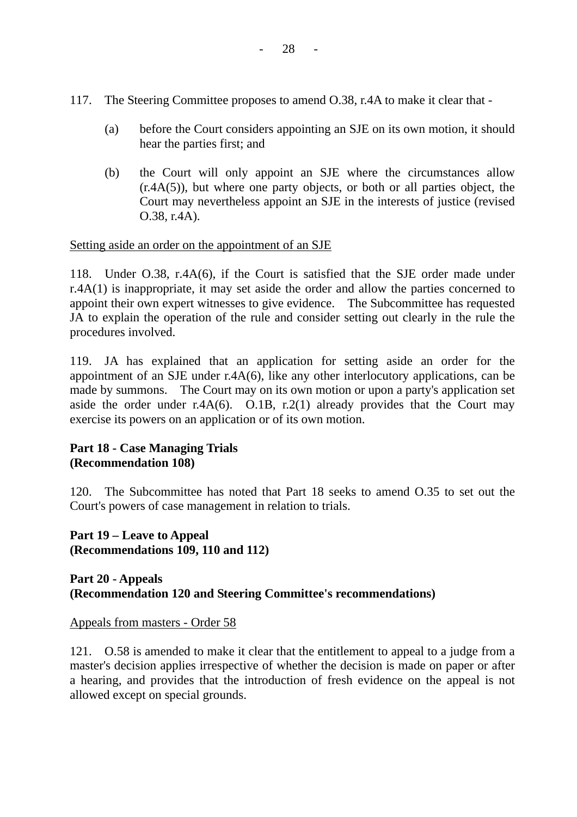- 117. The Steering Committee proposes to amend O.38, r.4A to make it clear that
	- (a) before the Court considers appointing an SJE on its own motion, it should hear the parties first; and
	- (b) the Court will only appoint an SJE where the circumstances allow  $(r.4A(5))$ , but where one party objects, or both or all parties object, the Court may nevertheless appoint an SJE in the interests of justice (revised O.38, r.4A).

# Setting aside an order on the appointment of an SJE

118. Under O.38, r.4A(6), if the Court is satisfied that the SJE order made under r.4A(1) is inappropriate, it may set aside the order and allow the parties concerned to appoint their own expert witnesses to give evidence. The Subcommittee has requested JA to explain the operation of the rule and consider setting out clearly in the rule the procedures involved.

119. JA has explained that an application for setting aside an order for the appointment of an SJE under r.4A(6), like any other interlocutory applications, can be made by summons. The Court may on its own motion or upon a party's application set aside the order under r.4A(6). O.1B, r.2(1) already provides that the Court may exercise its powers on an application or of its own motion.

# **Part 18 - Case Managing Trials (Recommendation 108)**

120. The Subcommittee has noted that Part 18 seeks to amend O.35 to set out the Court's powers of case management in relation to trials.

**Part 19 – Leave to Appeal (Recommendations 109, 110 and 112)** 

# **Part 20 - Appeals (Recommendation 120 and Steering Committee's recommendations)**

Appeals from masters - Order 58

121. O.58 is amended to make it clear that the entitlement to appeal to a judge from a master's decision applies irrespective of whether the decision is made on paper or after a hearing, and provides that the introduction of fresh evidence on the appeal is not allowed except on special grounds.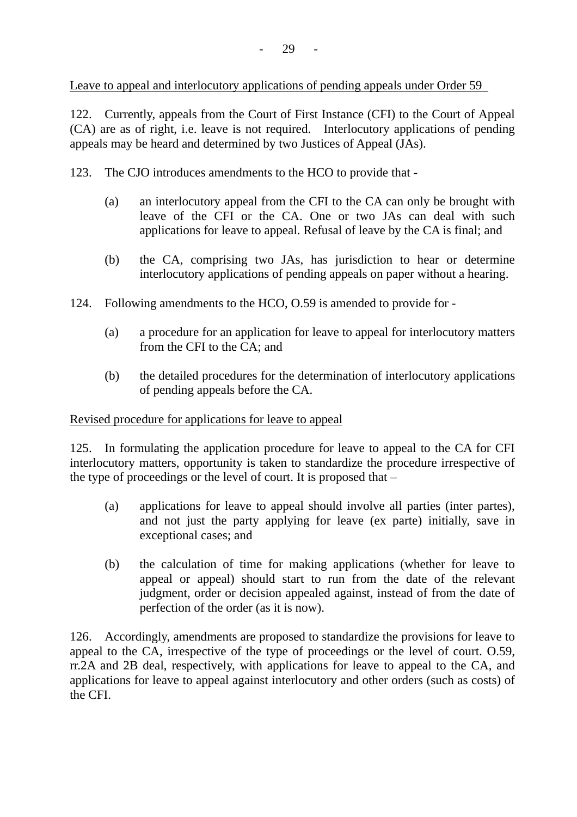Leave to appeal and interlocutory applications of pending appeals under Order 59

122. Currently, appeals from the Court of First Instance (CFI) to the Court of Appeal (CA) are as of right, i.e. leave is not required. Interlocutory applications of pending appeals may be heard and determined by two Justices of Appeal (JAs).

123. The CJO introduces amendments to the HCO to provide that -

- (a) an interlocutory appeal from the CFI to the CA can only be brought with leave of the CFI or the CA. One or two JAs can deal with such applications for leave to appeal. Refusal of leave by the CA is final; and
- (b) the CA, comprising two JAs, has jurisdiction to hear or determine interlocutory applications of pending appeals on paper without a hearing.
- 124. Following amendments to the HCO, O.59 is amended to provide for
	- (a) a procedure for an application for leave to appeal for interlocutory matters from the CFI to the CA; and
	- (b) the detailed procedures for the determination of interlocutory applications of pending appeals before the CA.

# Revised procedure for applications for leave to appeal

125. In formulating the application procedure for leave to appeal to the CA for CFI interlocutory matters, opportunity is taken to standardize the procedure irrespective of the type of proceedings or the level of court. It is proposed that –

- (a) applications for leave to appeal should involve all parties (inter partes), and not just the party applying for leave (ex parte) initially, save in exceptional cases; and
- (b) the calculation of time for making applications (whether for leave to appeal or appeal) should start to run from the date of the relevant judgment, order or decision appealed against, instead of from the date of perfection of the order (as it is now).

126. Accordingly, amendments are proposed to standardize the provisions for leave to appeal to the CA, irrespective of the type of proceedings or the level of court. O.59, rr.2A and 2B deal, respectively, with applications for leave to appeal to the CA, and applications for leave to appeal against interlocutory and other orders (such as costs) of the CFI.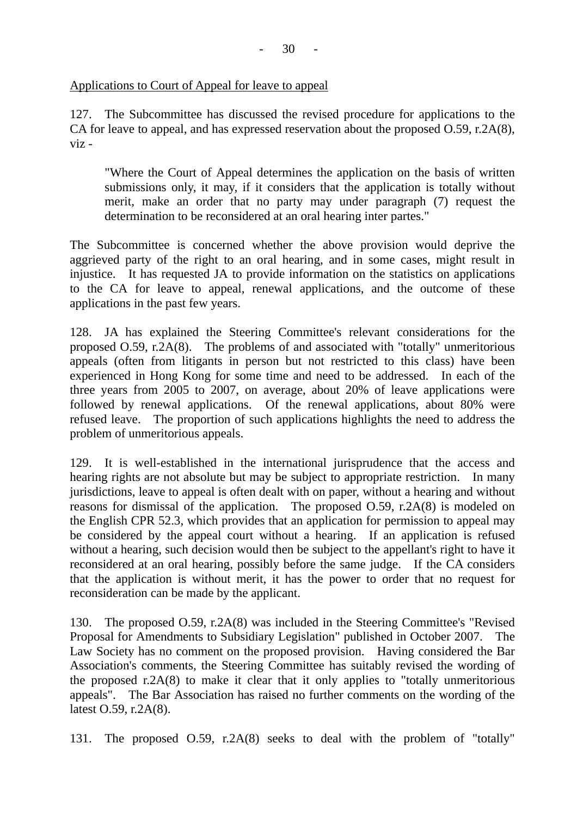### Applications to Court of Appeal for leave to appeal

127. The Subcommittee has discussed the revised procedure for applications to the CA for leave to appeal, and has expressed reservation about the proposed O.59, r.2A(8), viz -

"Where the Court of Appeal determines the application on the basis of written submissions only, it may, if it considers that the application is totally without merit, make an order that no party may under paragraph (7) request the determination to be reconsidered at an oral hearing inter partes."

The Subcommittee is concerned whether the above provision would deprive the aggrieved party of the right to an oral hearing, and in some cases, might result in injustice. It has requested JA to provide information on the statistics on applications to the CA for leave to appeal, renewal applications, and the outcome of these applications in the past few years.

128. JA has explained the Steering Committee's relevant considerations for the proposed O.59, r.2A(8). The problems of and associated with "totally" unmeritorious appeals (often from litigants in person but not restricted to this class) have been experienced in Hong Kong for some time and need to be addressed. In each of the three years from 2005 to 2007, on average, about 20% of leave applications were followed by renewal applications. Of the renewal applications, about 80% were refused leave. The proportion of such applications highlights the need to address the problem of unmeritorious appeals.

129. It is well-established in the international jurisprudence that the access and hearing rights are not absolute but may be subject to appropriate restriction. In many jurisdictions, leave to appeal is often dealt with on paper, without a hearing and without reasons for dismissal of the application. The proposed O.59, r.2A(8) is modeled on the English CPR 52.3, which provides that an application for permission to appeal may be considered by the appeal court without a hearing. If an application is refused without a hearing, such decision would then be subject to the appellant's right to have it reconsidered at an oral hearing, possibly before the same judge. If the CA considers that the application is without merit, it has the power to order that no request for reconsideration can be made by the applicant.

130. The proposed O.59, r.2A(8) was included in the Steering Committee's "Revised Proposal for Amendments to Subsidiary Legislation" published in October 2007. The Law Society has no comment on the proposed provision. Having considered the Bar Association's comments, the Steering Committee has suitably revised the wording of the proposed r.2A(8) to make it clear that it only applies to "totally unmeritorious appeals". The Bar Association has raised no further comments on the wording of the latest O.59, r.2A(8).

131. The proposed O.59, r.2A(8) seeks to deal with the problem of "totally"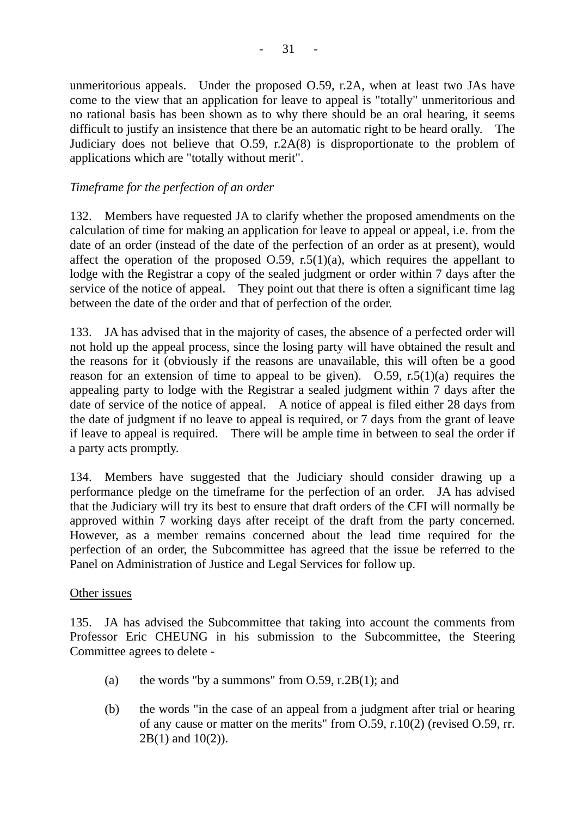unmeritorious appeals. Under the proposed O.59, r.2A, when at least two JAs have come to the view that an application for leave to appeal is "totally" unmeritorious and no rational basis has been shown as to why there should be an oral hearing, it seems difficult to justify an insistence that there be an automatic right to be heard orally. The Judiciary does not believe that O.59, r.2A(8) is disproportionate to the problem of applications which are "totally without merit".

# *Timeframe for the perfection of an order*

132. Members have requested JA to clarify whether the proposed amendments on the calculation of time for making an application for leave to appeal or appeal, i.e. from the date of an order (instead of the date of the perfection of an order as at present), would affect the operation of the proposed  $O.59$ , r.5(1)(a), which requires the appellant to lodge with the Registrar a copy of the sealed judgment or order within 7 days after the service of the notice of appeal. They point out that there is often a significant time lag between the date of the order and that of perfection of the order.

133. JA has advised that in the majority of cases, the absence of a perfected order will not hold up the appeal process, since the losing party will have obtained the result and the reasons for it (obviously if the reasons are unavailable, this will often be a good reason for an extension of time to appeal to be given).  $O.59$ , r.5(1)(a) requires the appealing party to lodge with the Registrar a sealed judgment within 7 days after the date of service of the notice of appeal. A notice of appeal is filed either 28 days from the date of judgment if no leave to appeal is required, or 7 days from the grant of leave if leave to appeal is required. There will be ample time in between to seal the order if a party acts promptly.

134. Members have suggested that the Judiciary should consider drawing up a performance pledge on the timeframe for the perfection of an order. JA has advised that the Judiciary will try its best to ensure that draft orders of the CFI will normally be approved within 7 working days after receipt of the draft from the party concerned. However, as a member remains concerned about the lead time required for the perfection of an order, the Subcommittee has agreed that the issue be referred to the Panel on Administration of Justice and Legal Services for follow up.

#### Other issues

135. JA has advised the Subcommittee that taking into account the comments from Professor Eric CHEUNG in his submission to the Subcommittee, the Steering Committee agrees to delete -

- (a) the words "by a summons" from  $O.59$ , r.2B(1); and
- (b) the words "in the case of an appeal from a judgment after trial or hearing of any cause or matter on the merits" from O.59, r.10(2) (revised O.59, rr. 2B(1) and 10(2)).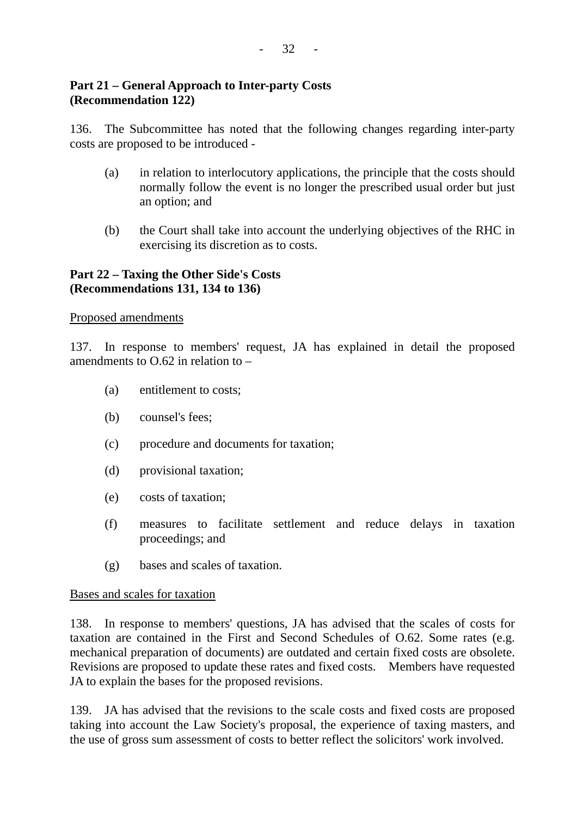# **Part 21 – General Approach to Inter-party Costs (Recommendation 122)**

136. The Subcommittee has noted that the following changes regarding inter-party costs are proposed to be introduced -

- (a) in relation to interlocutory applications, the principle that the costs should normally follow the event is no longer the prescribed usual order but just an option; and
- (b) the Court shall take into account the underlying objectives of the RHC in exercising its discretion as to costs.

# **Part 22 – Taxing the Other Side's Costs (Recommendations 131, 134 to 136)**

#### Proposed amendments

137. In response to members' request, JA has explained in detail the proposed amendments to  $0.62$  in relation to  $-$ 

- (a) entitlement to costs;
- (b) counsel's fees;
- (c) procedure and documents for taxation;
- (d) provisional taxation;
- (e) costs of taxation;
- (f) measures to facilitate settlement and reduce delays in taxation proceedings; and
- (g) bases and scales of taxation.

#### Bases and scales for taxation

138. In response to members' questions, JA has advised that the scales of costs for taxation are contained in the First and Second Schedules of O.62. Some rates (e.g. mechanical preparation of documents) are outdated and certain fixed costs are obsolete. Revisions are proposed to update these rates and fixed costs. Members have requested JA to explain the bases for the proposed revisions.

139. JA has advised that the revisions to the scale costs and fixed costs are proposed taking into account the Law Society's proposal, the experience of taxing masters, and the use of gross sum assessment of costs to better reflect the solicitors' work involved.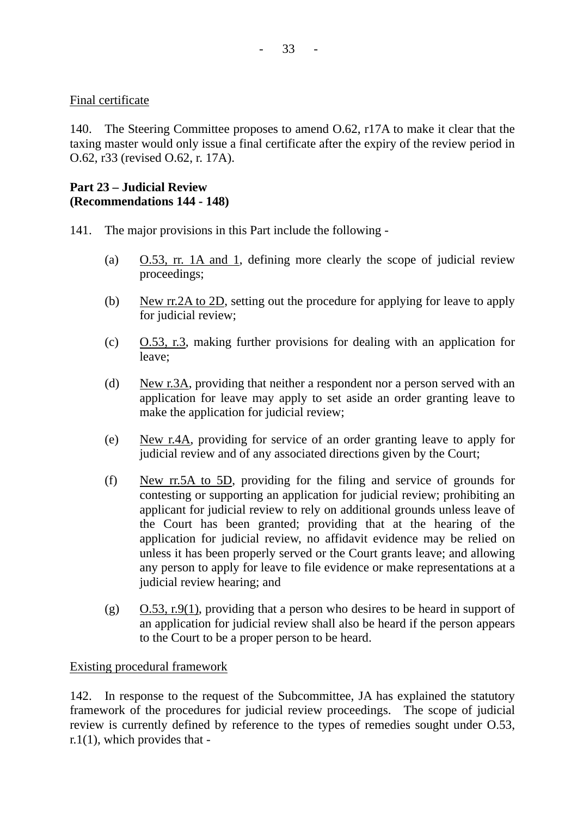# Final certificate

140. The Steering Committee proposes to amend O.62, r17A to make it clear that the taxing master would only issue a final certificate after the expiry of the review period in O.62, r33 (revised O.62, r. 17A).

# **Part 23 – Judicial Review (Recommendations 144 - 148)**

- 141. The major provisions in this Part include the following
	- (a) O.53, rr. 1A and 1, defining more clearly the scope of judicial review proceedings;
	- (b) New rr.2A to 2D, setting out the procedure for applying for leave to apply for judicial review;
	- (c) O.53, r.3, making further provisions for dealing with an application for leave;
	- (d) New r.3A, providing that neither a respondent nor a person served with an application for leave may apply to set aside an order granting leave to make the application for judicial review;
	- (e) New r.4A, providing for service of an order granting leave to apply for judicial review and of any associated directions given by the Court;
	- (f) New rr.5A to 5D, providing for the filing and service of grounds for contesting or supporting an application for judicial review; prohibiting an applicant for judicial review to rely on additional grounds unless leave of the Court has been granted; providing that at the hearing of the application for judicial review, no affidavit evidence may be relied on unless it has been properly served or the Court grants leave; and allowing any person to apply for leave to file evidence or make representations at a judicial review hearing; and
	- (g)  $O.53$ , r.9(1), providing that a person who desires to be heard in support of an application for judicial review shall also be heard if the person appears to the Court to be a proper person to be heard.

# Existing procedural framework

142. In response to the request of the Subcommittee, JA has explained the statutory framework of the procedures for judicial review proceedings. The scope of judicial review is currently defined by reference to the types of remedies sought under O.53, r.1(1), which provides that -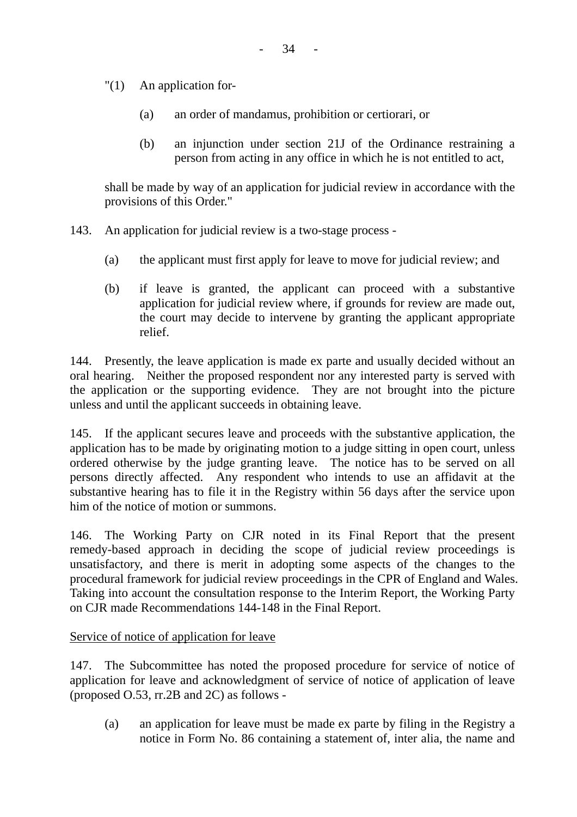- "(1) An application for-
	- (a) an order of mandamus, prohibition or certiorari, or
	- (b) an injunction under section 21J of the Ordinance restraining a person from acting in any office in which he is not entitled to act,

shall be made by way of an application for judicial review in accordance with the provisions of this Order."

- 143. An application for judicial review is a two-stage process
	- (a) the applicant must first apply for leave to move for judicial review; and
	- (b) if leave is granted, the applicant can proceed with a substantive application for judicial review where, if grounds for review are made out, the court may decide to intervene by granting the applicant appropriate relief.

144. Presently, the leave application is made ex parte and usually decided without an oral hearing. Neither the proposed respondent nor any interested party is served with the application or the supporting evidence. They are not brought into the picture unless and until the applicant succeeds in obtaining leave.

145. If the applicant secures leave and proceeds with the substantive application, the application has to be made by originating motion to a judge sitting in open court, unless ordered otherwise by the judge granting leave. The notice has to be served on all persons directly affected. Any respondent who intends to use an affidavit at the substantive hearing has to file it in the Registry within 56 days after the service upon him of the notice of motion or summons.

146. The Working Party on CJR noted in its Final Report that the present remedy-based approach in deciding the scope of judicial review proceedings is unsatisfactory, and there is merit in adopting some aspects of the changes to the procedural framework for judicial review proceedings in the CPR of England and Wales. Taking into account the consultation response to the Interim Report, the Working Party on CJR made Recommendations 144-148 in the Final Report.

Service of notice of application for leave

147. The Subcommittee has noted the proposed procedure for service of notice of application for leave and acknowledgment of service of notice of application of leave (proposed O.53, rr.2B and 2C) as follows -

(a) an application for leave must be made ex parte by filing in the Registry a notice in Form No. 86 containing a statement of, inter alia, the name and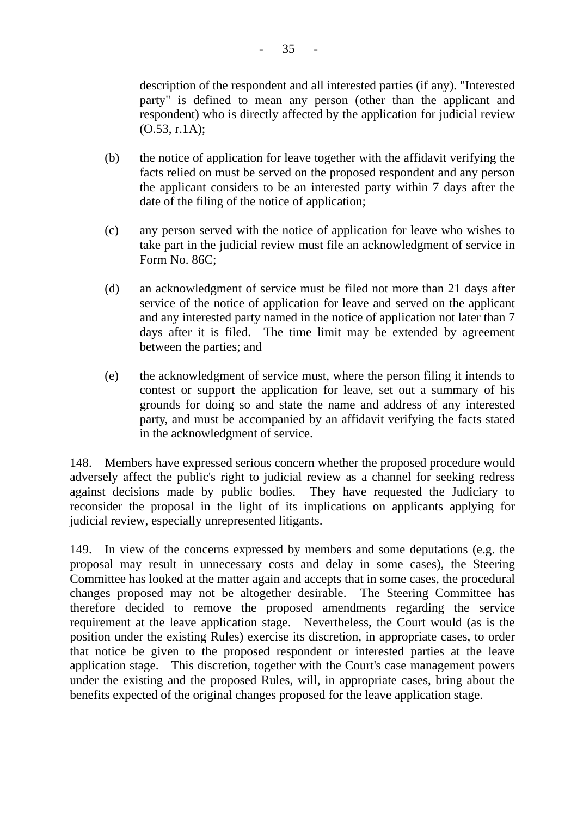description of the respondent and all interested parties (if any). "Interested party" is defined to mean any person (other than the applicant and respondent) who is directly affected by the application for judicial review (O.53, r.1A);

- (b) the notice of application for leave together with the affidavit verifying the facts relied on must be served on the proposed respondent and any person the applicant considers to be an interested party within 7 days after the date of the filing of the notice of application;
- (c) any person served with the notice of application for leave who wishes to take part in the judicial review must file an acknowledgment of service in Form No. 86C;
- (d) an acknowledgment of service must be filed not more than 21 days after service of the notice of application for leave and served on the applicant and any interested party named in the notice of application not later than 7 days after it is filed. The time limit may be extended by agreement between the parties; and
- (e) the acknowledgment of service must, where the person filing it intends to contest or support the application for leave, set out a summary of his grounds for doing so and state the name and address of any interested party, and must be accompanied by an affidavit verifying the facts stated in the acknowledgment of service.

148. Members have expressed serious concern whether the proposed procedure would adversely affect the public's right to judicial review as a channel for seeking redress against decisions made by public bodies. They have requested the Judiciary to reconsider the proposal in the light of its implications on applicants applying for judicial review, especially unrepresented litigants.

149. In view of the concerns expressed by members and some deputations (e.g. the proposal may result in unnecessary costs and delay in some cases), the Steering Committee has looked at the matter again and accepts that in some cases, the procedural changes proposed may not be altogether desirable. The Steering Committee has therefore decided to remove the proposed amendments regarding the service requirement at the leave application stage. Nevertheless, the Court would (as is the position under the existing Rules) exercise its discretion, in appropriate cases, to order that notice be given to the proposed respondent or interested parties at the leave application stage. This discretion, together with the Court's case management powers under the existing and the proposed Rules, will, in appropriate cases, bring about the benefits expected of the original changes proposed for the leave application stage.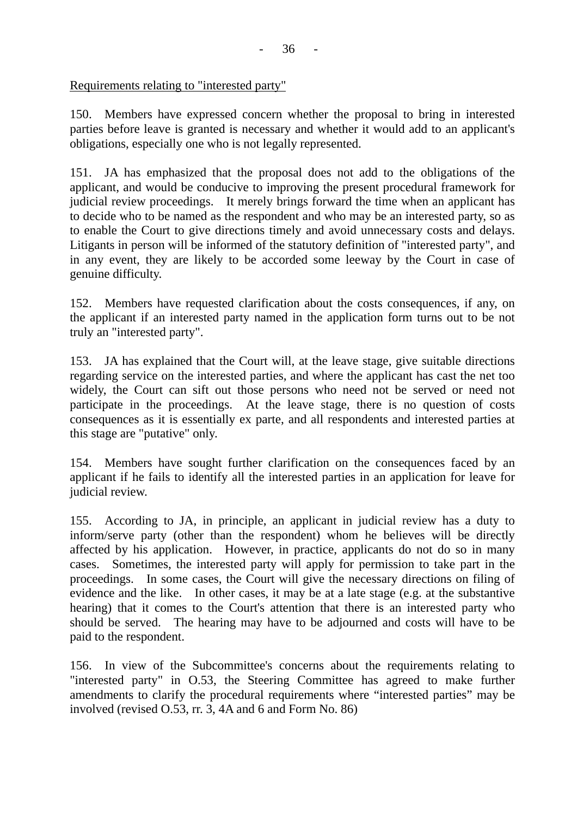#### Requirements relating to "interested party"

150. Members have expressed concern whether the proposal to bring in interested parties before leave is granted is necessary and whether it would add to an applicant's obligations, especially one who is not legally represented.

151. JA has emphasized that the proposal does not add to the obligations of the applicant, and would be conducive to improving the present procedural framework for judicial review proceedings. It merely brings forward the time when an applicant has to decide who to be named as the respondent and who may be an interested party, so as to enable the Court to give directions timely and avoid unnecessary costs and delays. Litigants in person will be informed of the statutory definition of "interested party", and in any event, they are likely to be accorded some leeway by the Court in case of genuine difficulty.

152. Members have requested clarification about the costs consequences, if any, on the applicant if an interested party named in the application form turns out to be not truly an "interested party".

153. JA has explained that the Court will, at the leave stage, give suitable directions regarding service on the interested parties, and where the applicant has cast the net too widely, the Court can sift out those persons who need not be served or need not participate in the proceedings. At the leave stage, there is no question of costs consequences as it is essentially ex parte, and all respondents and interested parties at this stage are "putative" only.

154. Members have sought further clarification on the consequences faced by an applicant if he fails to identify all the interested parties in an application for leave for judicial review.

155. According to JA, in principle, an applicant in judicial review has a duty to inform/serve party (other than the respondent) whom he believes will be directly affected by his application. However, in practice, applicants do not do so in many cases. Sometimes, the interested party will apply for permission to take part in the proceedings. In some cases, the Court will give the necessary directions on filing of evidence and the like. In other cases, it may be at a late stage (e.g. at the substantive hearing) that it comes to the Court's attention that there is an interested party who should be served. The hearing may have to be adjourned and costs will have to be paid to the respondent.

156. In view of the Subcommittee's concerns about the requirements relating to "interested party" in O.53, the Steering Committee has agreed to make further amendments to clarify the procedural requirements where "interested parties" may be involved (revised O.53, rr. 3, 4A and 6 and Form No. 86)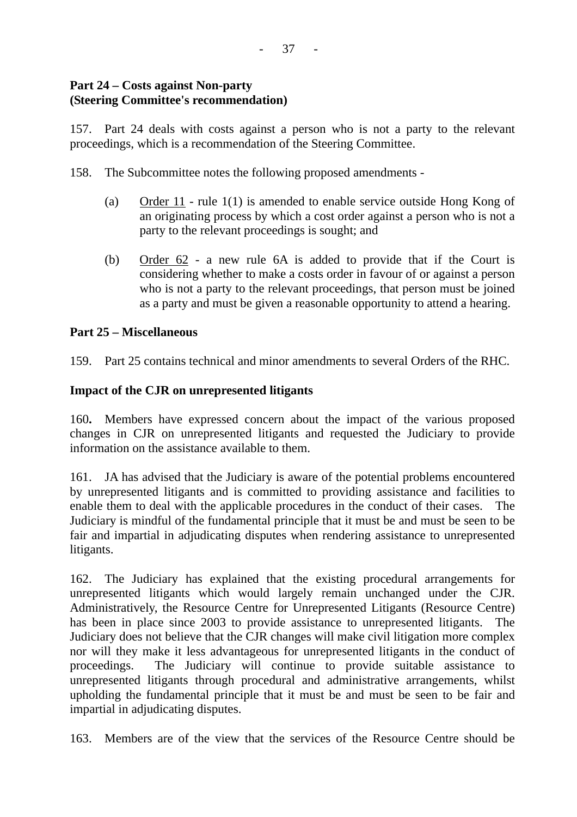# **Part 24 – Costs against Non-party (Steering Committee's recommendation)**

157. Part 24 deals with costs against a person who is not a party to the relevant proceedings, which is a recommendation of the Steering Committee.

158. The Subcommittee notes the following proposed amendments -

- (a) Order 11 rule 1(1) is amended to enable service outside Hong Kong of an originating process by which a cost order against a person who is not a party to the relevant proceedings is sought; and
- (b) Order 62 a new rule 6A is added to provide that if the Court is considering whether to make a costs order in favour of or against a person who is not a party to the relevant proceedings, that person must be joined as a party and must be given a reasonable opportunity to attend a hearing.

# **Part 25 – Miscellaneous**

159. Part 25 contains technical and minor amendments to several Orders of the RHC.

# **Impact of the CJR on unrepresented litigants**

160**.** Members have expressed concern about the impact of the various proposed changes in CJR on unrepresented litigants and requested the Judiciary to provide information on the assistance available to them.

161. JA has advised that the Judiciary is aware of the potential problems encountered by unrepresented litigants and is committed to providing assistance and facilities to enable them to deal with the applicable procedures in the conduct of their cases. The Judiciary is mindful of the fundamental principle that it must be and must be seen to be fair and impartial in adjudicating disputes when rendering assistance to unrepresented litigants.

162. The Judiciary has explained that the existing procedural arrangements for unrepresented litigants which would largely remain unchanged under the CJR. Administratively, the Resource Centre for Unrepresented Litigants (Resource Centre) has been in place since 2003 to provide assistance to unrepresented litigants. The Judiciary does not believe that the CJR changes will make civil litigation more complex nor will they make it less advantageous for unrepresented litigants in the conduct of proceedings. The Judiciary will continue to provide suitable assistance to unrepresented litigants through procedural and administrative arrangements, whilst upholding the fundamental principle that it must be and must be seen to be fair and impartial in adjudicating disputes.

163. Members are of the view that the services of the Resource Centre should be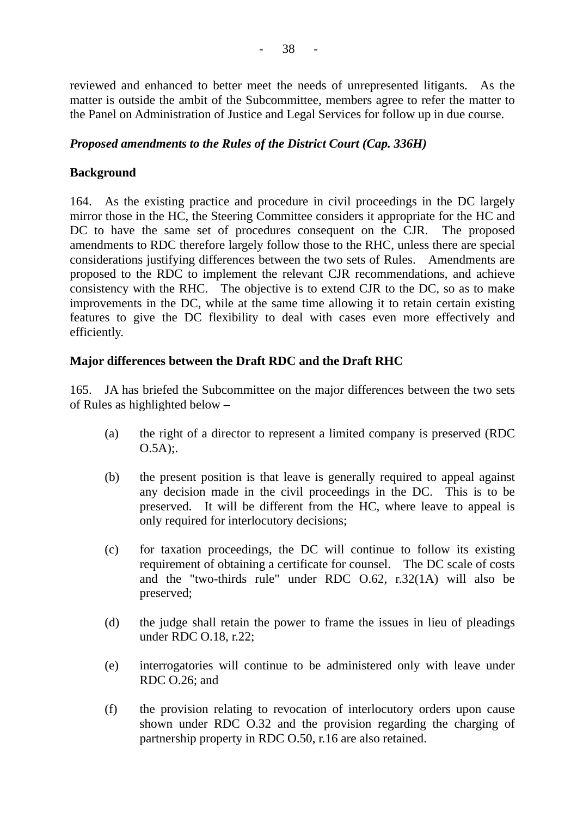reviewed and enhanced to better meet the needs of unrepresented litigants. As the matter is outside the ambit of the Subcommittee, members agree to refer the matter to the Panel on Administration of Justice and Legal Services for follow up in due course.

### *Proposed amendments to the Rules of the District Court (Cap. 336H)*

#### **Background**

164. As the existing practice and procedure in civil proceedings in the DC largely mirror those in the HC, the Steering Committee considers it appropriate for the HC and DC to have the same set of procedures consequent on the CJR. The proposed amendments to RDC therefore largely follow those to the RHC, unless there are special considerations justifying differences between the two sets of Rules. Amendments are proposed to the RDC to implement the relevant CJR recommendations, and achieve consistency with the RHC. The objective is to extend CJR to the DC, so as to make improvements in the DC, while at the same time allowing it to retain certain existing features to give the DC flexibility to deal with cases even more effectively and efficiently.

# **Major differences between the Draft RDC and the Draft RHC**

165. JA has briefed the Subcommittee on the major differences between the two sets of Rules as highlighted below –

- (a) the right of a director to represent a limited company is preserved (RDC  $O.5A)$ ;
- (b) the present position is that leave is generally required to appeal against any decision made in the civil proceedings in the DC. This is to be preserved. It will be different from the HC, where leave to appeal is only required for interlocutory decisions;
- (c) for taxation proceedings, the DC will continue to follow its existing requirement of obtaining a certificate for counsel. The DC scale of costs and the "two-thirds rule" under RDC O.62, r.32(1A) will also be preserved;
- (d) the judge shall retain the power to frame the issues in lieu of pleadings under RDC O.18, r.22;
- (e) interrogatories will continue to be administered only with leave under RDC O.26; and
- (f) the provision relating to revocation of interlocutory orders upon cause shown under RDC O.32 and the provision regarding the charging of partnership property in RDC O.50, r.16 are also retained.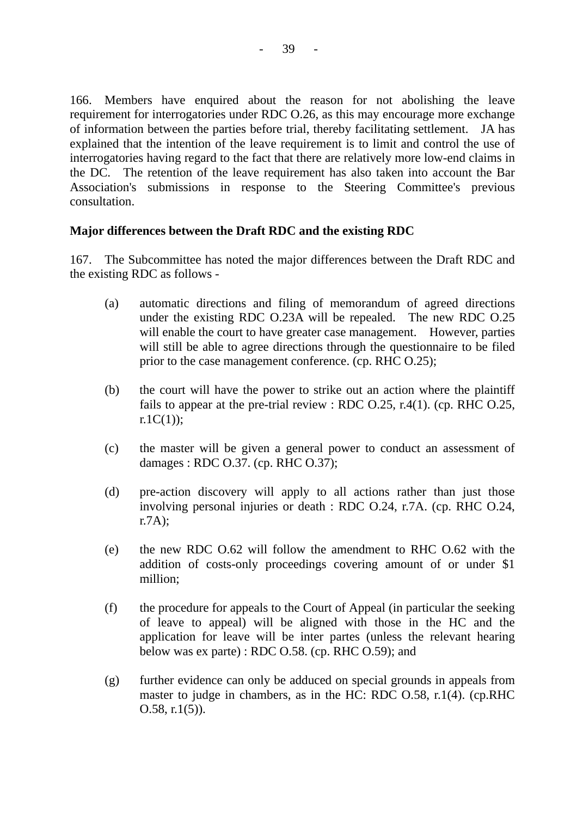166. Members have enquired about the reason for not abolishing the leave requirement for interrogatories under RDC O.26, as this may encourage more exchange of information between the parties before trial, thereby facilitating settlement. JA has explained that the intention of the leave requirement is to limit and control the use of interrogatories having regard to the fact that there are relatively more low-end claims in the DC. The retention of the leave requirement has also taken into account the Bar Association's submissions in response to the Steering Committee's previous consultation.

#### **Major differences between the Draft RDC and the existing RDC**

167. The Subcommittee has noted the major differences between the Draft RDC and the existing RDC as follows -

- (a) automatic directions and filing of memorandum of agreed directions under the existing RDC O.23A will be repealed. The new RDC O.25 will enable the court to have greater case management. However, parties will still be able to agree directions through the questionnaire to be filed prior to the case management conference. (cp. RHC O.25);
- (b) the court will have the power to strike out an action where the plaintiff fails to appear at the pre-trial review : RDC  $0.25$ , r.4(1). (cp. RHC  $0.25$ ,  $r.1C(1)$ :
- (c) the master will be given a general power to conduct an assessment of damages : RDC O.37. (cp. RHC O.37);
- (d) pre-action discovery will apply to all actions rather than just those involving personal injuries or death : RDC O.24, r.7A. (cp. RHC O.24, r.7A);
- (e) the new RDC O.62 will follow the amendment to RHC O.62 with the addition of costs-only proceedings covering amount of or under \$1 million;
- (f) the procedure for appeals to the Court of Appeal (in particular the seeking of leave to appeal) will be aligned with those in the HC and the application for leave will be inter partes (unless the relevant hearing below was ex parte) : RDC O.58. (cp. RHC O.59); and
- (g) further evidence can only be adduced on special grounds in appeals from master to judge in chambers, as in the HC: RDC O.58, r.1(4). (cp.RHC O.58, r.1(5)).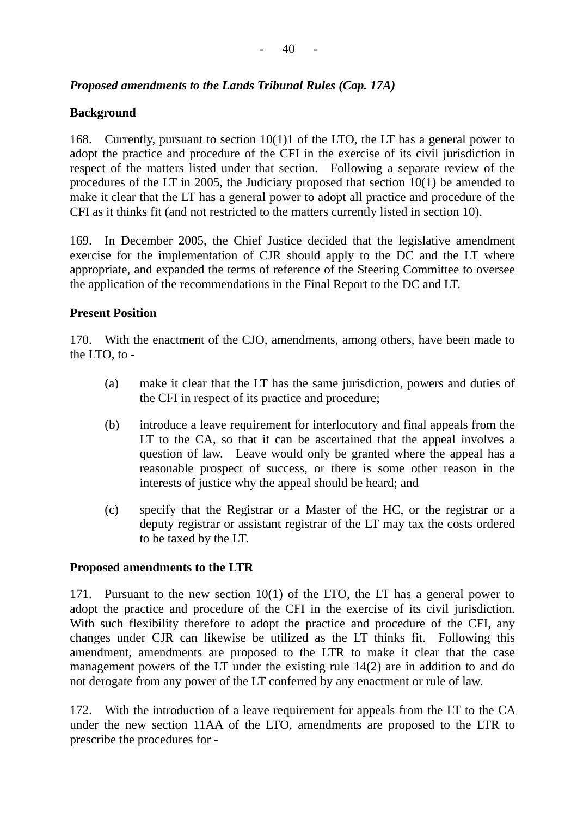# *Proposed amendments to the Lands Tribunal Rules (Cap. 17A)*

### **Background**

168. Currently, pursuant to section 10(1)1 of the LTO, the LT has a general power to adopt the practice and procedure of the CFI in the exercise of its civil jurisdiction in respect of the matters listed under that section. Following a separate review of the procedures of the LT in 2005, the Judiciary proposed that section 10(1) be amended to make it clear that the LT has a general power to adopt all practice and procedure of the CFI as it thinks fit (and not restricted to the matters currently listed in section 10).

169. In December 2005, the Chief Justice decided that the legislative amendment exercise for the implementation of CJR should apply to the DC and the LT where appropriate, and expanded the terms of reference of the Steering Committee to oversee the application of the recommendations in the Final Report to the DC and LT.

#### **Present Position**

170. With the enactment of the CJO, amendments, among others, have been made to the LTO, to -

- (a) make it clear that the LT has the same jurisdiction, powers and duties of the CFI in respect of its practice and procedure;
- (b) introduce a leave requirement for interlocutory and final appeals from the LT to the CA, so that it can be ascertained that the appeal involves a question of law. Leave would only be granted where the appeal has a reasonable prospect of success, or there is some other reason in the interests of justice why the appeal should be heard; and
- (c) specify that the Registrar or a Master of the HC, or the registrar or a deputy registrar or assistant registrar of the LT may tax the costs ordered to be taxed by the LT.

#### **Proposed amendments to the LTR**

171. Pursuant to the new section 10(1) of the LTO, the LT has a general power to adopt the practice and procedure of the CFI in the exercise of its civil jurisdiction. With such flexibility therefore to adopt the practice and procedure of the CFI, any changes under CJR can likewise be utilized as the LT thinks fit. Following this amendment, amendments are proposed to the LTR to make it clear that the case management powers of the LT under the existing rule 14(2) are in addition to and do not derogate from any power of the LT conferred by any enactment or rule of law.

172. With the introduction of a leave requirement for appeals from the LT to the CA under the new section 11AA of the LTO, amendments are proposed to the LTR to prescribe the procedures for -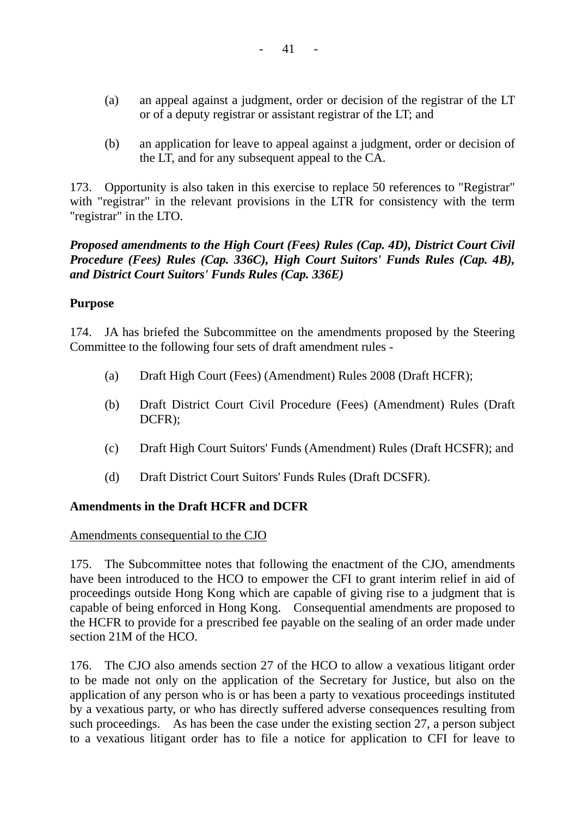- (a) an appeal against a judgment, order or decision of the registrar of the LT or of a deputy registrar or assistant registrar of the LT; and
- (b) an application for leave to appeal against a judgment, order or decision of the LT, and for any subsequent appeal to the CA.

173. Opportunity is also taken in this exercise to replace 50 references to "Registrar" with "registrar" in the relevant provisions in the LTR for consistency with the term "registrar" in the LTO.

# *Proposed amendments to the High Court (Fees) Rules (Cap. 4D), District Court Civil Procedure (Fees) Rules (Cap. 336C), High Court Suitors' Funds Rules (Cap. 4B), and District Court Suitors' Funds Rules (Cap. 336E)*

# **Purpose**

174. JA has briefed the Subcommittee on the amendments proposed by the Steering Committee to the following four sets of draft amendment rules -

- (a) Draft High Court (Fees) (Amendment) Rules 2008 (Draft HCFR);
- (b) Draft District Court Civil Procedure (Fees) (Amendment) Rules (Draft DCFR);
- (c) Draft High Court Suitors' Funds (Amendment) Rules (Draft HCSFR); and
- (d) Draft District Court Suitors' Funds Rules (Draft DCSFR).

# **Amendments in the Draft HCFR and DCFR**

# Amendments consequential to the CJO

175. The Subcommittee notes that following the enactment of the CJO, amendments have been introduced to the HCO to empower the CFI to grant interim relief in aid of proceedings outside Hong Kong which are capable of giving rise to a judgment that is capable of being enforced in Hong Kong. Consequential amendments are proposed to the HCFR to provide for a prescribed fee payable on the sealing of an order made under section 21M of the HCO.

176. The CJO also amends section 27 of the HCO to allow a vexatious litigant order to be made not only on the application of the Secretary for Justice, but also on the application of any person who is or has been a party to vexatious proceedings instituted by a vexatious party, or who has directly suffered adverse consequences resulting from such proceedings. As has been the case under the existing section 27, a person subject to a vexatious litigant order has to file a notice for application to CFI for leave to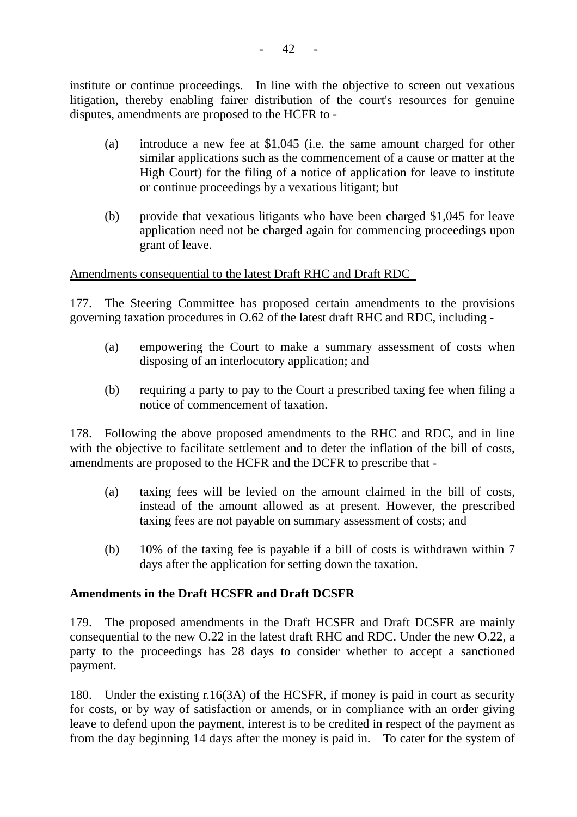institute or continue proceedings. In line with the objective to screen out vexatious litigation, thereby enabling fairer distribution of the court's resources for genuine disputes, amendments are proposed to the HCFR to -

- (a) introduce a new fee at \$1,045 (i.e. the same amount charged for other similar applications such as the commencement of a cause or matter at the High Court) for the filing of a notice of application for leave to institute or continue proceedings by a vexatious litigant; but
- (b) provide that vexatious litigants who have been charged \$1,045 for leave application need not be charged again for commencing proceedings upon grant of leave.

Amendments consequential to the latest Draft RHC and Draft RDC

177. The Steering Committee has proposed certain amendments to the provisions governing taxation procedures in O.62 of the latest draft RHC and RDC, including -

- (a) empowering the Court to make a summary assessment of costs when disposing of an interlocutory application; and
- (b) requiring a party to pay to the Court a prescribed taxing fee when filing a notice of commencement of taxation.

178. Following the above proposed amendments to the RHC and RDC, and in line with the objective to facilitate settlement and to deter the inflation of the bill of costs, amendments are proposed to the HCFR and the DCFR to prescribe that -

- (a) taxing fees will be levied on the amount claimed in the bill of costs, instead of the amount allowed as at present. However, the prescribed taxing fees are not payable on summary assessment of costs; and
- (b) 10% of the taxing fee is payable if a bill of costs is withdrawn within 7 days after the application for setting down the taxation.

# **Amendments in the Draft HCSFR and Draft DCSFR**

179. The proposed amendments in the Draft HCSFR and Draft DCSFR are mainly consequential to the new O.22 in the latest draft RHC and RDC. Under the new O.22, a party to the proceedings has 28 days to consider whether to accept a sanctioned payment.

180. Under the existing r.16(3A) of the HCSFR, if money is paid in court as security for costs, or by way of satisfaction or amends, or in compliance with an order giving leave to defend upon the payment, interest is to be credited in respect of the payment as from the day beginning 14 days after the money is paid in. To cater for the system of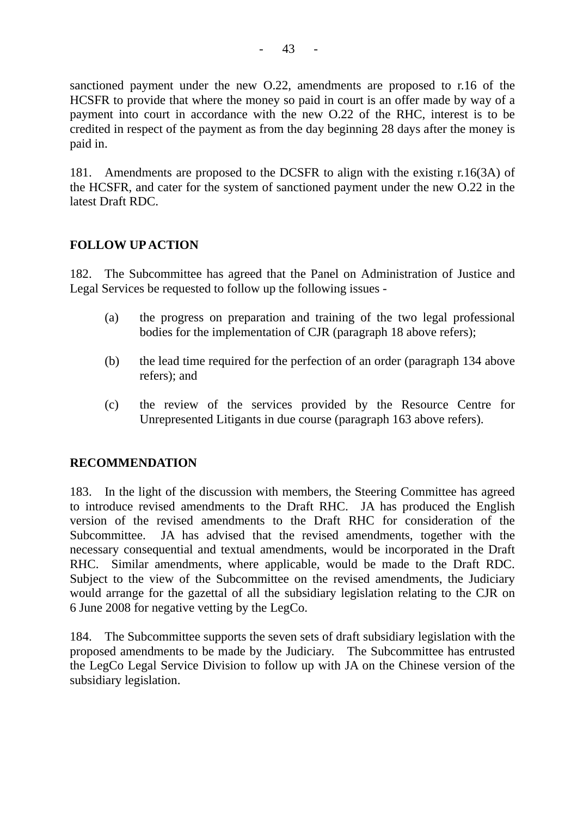sanctioned payment under the new O.22, amendments are proposed to r.16 of the HCSFR to provide that where the money so paid in court is an offer made by way of a payment into court in accordance with the new O.22 of the RHC, interest is to be credited in respect of the payment as from the day beginning 28 days after the money is paid in.

181. Amendments are proposed to the DCSFR to align with the existing r.16(3A) of the HCSFR, and cater for the system of sanctioned payment under the new O.22 in the latest Draft RDC.

# **FOLLOW UP ACTION**

182. The Subcommittee has agreed that the Panel on Administration of Justice and Legal Services be requested to follow up the following issues -

- (a) the progress on preparation and training of the two legal professional bodies for the implementation of CJR (paragraph 18 above refers);
- (b) the lead time required for the perfection of an order (paragraph 134 above refers); and
- (c) the review of the services provided by the Resource Centre for Unrepresented Litigants in due course (paragraph 163 above refers).

# **RECOMMENDATION**

183. In the light of the discussion with members, the Steering Committee has agreed to introduce revised amendments to the Draft RHC. JA has produced the English version of the revised amendments to the Draft RHC for consideration of the Subcommittee. JA has advised that the revised amendments, together with the necessary consequential and textual amendments, would be incorporated in the Draft RHC. Similar amendments, where applicable, would be made to the Draft RDC. Subject to the view of the Subcommittee on the revised amendments, the Judiciary would arrange for the gazettal of all the subsidiary legislation relating to the CJR on 6 June 2008 for negative vetting by the LegCo.

184. The Subcommittee supports the seven sets of draft subsidiary legislation with the proposed amendments to be made by the Judiciary. The Subcommittee has entrusted the LegCo Legal Service Division to follow up with JA on the Chinese version of the subsidiary legislation.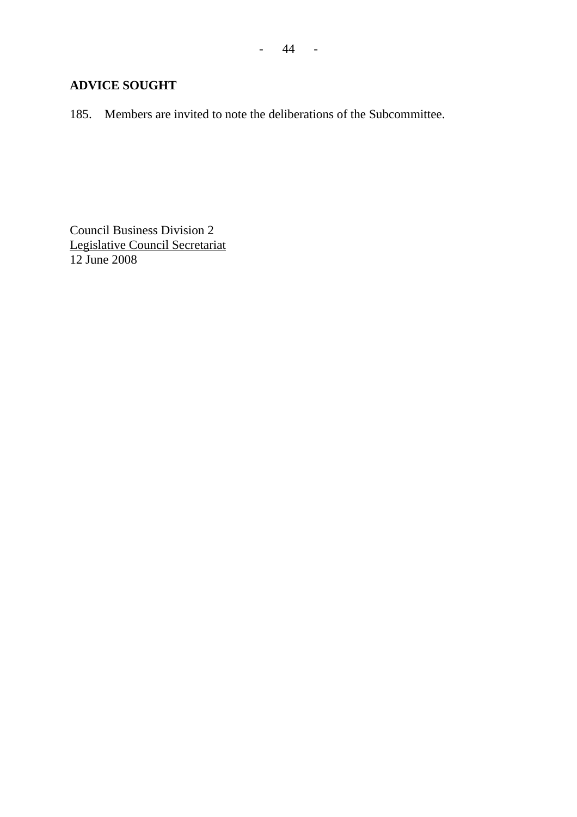# **ADVICE SOUGHT**

185. Members are invited to note the deliberations of the Subcommittee.

Council Business Division 2 Legislative Council Secretariat 12 June 2008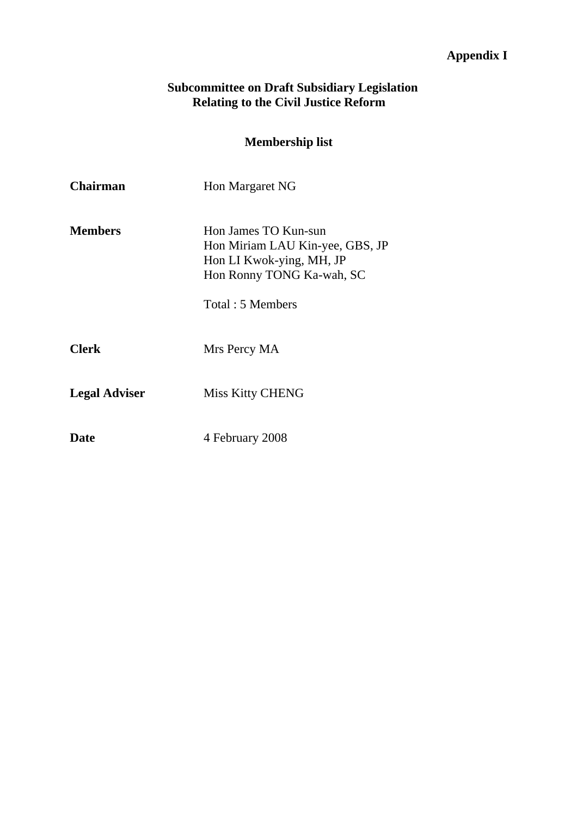# **Appendix I**

### **Subcommittee on Draft Subsidiary Legislation Relating to the Civil Justice Reform**

# **Membership list**

| Chairman             | Hon Margaret NG                                                                                                                      |
|----------------------|--------------------------------------------------------------------------------------------------------------------------------------|
| <b>Members</b>       | Hon James TO Kun-sun<br>Hon Miriam LAU Kin-yee, GBS, JP<br>Hon LI Kwok-ying, MH, JP<br>Hon Ronny TONG Ka-wah, SC<br>Total: 5 Members |
| <b>Clerk</b>         | Mrs Percy MA                                                                                                                         |
| <b>Legal Adviser</b> | <b>Miss Kitty CHENG</b>                                                                                                              |
| Date                 | 4 February 2008                                                                                                                      |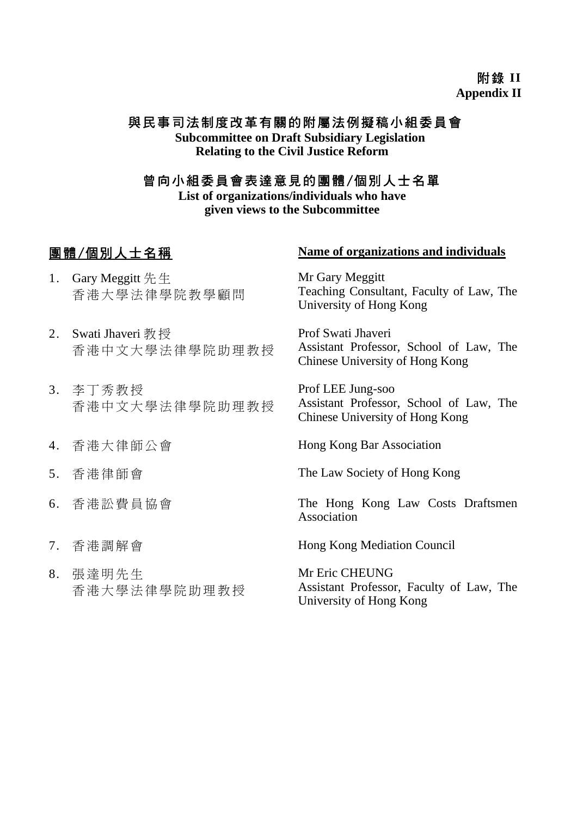# 附錄 **II Appendix II**

# 與民事司法制度改革有關的附屬法例擬稿小組委員會

**Subcommittee on Draft Subsidiary Legislation Relating to the Civil Justice Reform**

# 曾向小組委員會表達意見的團體/個別人士名單

**List of organizations/individuals who have given views to the Subcommittee** 

- 1. Gary Meggitt 先生 香港大學法律學院教學顧問
- 2. Swati Jhaveri 教授 香港中文大學法律學院助理教授
- 3. 李丁秀教授 香港中文大學法律學院助理教授
- 
- 
- 
- 
- 8. 張達明先生 香港大學法律學院助理教授

# 團體/個別人士名稱 **Name of organizations and individuals**

Mr Gary Meggitt Teaching Consultant, Faculty of Law, The University of Hong Kong

Prof Swati Jhaveri Assistant Professor, School of Law, The Chinese University of Hong Kong

Prof LEE Jung-soo Assistant Professor, School of Law, The Chinese University of Hong Kong

4. 香港大律師公會 Hong Kong Bar Association

5. 香港律師會 The Law Society of Hong Kong

6. 香港訟費員協會 The Hong Kong Law Costs Draftsmen Association

7. 香港調解會 Hong Kong Mediation Council

Mr Eric CHEUNG Assistant Professor, Faculty of Law, The University of Hong Kong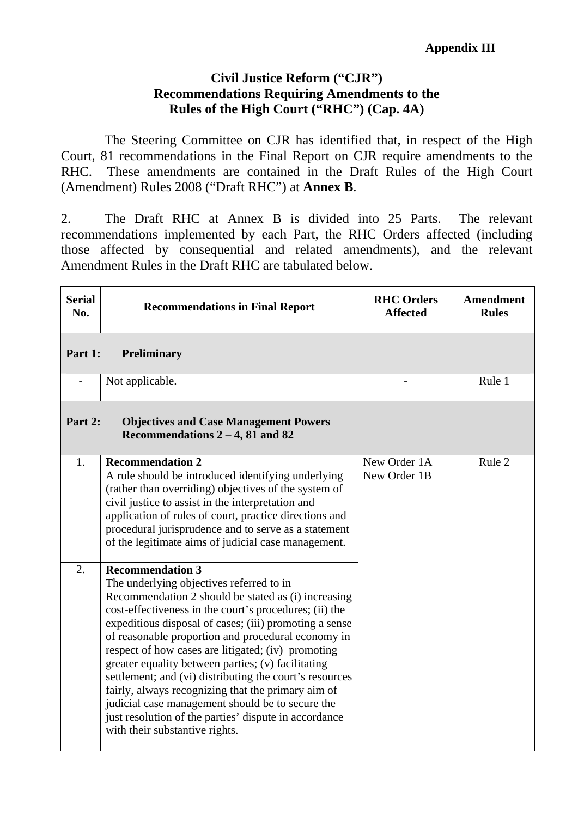# **Civil Justice Reform ("CJR") Recommendations Requiring Amendments to the Rules of the High Court ("RHC") (Cap. 4A)**

 The Steering Committee on CJR has identified that, in respect of the High Court, 81 recommendations in the Final Report on CJR require amendments to the RHC. These amendments are contained in the Draft Rules of the High Court (Amendment) Rules 2008 ("Draft RHC") at **Annex B**.

2. The Draft RHC at Annex B is divided into 25 Parts. The relevant recommendations implemented by each Part, the RHC Orders affected (including those affected by consequential and related amendments), and the relevant Amendment Rules in the Draft RHC are tabulated below.

| <b>Serial</b><br>No. | <b>Recommendations in Final Report</b>                                                                                                                                                                                                                                                                                                                                                                                                                                                                                                                                                                                                                                           | <b>RHC Orders</b><br><b>Affected</b> | <b>Amendment</b><br><b>Rules</b> |
|----------------------|----------------------------------------------------------------------------------------------------------------------------------------------------------------------------------------------------------------------------------------------------------------------------------------------------------------------------------------------------------------------------------------------------------------------------------------------------------------------------------------------------------------------------------------------------------------------------------------------------------------------------------------------------------------------------------|--------------------------------------|----------------------------------|
| Part 1:              | Preliminary                                                                                                                                                                                                                                                                                                                                                                                                                                                                                                                                                                                                                                                                      |                                      |                                  |
|                      | Not applicable.                                                                                                                                                                                                                                                                                                                                                                                                                                                                                                                                                                                                                                                                  |                                      | Rule 1                           |
| Part 2:              | <b>Objectives and Case Management Powers</b><br>Recommendations $2 - 4$ , 81 and 82                                                                                                                                                                                                                                                                                                                                                                                                                                                                                                                                                                                              |                                      |                                  |
| 1.                   | <b>Recommendation 2</b><br>A rule should be introduced identifying underlying<br>(rather than overriding) objectives of the system of<br>civil justice to assist in the interpretation and<br>application of rules of court, practice directions and<br>procedural jurisprudence and to serve as a statement<br>of the legitimate aims of judicial case management.                                                                                                                                                                                                                                                                                                              | New Order 1A<br>New Order 1B         | Rule 2                           |
| 2.                   | <b>Recommendation 3</b><br>The underlying objectives referred to in<br>Recommendation 2 should be stated as (i) increasing<br>cost-effectiveness in the court's procedures; (ii) the<br>expeditious disposal of cases; (iii) promoting a sense<br>of reasonable proportion and procedural economy in<br>respect of how cases are litigated; (iv) promoting<br>greater equality between parties; (v) facilitating<br>settlement; and (vi) distributing the court's resources<br>fairly, always recognizing that the primary aim of<br>judicial case management should be to secure the<br>just resolution of the parties' dispute in accordance<br>with their substantive rights. |                                      |                                  |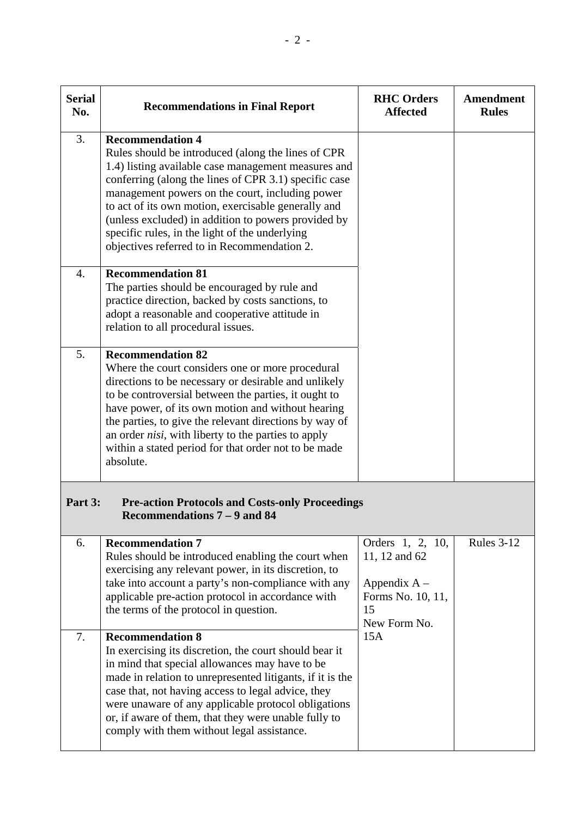| <b>Serial</b><br>No. | <b>Recommendations in Final Report</b>                                                                                                                                                                                                                                                                                                                                                                                                                          | <b>RHC Orders</b><br><b>Affected</b>                                                           | Amendment<br><b>Rules</b> |
|----------------------|-----------------------------------------------------------------------------------------------------------------------------------------------------------------------------------------------------------------------------------------------------------------------------------------------------------------------------------------------------------------------------------------------------------------------------------------------------------------|------------------------------------------------------------------------------------------------|---------------------------|
| 3.                   | <b>Recommendation 4</b><br>Rules should be introduced (along the lines of CPR<br>1.4) listing available case management measures and<br>conferring (along the lines of CPR 3.1) specific case<br>management powers on the court, including power<br>to act of its own motion, exercisable generally and<br>(unless excluded) in addition to powers provided by<br>specific rules, in the light of the underlying<br>objectives referred to in Recommendation 2. |                                                                                                |                           |
| $\overline{4}$ .     | <b>Recommendation 81</b><br>The parties should be encouraged by rule and<br>practice direction, backed by costs sanctions, to<br>adopt a reasonable and cooperative attitude in<br>relation to all procedural issues.                                                                                                                                                                                                                                           |                                                                                                |                           |
| 5.                   | <b>Recommendation 82</b><br>Where the court considers one or more procedural<br>directions to be necessary or desirable and unlikely<br>to be controversial between the parties, it ought to<br>have power, of its own motion and without hearing<br>the parties, to give the relevant directions by way of<br>an order <i>nisi</i> , with liberty to the parties to apply<br>within a stated period for that order not to be made<br>absolute.                 |                                                                                                |                           |
| Part 3:              | <b>Pre-action Protocols and Costs-only Proceedings</b><br>Recommendations 7 – 9 and 84                                                                                                                                                                                                                                                                                                                                                                          |                                                                                                |                           |
| 6.                   | <b>Recommendation 7</b><br>Rules should be introduced enabling the court when<br>exercising any relevant power, in its discretion, to<br>take into account a party's non-compliance with any<br>applicable pre-action protocol in accordance with<br>the terms of the protocol in question.                                                                                                                                                                     | Orders 1, 2, 10,<br>11, 12 and 62<br>Appendix $A -$<br>Forms No. 10, 11,<br>15<br>New Form No. | <b>Rules 3-12</b>         |
| 7.                   | <b>Recommendation 8</b><br>In exercising its discretion, the court should bear it<br>in mind that special allowances may have to be<br>made in relation to unrepresented litigants, if it is the<br>case that, not having access to legal advice, they<br>were unaware of any applicable protocol obligations<br>or, if aware of them, that they were unable fully to<br>comply with them without legal assistance.                                             | 15A                                                                                            |                           |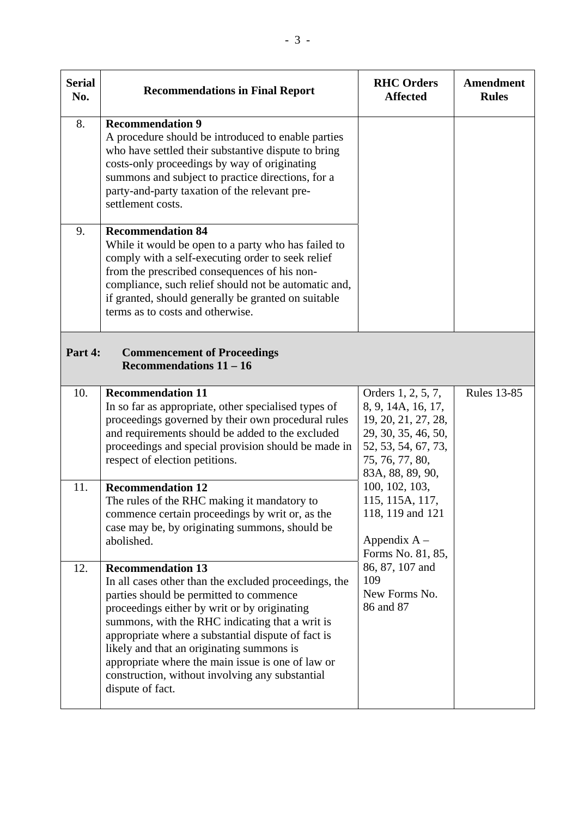| <b>Serial</b><br>No. | <b>Recommendations in Final Report</b>                                                                                                                                                                                                                                                                                                                                                                                                                         | <b>RHC Orders</b><br><b>Affected</b>                                                                                                                                                                                                                                                                         | <b>Amendment</b><br><b>Rules</b> |
|----------------------|----------------------------------------------------------------------------------------------------------------------------------------------------------------------------------------------------------------------------------------------------------------------------------------------------------------------------------------------------------------------------------------------------------------------------------------------------------------|--------------------------------------------------------------------------------------------------------------------------------------------------------------------------------------------------------------------------------------------------------------------------------------------------------------|----------------------------------|
| 8.                   | <b>Recommendation 9</b><br>A procedure should be introduced to enable parties<br>who have settled their substantive dispute to bring<br>costs-only proceedings by way of originating<br>summons and subject to practice directions, for a<br>party-and-party taxation of the relevant pre-<br>settlement costs.                                                                                                                                                |                                                                                                                                                                                                                                                                                                              |                                  |
| 9.                   | <b>Recommendation 84</b><br>While it would be open to a party who has failed to<br>comply with a self-executing order to seek relief<br>from the prescribed consequences of his non-<br>compliance, such relief should not be automatic and,<br>if granted, should generally be granted on suitable<br>terms as to costs and otherwise.                                                                                                                        |                                                                                                                                                                                                                                                                                                              |                                  |
| Part 4:              | <b>Commencement of Proceedings</b><br>Recommendations $11 - 16$                                                                                                                                                                                                                                                                                                                                                                                                |                                                                                                                                                                                                                                                                                                              |                                  |
| 10.                  | <b>Recommendation 11</b><br>In so far as appropriate, other specialised types of<br>proceedings governed by their own procedural rules<br>and requirements should be added to the excluded<br>proceedings and special provision should be made in<br>respect of election petitions.                                                                                                                                                                            | Orders 1, 2, 5, 7,<br>8, 9, 14A, 16, 17,<br>19, 20, 21, 27, 28,<br>29, 30, 35, 46, 50,<br>52, 53, 54, 67, 73,<br>75, 76, 77, 80,<br>83A, 88, 89, 90,<br>100, 102, 103,<br>115, 115A, 117,<br>118, 119 and 121<br>Appendix $A -$<br>Forms No. 81, 85,<br>86, 87, 107 and<br>109<br>New Forms No.<br>86 and 87 | <b>Rules 13-85</b>               |
| 11.                  | <b>Recommendation 12</b><br>The rules of the RHC making it mandatory to<br>commence certain proceedings by writ or, as the<br>case may be, by originating summons, should be<br>abolished.                                                                                                                                                                                                                                                                     |                                                                                                                                                                                                                                                                                                              |                                  |
| 12.                  | <b>Recommendation 13</b><br>In all cases other than the excluded proceedings, the<br>parties should be permitted to commence<br>proceedings either by writ or by originating<br>summons, with the RHC indicating that a writ is<br>appropriate where a substantial dispute of fact is<br>likely and that an originating summons is<br>appropriate where the main issue is one of law or<br>construction, without involving any substantial<br>dispute of fact. |                                                                                                                                                                                                                                                                                                              |                                  |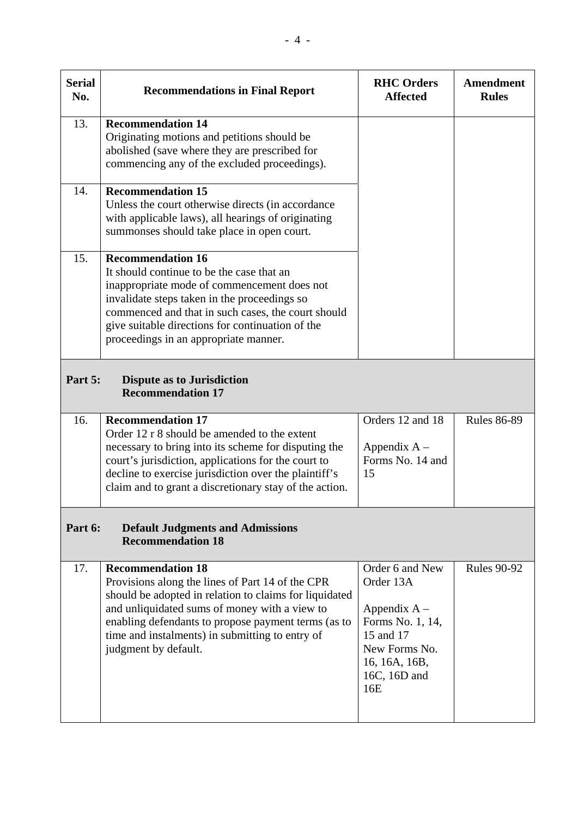| <b>Serial</b><br>No. | <b>Recommendations in Final Report</b>                                                                                                                                                                                                                                                                                    | <b>RHC Orders</b><br><b>Affected</b>                                                                                                     | Amendment<br><b>Rules</b> |
|----------------------|---------------------------------------------------------------------------------------------------------------------------------------------------------------------------------------------------------------------------------------------------------------------------------------------------------------------------|------------------------------------------------------------------------------------------------------------------------------------------|---------------------------|
| 13.                  | <b>Recommendation 14</b><br>Originating motions and petitions should be<br>abolished (save where they are prescribed for<br>commencing any of the excluded proceedings).                                                                                                                                                  |                                                                                                                                          |                           |
| 14.                  | <b>Recommendation 15</b><br>Unless the court otherwise directs (in accordance<br>with applicable laws), all hearings of originating<br>summonses should take place in open court.                                                                                                                                         |                                                                                                                                          |                           |
| 15.                  | <b>Recommendation 16</b><br>It should continue to be the case that an<br>inappropriate mode of commencement does not<br>invalidate steps taken in the proceedings so<br>commenced and that in such cases, the court should<br>give suitable directions for continuation of the<br>proceedings in an appropriate manner.   |                                                                                                                                          |                           |
| Part 5:              | <b>Dispute as to Jurisdiction</b><br><b>Recommendation 17</b>                                                                                                                                                                                                                                                             |                                                                                                                                          |                           |
| 16.                  | <b>Recommendation 17</b><br>Order 12 r 8 should be amended to the extent<br>necessary to bring into its scheme for disputing the<br>court's jurisdiction, applications for the court to<br>decline to exercise jurisdiction over the plaintiff's<br>claim and to grant a discretionary stay of the action.                | Orders 12 and 18<br>Appendix $A -$<br>Forms No. 14 and<br>15                                                                             | <b>Rules 86-89</b>        |
| Part 6:              | <b>Default Judgments and Admissions</b><br><b>Recommendation 18</b>                                                                                                                                                                                                                                                       |                                                                                                                                          |                           |
| 17.                  | <b>Recommendation 18</b><br>Provisions along the lines of Part 14 of the CPR<br>should be adopted in relation to claims for liquidated<br>and unliquidated sums of money with a view to<br>enabling defendants to propose payment terms (as to<br>time and instalments) in submitting to entry of<br>judgment by default. | Order 6 and New<br>Order 13A<br>Appendix $A -$<br>Forms No. 1, 14,<br>15 and 17<br>New Forms No.<br>16, 16A, 16B,<br>16C, 16D and<br>16E | <b>Rules 90-92</b>        |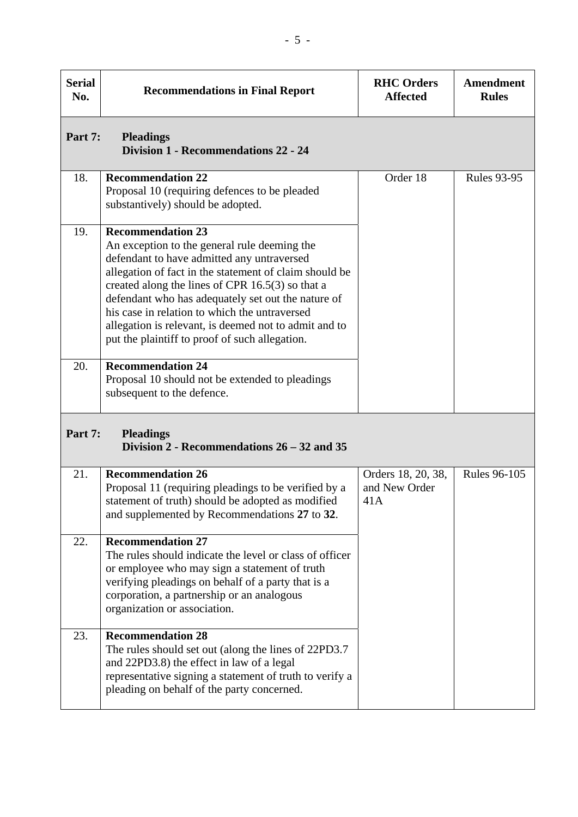| <b>Serial</b><br>No. | <b>Recommendations in Final Report</b>                                                                                                                                                                                                                                                                                                                                                                                                                   | <b>RHC Orders</b><br><b>Affected</b>       | <b>Amendment</b><br><b>Rules</b> |
|----------------------|----------------------------------------------------------------------------------------------------------------------------------------------------------------------------------------------------------------------------------------------------------------------------------------------------------------------------------------------------------------------------------------------------------------------------------------------------------|--------------------------------------------|----------------------------------|
| Part 7:              | <b>Pleadings</b><br>Division 1 - Recommendations 22 - 24                                                                                                                                                                                                                                                                                                                                                                                                 |                                            |                                  |
| 18.                  | <b>Recommendation 22</b><br>Proposal 10 (requiring defences to be pleaded<br>substantively) should be adopted.                                                                                                                                                                                                                                                                                                                                           | Order 18                                   | <b>Rules 93-95</b>               |
| 19.                  | <b>Recommendation 23</b><br>An exception to the general rule deeming the<br>defendant to have admitted any untraversed<br>allegation of fact in the statement of claim should be<br>created along the lines of CPR $16.5(3)$ so that a<br>defendant who has adequately set out the nature of<br>his case in relation to which the untraversed<br>allegation is relevant, is deemed not to admit and to<br>put the plaintiff to proof of such allegation. |                                            |                                  |
| 20.                  | <b>Recommendation 24</b><br>Proposal 10 should not be extended to pleadings<br>subsequent to the defence.                                                                                                                                                                                                                                                                                                                                                |                                            |                                  |
| Part 7:              | <b>Pleadings</b><br>Division 2 - Recommendations 26 – 32 and 35                                                                                                                                                                                                                                                                                                                                                                                          |                                            |                                  |
| 21.                  | <b>Recommendation 26</b><br>Proposal 11 (requiring pleadings to be verified by a<br>statement of truth) should be adopted as modified<br>and supplemented by Recommendations 27 to 32.                                                                                                                                                                                                                                                                   | Orders 18, 20, 38,<br>and New Order<br>41A | <b>Rules 96-105</b>              |
| 22.                  | <b>Recommendation 27</b><br>The rules should indicate the level or class of officer<br>or employee who may sign a statement of truth<br>verifying pleadings on behalf of a party that is a<br>corporation, a partnership or an analogous<br>organization or association.                                                                                                                                                                                 |                                            |                                  |
| 23.                  | <b>Recommendation 28</b><br>The rules should set out (along the lines of 22PD3.7<br>and 22PD3.8) the effect in law of a legal<br>representative signing a statement of truth to verify a<br>pleading on behalf of the party concerned.                                                                                                                                                                                                                   |                                            |                                  |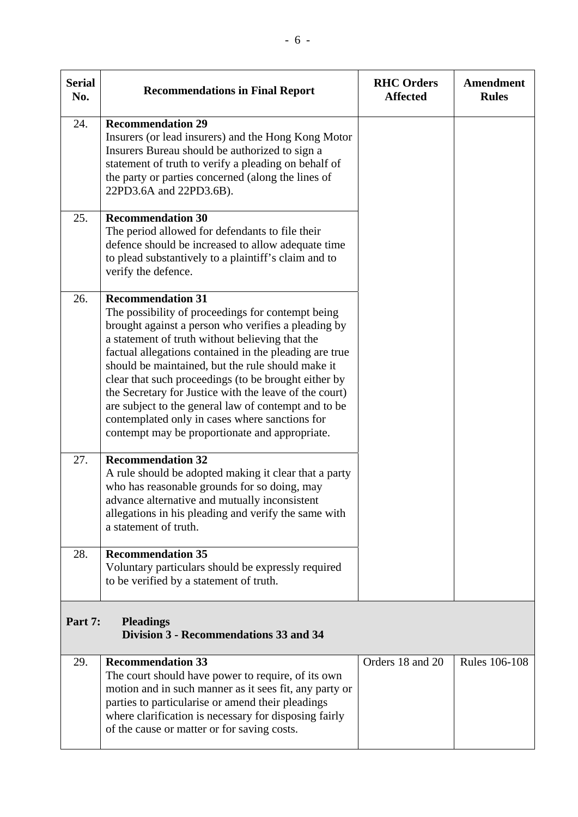| <b>Serial</b><br>No. | <b>Recommendations in Final Report</b>                                                                                                                                                                                                                                                                                                                                                                                                                                                                                                                                               | <b>RHC Orders</b><br><b>Affected</b> | Amendment<br><b>Rules</b> |
|----------------------|--------------------------------------------------------------------------------------------------------------------------------------------------------------------------------------------------------------------------------------------------------------------------------------------------------------------------------------------------------------------------------------------------------------------------------------------------------------------------------------------------------------------------------------------------------------------------------------|--------------------------------------|---------------------------|
| 24.                  | <b>Recommendation 29</b><br>Insurers (or lead insurers) and the Hong Kong Motor<br>Insurers Bureau should be authorized to sign a<br>statement of truth to verify a pleading on behalf of<br>the party or parties concerned (along the lines of<br>22PD3.6A and 22PD3.6B).                                                                                                                                                                                                                                                                                                           |                                      |                           |
| 25.                  | <b>Recommendation 30</b><br>The period allowed for defendants to file their<br>defence should be increased to allow adequate time<br>to plead substantively to a plaintiff's claim and to<br>verify the defence.                                                                                                                                                                                                                                                                                                                                                                     |                                      |                           |
| 26.                  | <b>Recommendation 31</b><br>The possibility of proceedings for contempt being<br>brought against a person who verifies a pleading by<br>a statement of truth without believing that the<br>factual allegations contained in the pleading are true<br>should be maintained, but the rule should make it<br>clear that such proceedings (to be brought either by<br>the Secretary for Justice with the leave of the court)<br>are subject to the general law of contempt and to be<br>contemplated only in cases where sanctions for<br>contempt may be proportionate and appropriate. |                                      |                           |
| 27.                  | <b>Recommendation 32</b><br>A rule should be adopted making it clear that a party<br>who has reasonable grounds for so doing, may<br>advance alternative and mutually inconsistent<br>allegations in his pleading and verify the same with<br>a statement of truth.                                                                                                                                                                                                                                                                                                                  |                                      |                           |
| 28.                  | <b>Recommendation 35</b><br>Voluntary particulars should be expressly required<br>to be verified by a statement of truth.                                                                                                                                                                                                                                                                                                                                                                                                                                                            |                                      |                           |
| Part 7:              | <b>Pleadings</b><br>Division 3 - Recommendations 33 and 34                                                                                                                                                                                                                                                                                                                                                                                                                                                                                                                           |                                      |                           |
| 29.                  | <b>Recommendation 33</b><br>The court should have power to require, of its own<br>motion and in such manner as it sees fit, any party or<br>parties to particularise or amend their pleadings<br>where clarification is necessary for disposing fairly<br>of the cause or matter or for saving costs.                                                                                                                                                                                                                                                                                | Orders 18 and 20                     | <b>Rules 106-108</b>      |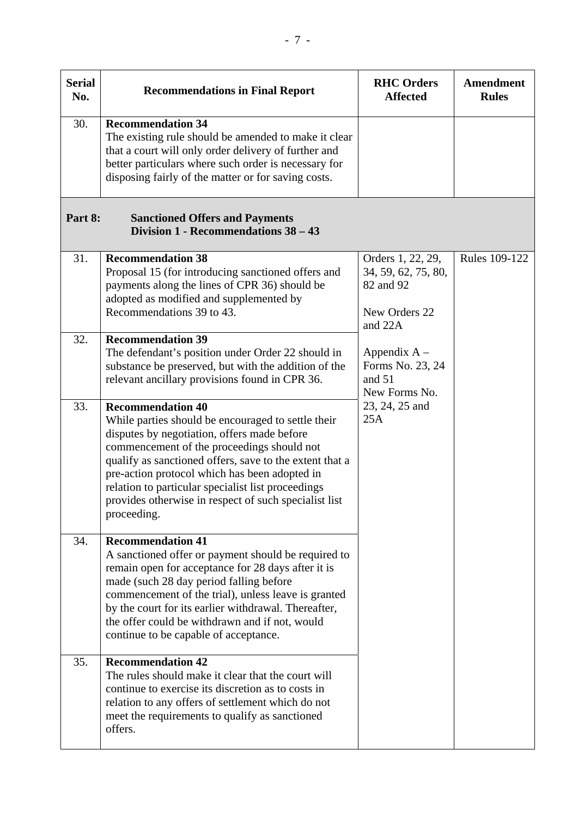| <b>Serial</b><br>No. | <b>Recommendations in Final Report</b>                                                                                                                                                                                                                                                                                                                                                                                | <b>RHC Orders</b><br><b>Affected</b>                                              | <b>Amendment</b><br><b>Rules</b> |
|----------------------|-----------------------------------------------------------------------------------------------------------------------------------------------------------------------------------------------------------------------------------------------------------------------------------------------------------------------------------------------------------------------------------------------------------------------|-----------------------------------------------------------------------------------|----------------------------------|
| 30.                  | <b>Recommendation 34</b><br>The existing rule should be amended to make it clear<br>that a court will only order delivery of further and<br>better particulars where such order is necessary for<br>disposing fairly of the matter or for saving costs.                                                                                                                                                               |                                                                                   |                                  |
| Part 8:              | <b>Sanctioned Offers and Payments</b><br>Division 1 - Recommendations 38 - 43                                                                                                                                                                                                                                                                                                                                         |                                                                                   |                                  |
| 31.                  | <b>Recommendation 38</b><br>Proposal 15 (for introducing sanctioned offers and<br>payments along the lines of CPR 36) should be<br>adopted as modified and supplemented by<br>Recommendations 39 to 43.                                                                                                                                                                                                               | Orders 1, 22, 29,<br>34, 59, 62, 75, 80,<br>82 and 92<br>New Orders 22<br>and 22A | Rules 109-122                    |
| 32.                  | <b>Recommendation 39</b><br>The defendant's position under Order 22 should in<br>substance be preserved, but with the addition of the<br>relevant ancillary provisions found in CPR 36.                                                                                                                                                                                                                               | Appendix $A -$<br>Forms No. 23, 24<br>and $51$<br>New Forms No.                   |                                  |
| 33.                  | <b>Recommendation 40</b><br>While parties should be encouraged to settle their<br>disputes by negotiation, offers made before<br>commencement of the proceedings should not<br>qualify as sanctioned offers, save to the extent that a<br>pre-action protocol which has been adopted in<br>relation to particular specialist list proceedings<br>provides otherwise in respect of such specialist list<br>proceeding. | 23, 24, 25 and<br>25A                                                             |                                  |
| 34.                  | <b>Recommendation 41</b><br>A sanctioned offer or payment should be required to<br>remain open for acceptance for 28 days after it is<br>made (such 28 day period falling before<br>commencement of the trial), unless leave is granted<br>by the court for its earlier withdrawal. Thereafter,<br>the offer could be withdrawn and if not, would<br>continue to be capable of acceptance.                            |                                                                                   |                                  |
| 35.                  | <b>Recommendation 42</b><br>The rules should make it clear that the court will<br>continue to exercise its discretion as to costs in<br>relation to any offers of settlement which do not<br>meet the requirements to qualify as sanctioned<br>offers.                                                                                                                                                                |                                                                                   |                                  |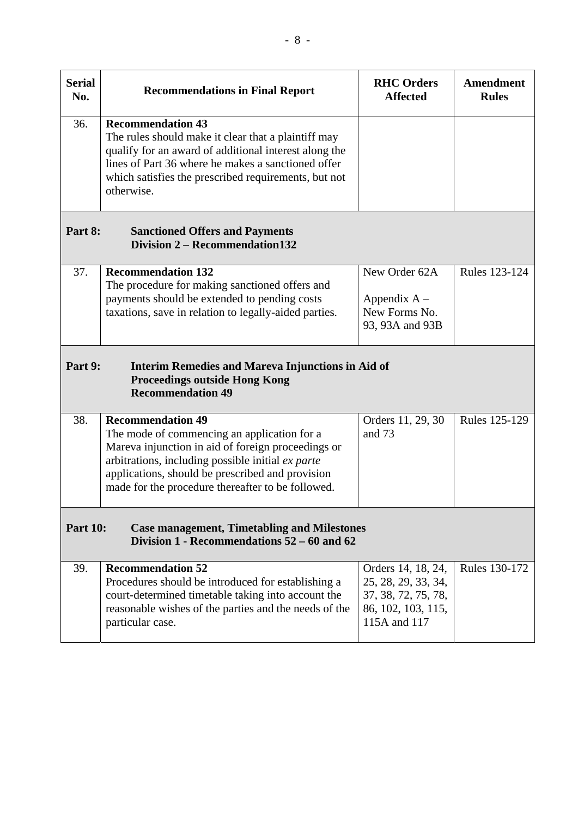| <b>Serial</b><br>No.                                                                                                       | <b>Recommendations in Final Report</b>                                                                                                                                                                                                                                                      | <b>RHC</b> Orders<br><b>Affected</b>                                                                   | Amendment<br><b>Rules</b> |
|----------------------------------------------------------------------------------------------------------------------------|---------------------------------------------------------------------------------------------------------------------------------------------------------------------------------------------------------------------------------------------------------------------------------------------|--------------------------------------------------------------------------------------------------------|---------------------------|
| 36.                                                                                                                        | <b>Recommendation 43</b><br>The rules should make it clear that a plaintiff may<br>qualify for an award of additional interest along the<br>lines of Part 36 where he makes a sanctioned offer<br>which satisfies the prescribed requirements, but not<br>otherwise.                        |                                                                                                        |                           |
| Part 8:                                                                                                                    | <b>Sanctioned Offers and Payments</b><br>Division 2 – Recommendation 132                                                                                                                                                                                                                    |                                                                                                        |                           |
| 37.                                                                                                                        | <b>Recommendation 132</b><br>The procedure for making sanctioned offers and<br>payments should be extended to pending costs<br>taxations, save in relation to legally-aided parties.                                                                                                        | New Order 62A<br>Appendix $A -$<br>New Forms No.<br>93, 93A and 93B                                    | Rules 123-124             |
| Part 9:                                                                                                                    | <b>Interim Remedies and Mareva Injunctions in Aid of</b><br><b>Proceedings outside Hong Kong</b><br><b>Recommendation 49</b>                                                                                                                                                                |                                                                                                        |                           |
| 38.                                                                                                                        | <b>Recommendation 49</b><br>The mode of commencing an application for a<br>Mareva injunction in aid of foreign proceedings or<br>arbitrations, including possible initial ex parte<br>applications, should be prescribed and provision<br>made for the procedure thereafter to be followed. | Orders 11, 29, 30<br>and 73                                                                            | Rules 125-129             |
| <b>Part 10:</b><br><b>Case management, Timetabling and Milestones</b><br>Division $1$ - Recommendations $52 - 60$ and $62$ |                                                                                                                                                                                                                                                                                             |                                                                                                        |                           |
| 39.                                                                                                                        | <b>Recommendation 52</b><br>Procedures should be introduced for establishing a<br>court-determined timetable taking into account the<br>reasonable wishes of the parties and the needs of the<br>particular case.                                                                           | Orders 14, 18, 24,<br>25, 28, 29, 33, 34,<br>37, 38, 72, 75, 78,<br>86, 102, 103, 115,<br>115A and 117 | Rules 130-172             |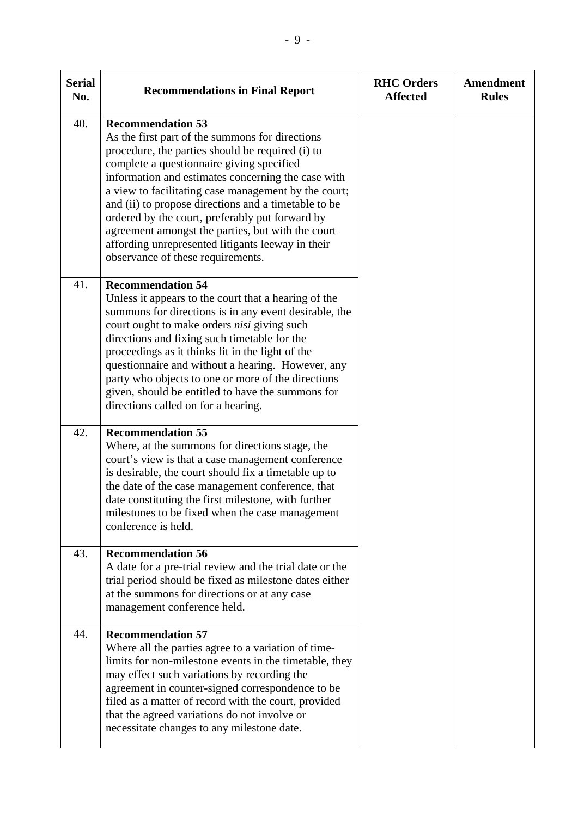| <b>Serial</b><br>No. | <b>Recommendations in Final Report</b>                                                                                                                                                                                                                                                                                                                                                                                                                                                                                                               | <b>RHC Orders</b><br><b>Affected</b> | <b>Amendment</b><br><b>Rules</b> |
|----------------------|------------------------------------------------------------------------------------------------------------------------------------------------------------------------------------------------------------------------------------------------------------------------------------------------------------------------------------------------------------------------------------------------------------------------------------------------------------------------------------------------------------------------------------------------------|--------------------------------------|----------------------------------|
| 40.                  | <b>Recommendation 53</b><br>As the first part of the summons for directions<br>procedure, the parties should be required (i) to<br>complete a questionnaire giving specified<br>information and estimates concerning the case with<br>a view to facilitating case management by the court;<br>and (ii) to propose directions and a timetable to be<br>ordered by the court, preferably put forward by<br>agreement amongst the parties, but with the court<br>affording unrepresented litigants leeway in their<br>observance of these requirements. |                                      |                                  |
| 41.                  | <b>Recommendation 54</b><br>Unless it appears to the court that a hearing of the<br>summons for directions is in any event desirable, the<br>court ought to make orders nisi giving such<br>directions and fixing such timetable for the<br>proceedings as it thinks fit in the light of the<br>questionnaire and without a hearing. However, any<br>party who objects to one or more of the directions<br>given, should be entitled to have the summons for<br>directions called on for a hearing.                                                  |                                      |                                  |
| 42.                  | <b>Recommendation 55</b><br>Where, at the summons for directions stage, the<br>court's view is that a case management conference<br>is desirable, the court should fix a timetable up to<br>the date of the case management conference, that<br>date constituting the first milestone, with further<br>milestones to be fixed when the case management<br>conference is held.                                                                                                                                                                        |                                      |                                  |
| 43.                  | <b>Recommendation 56</b><br>A date for a pre-trial review and the trial date or the<br>trial period should be fixed as milestone dates either<br>at the summons for directions or at any case<br>management conference held.                                                                                                                                                                                                                                                                                                                         |                                      |                                  |
| 44.                  | <b>Recommendation 57</b><br>Where all the parties agree to a variation of time-<br>limits for non-milestone events in the timetable, they<br>may effect such variations by recording the<br>agreement in counter-signed correspondence to be<br>filed as a matter of record with the court, provided<br>that the agreed variations do not involve or<br>necessitate changes to any milestone date.                                                                                                                                                   |                                      |                                  |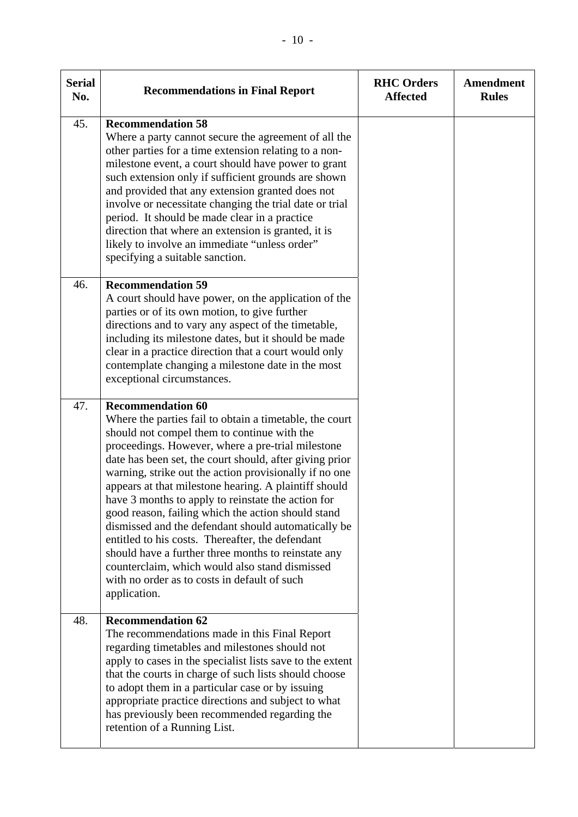| <b>Serial</b><br>No. | <b>Recommendations in Final Report</b>                                                                                                                                                                                                                                                                                                                                                                                                                                                                                                                                                                                                                                                                                                                                | <b>RHC Orders</b><br><b>Affected</b> | Amendment<br><b>Rules</b> |
|----------------------|-----------------------------------------------------------------------------------------------------------------------------------------------------------------------------------------------------------------------------------------------------------------------------------------------------------------------------------------------------------------------------------------------------------------------------------------------------------------------------------------------------------------------------------------------------------------------------------------------------------------------------------------------------------------------------------------------------------------------------------------------------------------------|--------------------------------------|---------------------------|
| 45.                  | <b>Recommendation 58</b><br>Where a party cannot secure the agreement of all the<br>other parties for a time extension relating to a non-<br>milestone event, a court should have power to grant<br>such extension only if sufficient grounds are shown<br>and provided that any extension granted does not<br>involve or necessitate changing the trial date or trial<br>period. It should be made clear in a practice<br>direction that where an extension is granted, it is<br>likely to involve an immediate "unless order"<br>specifying a suitable sanction.                                                                                                                                                                                                    |                                      |                           |
| 46.                  | <b>Recommendation 59</b><br>A court should have power, on the application of the<br>parties or of its own motion, to give further<br>directions and to vary any aspect of the timetable,<br>including its milestone dates, but it should be made<br>clear in a practice direction that a court would only<br>contemplate changing a milestone date in the most<br>exceptional circumstances.                                                                                                                                                                                                                                                                                                                                                                          |                                      |                           |
| 47.                  | <b>Recommendation 60</b><br>Where the parties fail to obtain a timetable, the court<br>should not compel them to continue with the<br>proceedings. However, where a pre-trial milestone<br>date has been set, the court should, after giving prior<br>warning, strike out the action provisionally if no one<br>appears at that milestone hearing. A plaintiff should<br>have 3 months to apply to reinstate the action for<br>good reason, failing which the action should stand<br>dismissed and the defendant should automatically be<br>entitled to his costs. Thereafter, the defendant<br>should have a further three months to reinstate any<br>counterclaim, which would also stand dismissed<br>with no order as to costs in default of such<br>application. |                                      |                           |
| 48.                  | <b>Recommendation 62</b><br>The recommendations made in this Final Report<br>regarding timetables and milestones should not<br>apply to cases in the specialist lists save to the extent<br>that the courts in charge of such lists should choose<br>to adopt them in a particular case or by issuing<br>appropriate practice directions and subject to what<br>has previously been recommended regarding the<br>retention of a Running List.                                                                                                                                                                                                                                                                                                                         |                                      |                           |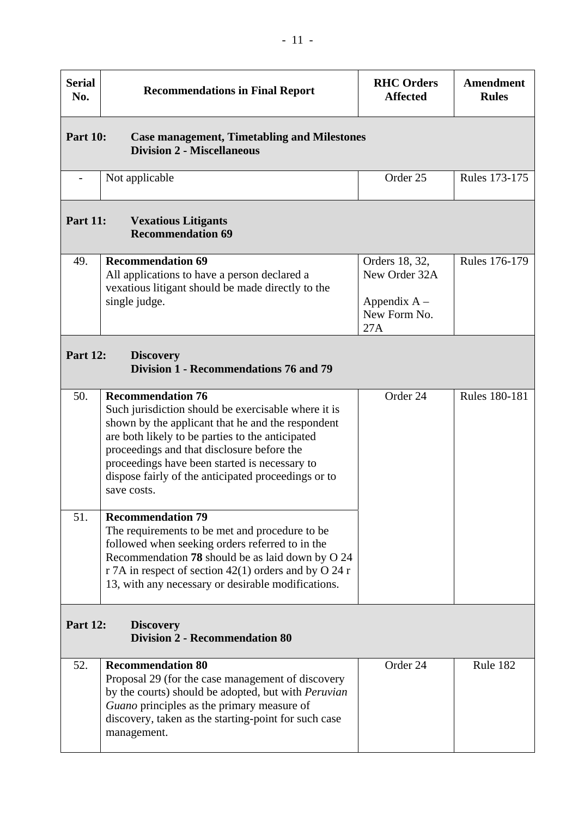| <b>Serial</b><br>No.                                                          | <b>Recommendations in Final Report</b>                                                                                                                                                                                                                                                                                                                        | <b>RHC Orders</b><br><b>Affected</b>                                     | <b>Amendment</b><br><b>Rules</b> |
|-------------------------------------------------------------------------------|---------------------------------------------------------------------------------------------------------------------------------------------------------------------------------------------------------------------------------------------------------------------------------------------------------------------------------------------------------------|--------------------------------------------------------------------------|----------------------------------|
| <b>Part 10:</b>                                                               | <b>Case management, Timetabling and Milestones</b><br><b>Division 2 - Miscellaneous</b>                                                                                                                                                                                                                                                                       |                                                                          |                                  |
|                                                                               | Not applicable                                                                                                                                                                                                                                                                                                                                                | Order 25                                                                 | <b>Rules 173-175</b>             |
| <b>Part 11:</b>                                                               | <b>Vexatious Litigants</b><br><b>Recommendation 69</b>                                                                                                                                                                                                                                                                                                        |                                                                          |                                  |
| 49.                                                                           | <b>Recommendation 69</b><br>All applications to have a person declared a<br>vexatious litigant should be made directly to the<br>single judge.                                                                                                                                                                                                                | Orders 18, 32,<br>New Order 32A<br>Appendix $A -$<br>New Form No.<br>27A | Rules 176-179                    |
| <b>Part 12:</b><br><b>Discovery</b><br>Division 1 - Recommendations 76 and 79 |                                                                                                                                                                                                                                                                                                                                                               |                                                                          |                                  |
| 50.                                                                           | <b>Recommendation 76</b><br>Such jurisdiction should be exercisable where it is<br>shown by the applicant that he and the respondent<br>are both likely to be parties to the anticipated<br>proceedings and that disclosure before the<br>proceedings have been started is necessary to<br>dispose fairly of the anticipated proceedings or to<br>save costs. | Order 24                                                                 | <b>Rules 180-181</b>             |
| 51.                                                                           | <b>Recommendation 79</b><br>The requirements to be met and procedure to be<br>followed when seeking orders referred to in the<br>Recommendation 78 should be as laid down by O 24<br>r 7A in respect of section 42(1) orders and by O 24 r<br>13, with any necessary or desirable modifications.                                                              |                                                                          |                                  |
| <b>Part 12:</b><br><b>Discovery</b><br><b>Division 2 - Recommendation 80</b>  |                                                                                                                                                                                                                                                                                                                                                               |                                                                          |                                  |
| 52.                                                                           | <b>Recommendation 80</b><br>Proposal 29 (for the case management of discovery<br>by the courts) should be adopted, but with Peruvian<br>Guano principles as the primary measure of<br>discovery, taken as the starting-point for such case<br>management.                                                                                                     | Order 24                                                                 | Rule 182                         |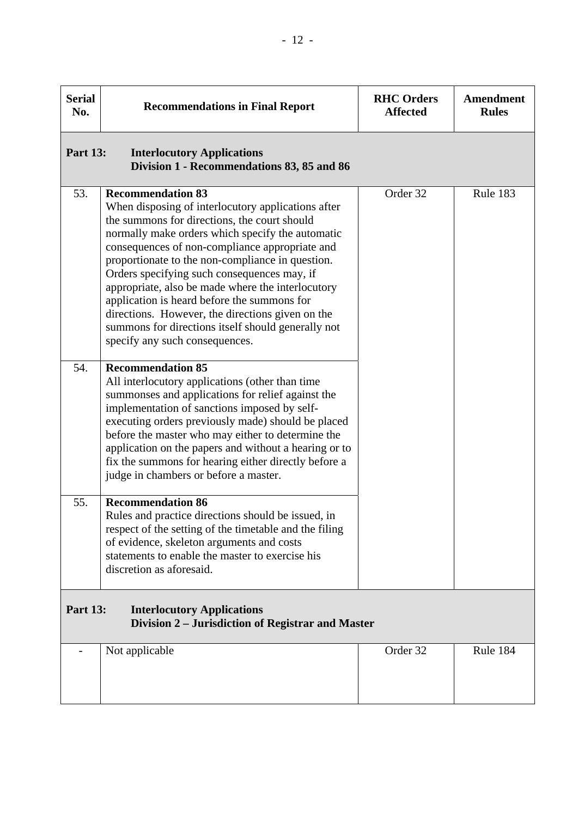| <b>Serial</b><br>No. | <b>Recommendations in Final Report</b>                                                                                                                                                                                                                                                                                                                                                                                                                                                                                                                                                  | <b>RHC Orders</b><br><b>Affected</b> | <b>Amendment</b><br><b>Rules</b> |
|----------------------|-----------------------------------------------------------------------------------------------------------------------------------------------------------------------------------------------------------------------------------------------------------------------------------------------------------------------------------------------------------------------------------------------------------------------------------------------------------------------------------------------------------------------------------------------------------------------------------------|--------------------------------------|----------------------------------|
| <b>Part 13:</b>      | <b>Interlocutory Applications</b><br>Division 1 - Recommendations 83, 85 and 86                                                                                                                                                                                                                                                                                                                                                                                                                                                                                                         |                                      |                                  |
| 53.                  | <b>Recommendation 83</b><br>When disposing of interlocutory applications after<br>the summons for directions, the court should<br>normally make orders which specify the automatic<br>consequences of non-compliance appropriate and<br>proportionate to the non-compliance in question.<br>Orders specifying such consequences may, if<br>appropriate, also be made where the interlocutory<br>application is heard before the summons for<br>directions. However, the directions given on the<br>summons for directions itself should generally not<br>specify any such consequences. | Order 32                             | Rule 183                         |
| 54.                  | <b>Recommendation 85</b><br>All interlocutory applications (other than time<br>summonses and applications for relief against the<br>implementation of sanctions imposed by self-<br>executing orders previously made) should be placed<br>before the master who may either to determine the<br>application on the papers and without a hearing or to<br>fix the summons for hearing either directly before a<br>judge in chambers or before a master.                                                                                                                                   |                                      |                                  |
| 55.                  | <b>Recommendation 86</b><br>Rules and practice directions should be issued, in<br>respect of the setting of the timetable and the filing<br>of evidence, skeleton arguments and costs<br>statements to enable the master to exercise his<br>discretion as aforesaid.                                                                                                                                                                                                                                                                                                                    |                                      |                                  |
| <b>Part 13:</b>      | <b>Interlocutory Applications</b><br>Division 2 – Jurisdiction of Registrar and Master                                                                                                                                                                                                                                                                                                                                                                                                                                                                                                  |                                      |                                  |
|                      | Not applicable                                                                                                                                                                                                                                                                                                                                                                                                                                                                                                                                                                          | Order 32                             | Rule 184                         |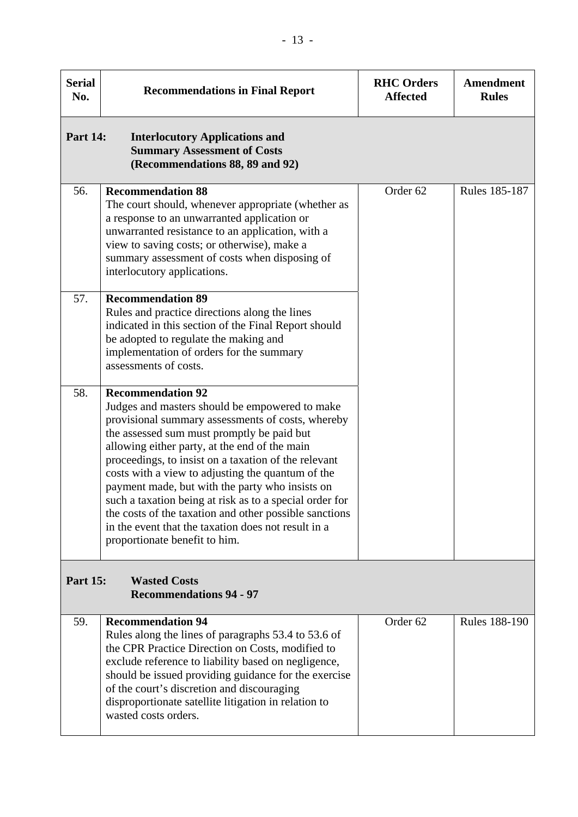| <b>Serial</b><br>No. | <b>Recommendations in Final Report</b>                                                                                                                                                                                                                                                                                                                                                                                                                                                                                                                                                                      | <b>RHC Orders</b><br><b>Affected</b> | <b>Amendment</b><br><b>Rules</b> |
|----------------------|-------------------------------------------------------------------------------------------------------------------------------------------------------------------------------------------------------------------------------------------------------------------------------------------------------------------------------------------------------------------------------------------------------------------------------------------------------------------------------------------------------------------------------------------------------------------------------------------------------------|--------------------------------------|----------------------------------|
| <b>Part 14:</b>      | <b>Interlocutory Applications and</b><br><b>Summary Assessment of Costs</b><br>(Recommendations 88, 89 and 92)                                                                                                                                                                                                                                                                                                                                                                                                                                                                                              |                                      |                                  |
| 56.                  | <b>Recommendation 88</b><br>The court should, whenever appropriate (whether as<br>a response to an unwarranted application or<br>unwarranted resistance to an application, with a<br>view to saving costs; or otherwise), make a<br>summary assessment of costs when disposing of<br>interlocutory applications.                                                                                                                                                                                                                                                                                            | Order 62                             | Rules 185-187                    |
| 57.                  | <b>Recommendation 89</b><br>Rules and practice directions along the lines<br>indicated in this section of the Final Report should<br>be adopted to regulate the making and<br>implementation of orders for the summary<br>assessments of costs.                                                                                                                                                                                                                                                                                                                                                             |                                      |                                  |
| 58.                  | <b>Recommendation 92</b><br>Judges and masters should be empowered to make<br>provisional summary assessments of costs, whereby<br>the assessed sum must promptly be paid but<br>allowing either party, at the end of the main<br>proceedings, to insist on a taxation of the relevant<br>costs with a view to adjusting the quantum of the<br>payment made, but with the party who insists on<br>such a taxation being at risk as to a special order for<br>the costs of the taxation and other possible sanctions<br>in the event that the taxation does not result in a<br>proportionate benefit to him. |                                      |                                  |
| <b>Part 15:</b>      | <b>Wasted Costs</b><br><b>Recommendations 94 - 97</b>                                                                                                                                                                                                                                                                                                                                                                                                                                                                                                                                                       |                                      |                                  |
| 59.                  | <b>Recommendation 94</b><br>Rules along the lines of paragraphs 53.4 to 53.6 of<br>the CPR Practice Direction on Costs, modified to<br>exclude reference to liability based on negligence,<br>should be issued providing guidance for the exercise<br>of the court's discretion and discouraging<br>disproportionate satellite litigation in relation to<br>wasted costs orders.                                                                                                                                                                                                                            | Order <sub>62</sub>                  | <b>Rules 188-190</b>             |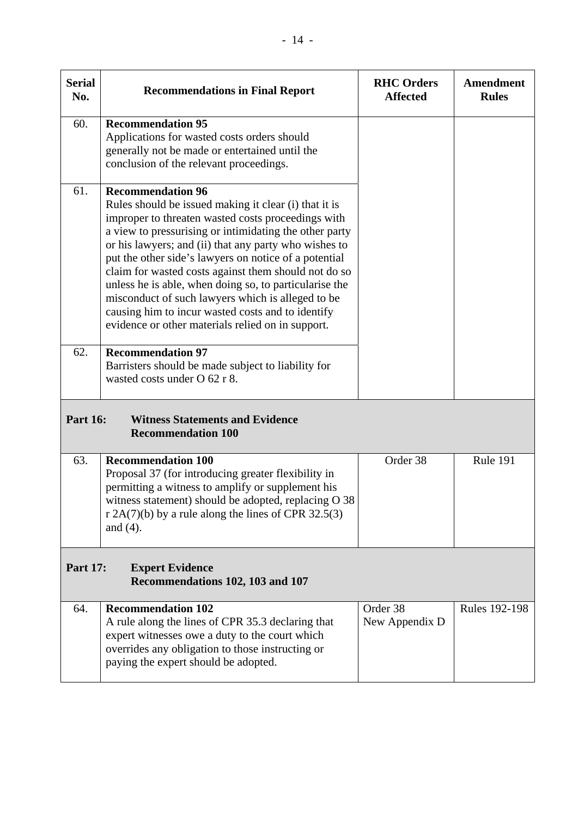| <b>Serial</b><br>No. | <b>Recommendations in Final Report</b>                                                                                                                                                                                                                                                                                                                                                                                                                                                                                                                                                                                           | <b>RHC Orders</b><br><b>Affected</b> | <b>Amendment</b><br><b>Rules</b> |
|----------------------|----------------------------------------------------------------------------------------------------------------------------------------------------------------------------------------------------------------------------------------------------------------------------------------------------------------------------------------------------------------------------------------------------------------------------------------------------------------------------------------------------------------------------------------------------------------------------------------------------------------------------------|--------------------------------------|----------------------------------|
| 60.                  | <b>Recommendation 95</b><br>Applications for wasted costs orders should<br>generally not be made or entertained until the<br>conclusion of the relevant proceedings.                                                                                                                                                                                                                                                                                                                                                                                                                                                             |                                      |                                  |
| 61.<br>62.           | <b>Recommendation 96</b><br>Rules should be issued making it clear (i) that it is<br>improper to threaten wasted costs proceedings with<br>a view to pressurising or intimidating the other party<br>or his lawyers; and (ii) that any party who wishes to<br>put the other side's lawyers on notice of a potential<br>claim for wasted costs against them should not do so<br>unless he is able, when doing so, to particularise the<br>misconduct of such lawyers which is alleged to be<br>causing him to incur wasted costs and to identify<br>evidence or other materials relied on in support.<br><b>Recommendation 97</b> |                                      |                                  |
|                      | Barristers should be made subject to liability for<br>wasted costs under O 62 r 8.                                                                                                                                                                                                                                                                                                                                                                                                                                                                                                                                               |                                      |                                  |
| <b>Part 16:</b>      | <b>Witness Statements and Evidence</b><br><b>Recommendation 100</b>                                                                                                                                                                                                                                                                                                                                                                                                                                                                                                                                                              |                                      |                                  |
| 63.                  | <b>Recommendation 100</b><br>Proposal 37 (for introducing greater flexibility in<br>permitting a witness to amplify or supplement his<br>witness statement) should be adopted, replacing O 38<br>r $2A(7)(b)$ by a rule along the lines of CPR 32.5(3)<br>and $(4)$ .                                                                                                                                                                                                                                                                                                                                                            | Order 38                             | Rule 191                         |
| <b>Part 17:</b>      | <b>Expert Evidence</b><br>Recommendations 102, 103 and 107                                                                                                                                                                                                                                                                                                                                                                                                                                                                                                                                                                       |                                      |                                  |
|                      |                                                                                                                                                                                                                                                                                                                                                                                                                                                                                                                                                                                                                                  | Order 38                             | <b>Rules 192-198</b>             |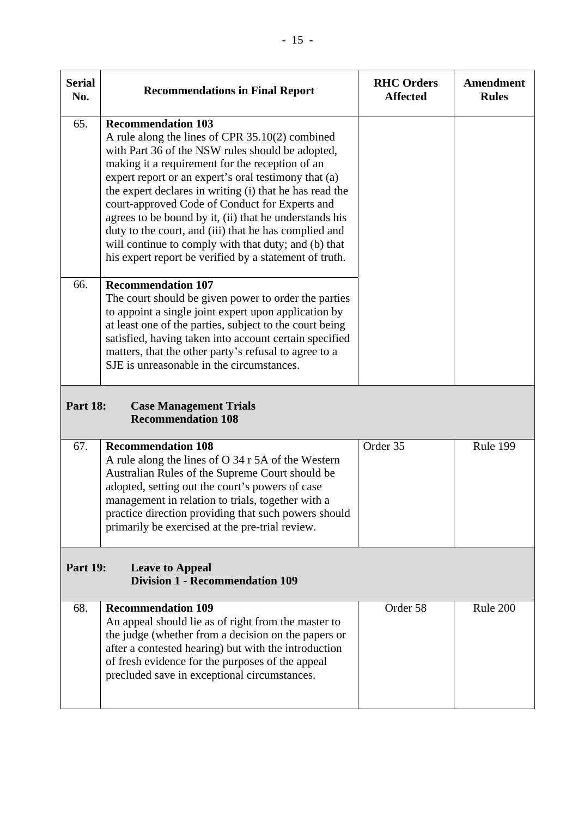| <b>Serial</b><br>No. | <b>Recommendations in Final Report</b>                                                                                                                                                                                                                                                                                                                                                                                                                                                                                                                                                        | <b>RHC Orders</b><br><b>Affected</b> | Amendment<br><b>Rules</b> |
|----------------------|-----------------------------------------------------------------------------------------------------------------------------------------------------------------------------------------------------------------------------------------------------------------------------------------------------------------------------------------------------------------------------------------------------------------------------------------------------------------------------------------------------------------------------------------------------------------------------------------------|--------------------------------------|---------------------------|
| 65.                  | <b>Recommendation 103</b><br>A rule along the lines of CPR 35.10(2) combined<br>with Part 36 of the NSW rules should be adopted,<br>making it a requirement for the reception of an<br>expert report or an expert's oral testimony that (a)<br>the expert declares in writing (i) that he has read the<br>court-approved Code of Conduct for Experts and<br>agrees to be bound by it, (ii) that he understands his<br>duty to the court, and (iii) that he has complied and<br>will continue to comply with that duty; and (b) that<br>his expert report be verified by a statement of truth. |                                      |                           |
| 66.                  | <b>Recommendation 107</b><br>The court should be given power to order the parties<br>to appoint a single joint expert upon application by<br>at least one of the parties, subject to the court being<br>satisfied, having taken into account certain specified<br>matters, that the other party's refusal to agree to a<br>SJE is unreasonable in the circumstances.                                                                                                                                                                                                                          |                                      |                           |
| <b>Part 18:</b>      | <b>Case Management Trials</b><br><b>Recommendation 108</b>                                                                                                                                                                                                                                                                                                                                                                                                                                                                                                                                    |                                      |                           |
| 67.                  | <b>Recommendation 108</b><br>A rule along the lines of O 34 r 5A of the Western<br>Australian Rules of the Supreme Court should be<br>adopted, setting out the court's powers of case<br>management in relation to trials, together with a<br>practice direction providing that such powers should<br>primarily be exercised at the pre-trial review.                                                                                                                                                                                                                                         | Order 35                             | Rule 199                  |
| <b>Part 19:</b>      | <b>Leave to Appeal</b><br><b>Division 1 - Recommendation 109</b>                                                                                                                                                                                                                                                                                                                                                                                                                                                                                                                              |                                      |                           |
| 68.                  | <b>Recommendation 109</b><br>An appeal should lie as of right from the master to<br>the judge (whether from a decision on the papers or<br>after a contested hearing) but with the introduction<br>of fresh evidence for the purposes of the appeal<br>precluded save in exceptional circumstances.                                                                                                                                                                                                                                                                                           | Order 58                             | Rule 200                  |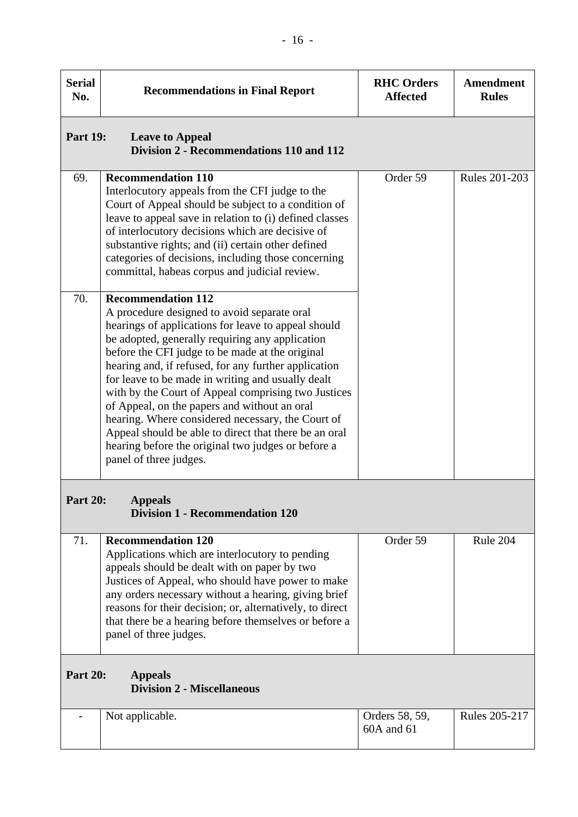| <b>Serial</b><br>No.                                                   | <b>Recommendations in Final Report</b>                                                                                                                                                                                                                                                                                                                                                                                                                                                                                                                                                                                                                  | <b>RHC Orders</b><br><b>Affected</b> | <b>Amendment</b><br><b>Rules</b> |
|------------------------------------------------------------------------|---------------------------------------------------------------------------------------------------------------------------------------------------------------------------------------------------------------------------------------------------------------------------------------------------------------------------------------------------------------------------------------------------------------------------------------------------------------------------------------------------------------------------------------------------------------------------------------------------------------------------------------------------------|--------------------------------------|----------------------------------|
| <b>Part 19:</b>                                                        | <b>Leave to Appeal</b><br>Division 2 - Recommendations 110 and 112                                                                                                                                                                                                                                                                                                                                                                                                                                                                                                                                                                                      |                                      |                                  |
| 69.                                                                    | <b>Recommendation 110</b><br>Interlocutory appeals from the CFI judge to the<br>Court of Appeal should be subject to a condition of<br>leave to appeal save in relation to (i) defined classes<br>of interlocutory decisions which are decisive of<br>substantive rights; and (ii) certain other defined<br>categories of decisions, including those concerning<br>committal, habeas corpus and judicial review.                                                                                                                                                                                                                                        | Order 59                             | <b>Rules 201-203</b>             |
| 70.                                                                    | <b>Recommendation 112</b><br>A procedure designed to avoid separate oral<br>hearings of applications for leave to appeal should<br>be adopted, generally requiring any application<br>before the CFI judge to be made at the original<br>hearing and, if refused, for any further application<br>for leave to be made in writing and usually dealt<br>with by the Court of Appeal comprising two Justices<br>of Appeal, on the papers and without an oral<br>hearing. Where considered necessary, the Court of<br>Appeal should be able to direct that there be an oral<br>hearing before the original two judges or before a<br>panel of three judges. |                                      |                                  |
| <b>Part 20:</b>                                                        | <b>Appeals</b><br><b>Division 1 - Recommendation 120</b>                                                                                                                                                                                                                                                                                                                                                                                                                                                                                                                                                                                                |                                      |                                  |
| 71.                                                                    | <b>Recommendation 120</b><br>Applications which are interlocutory to pending<br>appeals should be dealt with on paper by two<br>Justices of Appeal, who should have power to make<br>any orders necessary without a hearing, giving brief<br>reasons for their decision; or, alternatively, to direct<br>that there be a hearing before themselves or before a<br>panel of three judges.                                                                                                                                                                                                                                                                | Order 59                             | Rule 204                         |
| <b>Part 20:</b><br><b>Appeals</b><br><b>Division 2 - Miscellaneous</b> |                                                                                                                                                                                                                                                                                                                                                                                                                                                                                                                                                                                                                                                         |                                      |                                  |
|                                                                        | Not applicable.                                                                                                                                                                                                                                                                                                                                                                                                                                                                                                                                                                                                                                         | Orders 58, 59,<br>60A and 61         | <b>Rules 205-217</b>             |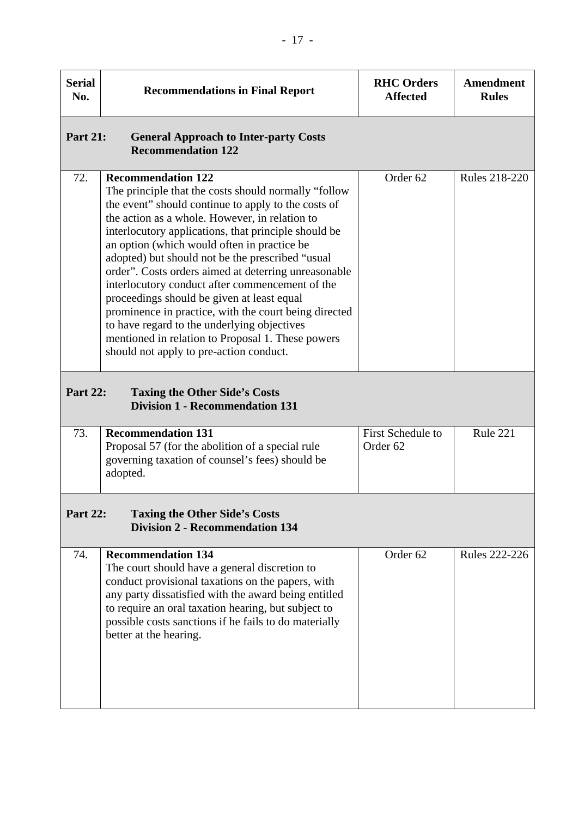| <b>Serial</b><br>No. | <b>Recommendations in Final Report</b>                                                                                                                                                                                                                                                                                                                                                                                                                                                                                                                                                                                                                                                                                  | <b>RHC</b> Orders<br><b>Affected</b>            | Amendment<br><b>Rules</b> |
|----------------------|-------------------------------------------------------------------------------------------------------------------------------------------------------------------------------------------------------------------------------------------------------------------------------------------------------------------------------------------------------------------------------------------------------------------------------------------------------------------------------------------------------------------------------------------------------------------------------------------------------------------------------------------------------------------------------------------------------------------------|-------------------------------------------------|---------------------------|
| <b>Part 21:</b>      | <b>General Approach to Inter-party Costs</b><br><b>Recommendation 122</b>                                                                                                                                                                                                                                                                                                                                                                                                                                                                                                                                                                                                                                               |                                                 |                           |
| 72.                  | <b>Recommendation 122</b><br>The principle that the costs should normally "follow"<br>the event" should continue to apply to the costs of<br>the action as a whole. However, in relation to<br>interlocutory applications, that principle should be<br>an option (which would often in practice be<br>adopted) but should not be the prescribed "usual<br>order". Costs orders aimed at deterring unreasonable<br>interlocutory conduct after commencement of the<br>proceedings should be given at least equal<br>prominence in practice, with the court being directed<br>to have regard to the underlying objectives<br>mentioned in relation to Proposal 1. These powers<br>should not apply to pre-action conduct. | Order 62                                        | <b>Rules 218-220</b>      |
| <b>Part 22:</b>      | <b>Taxing the Other Side's Costs</b><br><b>Division 1 - Recommendation 131</b>                                                                                                                                                                                                                                                                                                                                                                                                                                                                                                                                                                                                                                          |                                                 |                           |
| 73.                  | <b>Recommendation 131</b><br>Proposal 57 (for the abolition of a special rule<br>governing taxation of counsel's fees) should be<br>adopted.                                                                                                                                                                                                                                                                                                                                                                                                                                                                                                                                                                            | <b>First Schedule to</b><br>Order <sub>62</sub> | Rule 221                  |
| <b>Part 22:</b>      | <b>Taxing the Other Side's Costs</b><br><b>Division 2 - Recommendation 134</b>                                                                                                                                                                                                                                                                                                                                                                                                                                                                                                                                                                                                                                          |                                                 |                           |
| 74.                  | <b>Recommendation 134</b><br>The court should have a general discretion to<br>conduct provisional taxations on the papers, with<br>any party dissatisfied with the award being entitled<br>to require an oral taxation hearing, but subject to<br>possible costs sanctions if he fails to do materially<br>better at the hearing.                                                                                                                                                                                                                                                                                                                                                                                       | Order 62                                        | <b>Rules 222-226</b>      |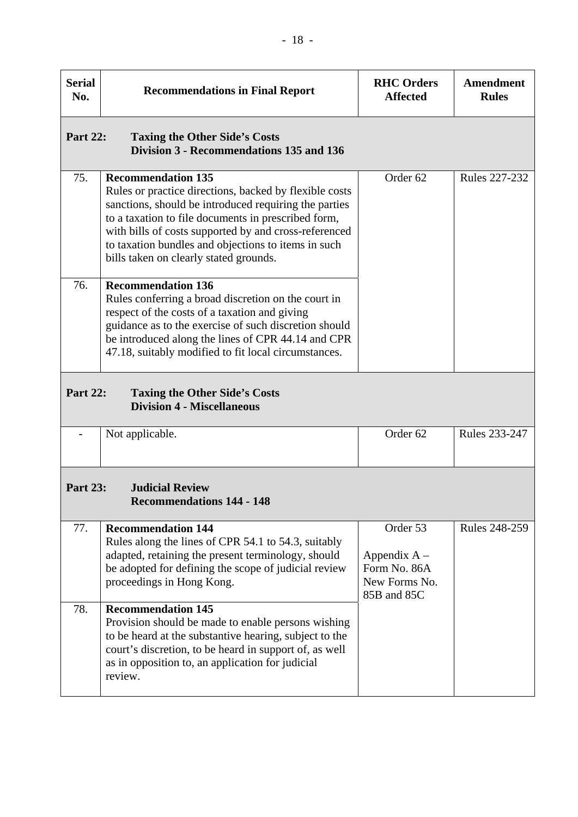| <b>Serial</b><br>No. | <b>Recommendations in Final Report</b>                                                                                                                                                                                                                                                                                                                        | <b>RHC Orders</b><br><b>Affected</b>                                       | Amendment<br><b>Rules</b> |
|----------------------|---------------------------------------------------------------------------------------------------------------------------------------------------------------------------------------------------------------------------------------------------------------------------------------------------------------------------------------------------------------|----------------------------------------------------------------------------|---------------------------|
| <b>Part 22:</b>      | <b>Taxing the Other Side's Costs</b><br>Division 3 - Recommendations 135 and 136                                                                                                                                                                                                                                                                              |                                                                            |                           |
| 75.                  | <b>Recommendation 135</b><br>Rules or practice directions, backed by flexible costs<br>sanctions, should be introduced requiring the parties<br>to a taxation to file documents in prescribed form,<br>with bills of costs supported by and cross-referenced<br>to taxation bundles and objections to items in such<br>bills taken on clearly stated grounds. | Order <sub>62</sub>                                                        | <b>Rules 227-232</b>      |
| 76.                  | <b>Recommendation 136</b><br>Rules conferring a broad discretion on the court in<br>respect of the costs of a taxation and giving<br>guidance as to the exercise of such discretion should<br>be introduced along the lines of CPR 44.14 and CPR<br>47.18, suitably modified to fit local circumstances.                                                      |                                                                            |                           |
| <b>Part 22:</b>      | <b>Taxing the Other Side's Costs</b><br><b>Division 4 - Miscellaneous</b>                                                                                                                                                                                                                                                                                     |                                                                            |                           |
|                      | Not applicable.                                                                                                                                                                                                                                                                                                                                               | Order 62                                                                   | Rules 233-247             |
| <b>Part 23:</b>      | <b>Judicial Review</b><br><b>Recommendations 144 - 148</b>                                                                                                                                                                                                                                                                                                    |                                                                            |                           |
| 77.                  | <b>Recommendation 144</b><br>Rules along the lines of CPR 54.1 to 54.3, suitably<br>adapted, retaining the present terminology, should<br>be adopted for defining the scope of judicial review<br>proceedings in Hong Kong.                                                                                                                                   | Order 53<br>Appendix $A -$<br>Form No. 86A<br>New Forms No.<br>85B and 85C | <b>Rules 248-259</b>      |
| 78.                  | <b>Recommendation 145</b><br>Provision should be made to enable persons wishing<br>to be heard at the substantive hearing, subject to the<br>court's discretion, to be heard in support of, as well<br>as in opposition to, an application for judicial<br>review.                                                                                            |                                                                            |                           |